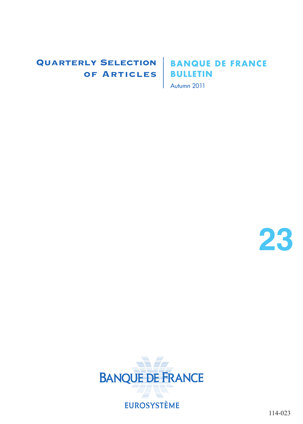### Quarterly Selection of Articles

### **BANQUE DE FRANCE BULLETIN**

Autumn 2011



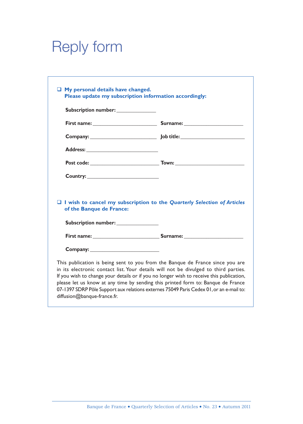# Reply form

| Subscription number:                             |                                                                                                                        |
|--------------------------------------------------|------------------------------------------------------------------------------------------------------------------------|
|                                                  | First name: Surname: Surname:                                                                                          |
|                                                  |                                                                                                                        |
|                                                  |                                                                                                                        |
|                                                  |                                                                                                                        |
|                                                  |                                                                                                                        |
| Country: New York Country:                       |                                                                                                                        |
| of the Banque de France:<br>Subscription number: |                                                                                                                        |
|                                                  |                                                                                                                        |
|                                                  | $\Box$ I wish to cancel my subscription to the Quarterly Selection of Articles<br><b>First name:</b> Surname: Surname: |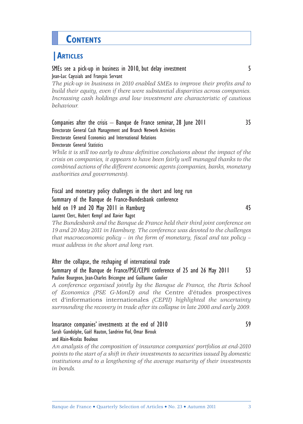## **CONTENTS**

### **|ARTICLES**

#### SMEs see a pick-up in business in 2010, but delay investment Jean-Luc Cayssials and François Servant

The pick-up in business in 2010 enabled SMEs to improve their profits and to *build their equity, even if there were substantial disparities across companies. Increasing cash holdings and low investment are characteristic of cautious behaviour.*

#### Companies after the crisis – Banque de France seminar, 28 June 2011 Directorate General Cash Management and Branch Network Activities Directorate General Economics and International Relations Directorate General Statistics

*While it is still too early to draw definitive conclusions about the impact of the crisis on companies, it appears to have been fairly well managed thanks to the combined actions of the different economic agents (companies, banks, monetary authorities and governments).*

Fiscal and monetary policy challenges in the short and long run Summary of the Banque de France-Bundesbank conference held on 19 and 20 May 2011 in Hamburg 45 Laurent Clerc, Hubert Kempf and Xavier Ragot

*The Bundesbank and the Banque de France held their third joint conference on 19 and 20 May 2011 in Hamburg. The conference was devoted to the challenges that macroeconomic policy – in the form of monetary, fiscal and tax policy – must address in the short and long run.*

#### After the collapse, the reshaping of international trade Summary of the Banque de France/PSE/CEPII conference of 25 and 26 May 2011 53 Pauline Bourgeon, Jean-Charles Bricongne and Guillaume Gaulier

*A conference organised jointly by the Banque de France, the Paris School of Economics (PSE G-MonD) and the* Centre d'études prospectives et d'informations internationales *(CEPII) highlighted the uncertainty surrounding the recovery in trade after its collapse in late 2008 and early 2009.*

### Insurance companies' investments at the end of 2010 Sarah Gandolphe, Gaël Hauton, Sandrine Viol, Omar Birouk and Alain-Nicolas Bouloux

*An analysis of the composition of insurance companies' portfolios at end-2010 points to the start of a shift in their investments to securities issued by domestic institutions and to a lengthening of the average maturity of their investments in bonds.*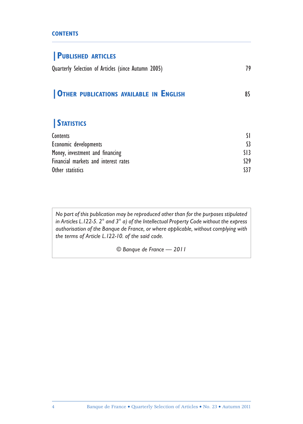#### **CONTENTS**

### **|PUBLISHED ARTICLES**

| Quarterly Selection of Articles (since Autumn 2005) |  |  |
|-----------------------------------------------------|--|--|
|-----------------------------------------------------|--|--|

### **|OTHER PUBLICATIONS AVAILABLE IN ENGLISH** 85

### **|STATISTICS**

| Contents                             |         |
|--------------------------------------|---------|
| Economic developments                |         |
| Money, investment and financing      | $\{1\}$ |
| Financial markets and interest rates | 529     |
| Other statistics                     | \$37    |

*No part of this publication may be reproduced other than for the purposes stipulated in Articles L.122-5. 2° and 3° a) of the Intellectual Property Code without the express authorisation of the Banque de France, or where applicable, without complying with the terms of Article L.122-10. of the said code.*

*© Banque de France — 2011*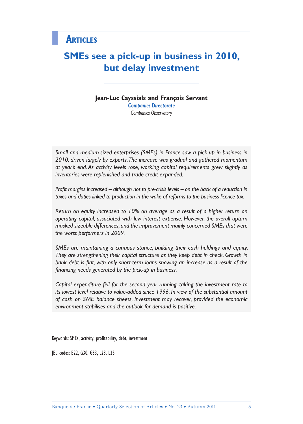### **SMEs see a pick-up in business in 2010, but delay investment**

**Jean-Luc Cayssials and François Servant** *Companies Directorate Companies Observatory*

*Small and medium-sized enterprises (SMEs) in France saw a pick-up in business in 2010, driven largely by exports. The increase was gradual and gathered momentum at year's end. As activity levels rose, working capital requirements grew slightly as inventories were replenished and trade credit expanded.*

*Profit margins increased – although not to pre-crisis levels – on the back of a reduction in taxes and duties linked to production in the wake of reforms to the business licence tax.*

*Return on equity increased to 10% on average as a result of a higher return on operating capital, associated with low interest expense. However, the overall upturn masked sizeable differences, and the improvement mainly concerned SMEs that were the worst performers in 2009.*

*SMEs are maintaining a cautious stance, building their cash holdings and equity.*  They are strengthening their capital structure as they keep debt in check. Growth in bank debt is flat, with only short-term loans showing an increase as a result of the financing needs generated by the pick-up in business.

*Capital expenditure fell for the second year running, taking the investment rate to its lowest level relative to value-added since 1996. In view of the substantial amount of cash on SME balance sheets, investment may recover, provided the economic environment stabilises and the outlook for demand is positive.*

Keywords: SMEs, activity, profitability, debt, investment

JEL codes: E22, G30, G33, L23, L25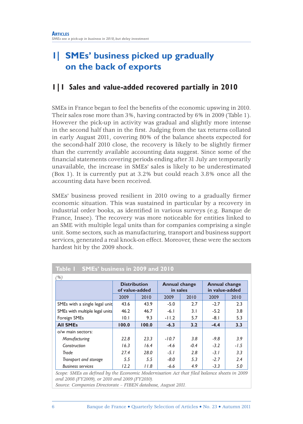### **1| SMEs' business picked up gradually on the back of exports**

### **1|1 Sales and value-added recovered partially in 2010**

SMEs in France began to feel the benefits of the economic upswing in 2010. Their sales rose more than 3%, having contracted by 6% in 2009 (Table 1). However the pick-up in activity was gradual and slightly more intense in the second half than in the first. Judging from the tax returns collated in early August 2011, covering 80% of the balance sheets expected for the second-half 2010 close, the recovery is likely to be slightly firmer than the currently available accounting data suggest. Since some of the financial statements covering periods ending after 31 July are temporarily unavailable, the increase in SMEs' sales is likely to be underestimated (Box 1). It is currently put at 3.2% but could reach 3.8% once all the accounting data have been received.

SMEs' business proved resilient in 2010 owing to a gradually firmer economic situation. This was sustained in particular by a recovery in industrial order books, as identified in various surveys (e.g. Banque de France, Insee). The recovery was more noticeable for entities linked to an SME with multiple legal units than for companies comprising a single unit. Some sectors, such as manufacturing, transport and business support services, generated a real knock-on effect. Moreover, these were the sectors hardest hit by the 2009 shock.

|                                | <b>Distribution</b><br>of value-added |       | <b>Annual change</b><br>in sales |        | <b>Annual change</b><br>in value-added |        |  |
|--------------------------------|---------------------------------------|-------|----------------------------------|--------|----------------------------------------|--------|--|
|                                | 2009                                  | 2010  | 2009<br>2010                     |        | 2009                                   | 2010   |  |
| SMEs with a single legal unit  | 43.6                                  | 43.9  | $-5.0$                           | 2.7    | $-2.7$                                 | 2.3    |  |
| SMEs with multiple legal units | 46.2                                  | 46.7  | $-6.1$                           | 3.1    | $-5.2$                                 | 3.8    |  |
| Foreign SMEs                   | 10.1                                  | 9.3   | $-11.2$                          | 5.7    | $-8.1$                                 | 5.3    |  |
| <b>All SMEs</b>                | 100.0                                 | 100.0 | $-6.3$                           | 3.2    | $-4.4$                                 | 3.3    |  |
| o/w main sectors:              |                                       |       |                                  |        |                                        |        |  |
| Manufacturing                  | 22.8                                  | 23.3  | $-10.7$                          | 3.8    | $-9.8$                                 | 3.9    |  |
| Construction                   | 16.3                                  | 16.4  | $-4.6$                           | $-0.4$ | $-3.2$                                 | $-1.5$ |  |
| Trade                          | 27.4                                  | 28.0  | $-5.1$                           | 2.8    | $-3.1$                                 | 3.3    |  |
| Transport and storage          | 5.5                                   | 5.5   | $-8.0$                           | 5.3    | $-2.7$                                 | 2.4    |  |
| <b>Business services</b>       | 12.2                                  | 11.8  | -6.6                             | 4.9    | $-3.3$                                 | 5.0    |  |

#### **Table 1 SMEs' business in 2009 and 2010**

*and 2008 (FY2009), or 2010 and 2009 (FY2010).*

*Source: Companies Directorate – FIBEN database, August 2011.*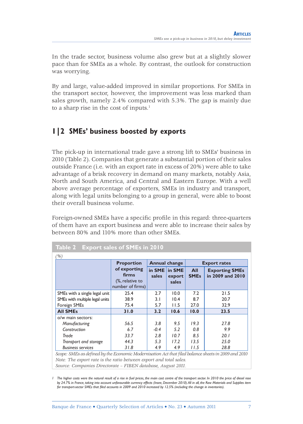In the trade sector, business volume also grew but at a slightly slower pace than for SMEs as a whole. By contrast, the outlook for construction was worrying.

By and large, value-added improved in similar proportions. For SMEs in the transport sector, however, the improvement was less marked than sales growth, namely 2.4% compared with 5.3%. The gap is mainly due to a sharp rise in the cost of inputs. $1$ 

### **1|2 SMEs' business boosted by exports**

The pick-up in international trade gave a strong lift to SMEs' business in 2010 (Table 2). Companies that generate a substantial portion of their sales outside France (i.e. with an export rate in excess of 20%) were able to take advantage of a brisk recovery in demand on many markets, notably Asia, North and South America, and Central and Eastern Europe. With a well above average percentage of exporters, SMEs in industry and transport, along with legal units belonging to a group in general, were able to boost their overall business volume.

Foreign-owned SMEs have a specific profile in this regard: three-quarters of them have an export business and were able to increase their sales by between 80% and 110% more than other SMEs.

|                                | <b>Annual change</b><br><b>Proportion</b>                    |                        | <b>Export rates</b> |                    |                                           |
|--------------------------------|--------------------------------------------------------------|------------------------|---------------------|--------------------|-------------------------------------------|
|                                | of exporting<br>firms<br>(%, relative to<br>number of firms) | in SME in SME<br>sales | export<br>sales     | All<br><b>SMEs</b> | <b>Exporting SMEs</b><br>in 2009 and 2010 |
| SMEs with a single legal unit  | 25.4                                                         | 2.7                    | 10.0                | 7.2                | 21.5                                      |
| SMEs with multiple legal units | 38.9                                                         | 3.1                    | 10.4                | 8.7                | 20.7                                      |
| Foreign SMEs                   | 75.4                                                         | 5.7                    | 11.5                | 27.0               | 32.9                                      |
| <b>All SMEs</b>                | 31.0                                                         | 3.2                    | 10.6                | 10.0               | 23.5                                      |
| o/w main sectors:              |                                                              |                        |                     |                    |                                           |
| Manufacturing                  | 56.5                                                         | 3.8                    | 9.5                 | 19.3               | 27.8                                      |
| Construction                   | 6.7                                                          | $-0.4$                 | 5.2                 | 0.8                | 9.9                                       |
| Trade                          | 33.7                                                         | 2.8                    | 10.7                | 8.5                | 20.1                                      |
| Transport and storage          | 44.3                                                         | 5.3                    | 17.2                | 13.5               | 25.0                                      |
| <b>Business services</b>       | 31.8                                                         | 4.9                    | 4.9                 | 11.5               | 28.8                                      |

*Source: Companies Directorate – FIBEN database, August 2011.*

*1 The higher costs were the natural result of a rise in fuel prices, the main cost centre of the transport sector. In 2010 the price of diesel rose by 24.7% in France, taking into account unfavourable currency effects (Insee, December 2010). All in all, the Raw Materials and Supplies item for transport-sector SMEs that filed accounts in 2009 and 2010 increased by 12.5% (including the change in inventories).*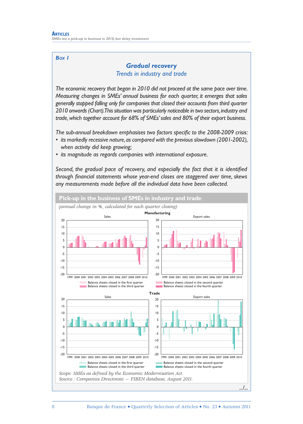#### *BOX 1*

### *Gradual recovery Trends in industry and trade*

*The economic recovery that began in 2010 did not proceed at the same pace over time. Measuring changes in SMEs' annual business for each quarter, it emerges that sales generally stopped falling only for companies that closed their accounts from third quarter 2010 onwards (Chart). This situation was particularly noticeable in two sectors, industry and trade, which together account for 68% of SMEs' sales and 80% of their export business.* 

The sub-annual breakdown emphasises two factors specific to the 2008-2009 crisis:

- *its markedly recessive nature, as compared with the previous slowdown (2001-2002), when activity did keep growing;*
- *its magnitude as regards companies with international exposure.*

Second, the gradual pace of recovery, and especially the fact that it is identified through financial statements whose year-end closes are staggered over time, skews *any measurements made before all the individual data have been collected.* 

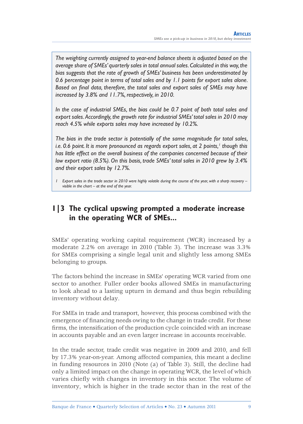*The weighting currently assigned to year-end balance sheets is adjusted based on the average share of SMEs' quarterly sales in total annual sales. Calculated in this way, the bias suggests that the rate of growth of SMEs' business has been underestimated by 0.6 percentage point in terms of total sales and by 1.1 points for export sales alone.*  Based on final data, therefore, the total sales and export sales of SMEs may have *increased by 3.8% and 11.7%, respectively, in 2010.* 

*In the case of industrial SMEs, the bias could be 0.7 point of both total sales and export sales. Accordingly, the growth rate for industrial SMEs' total sales in 2010 may reach 4.5% while exports sales may have increased by 10.2%.* 

*The bias in the trade sector is potentially of the same magnitude for total sales, i.e.* 0.6 point. It is more pronounced as regards export sales, at 2 points,' though this *has little effect on the overall business of the companies concerned because of their low export ratio (8.5%). On this basis, trade SMEs' total sales in 2010 grew by 3.4% and their export sales by 12.7%.* 

*1 Export sales in the trade sector in 2010 were highly volatile during the course of the year, with a sharp recovery – visible in the chart – at the end of the year.*

### **1|3 The cyclical upswing prompted a moderate increase in the operating WCR of SMEs...**

SMEs' operating working capital requirement (WCR) increased by a moderate 2.2% on average in 2010 (Table 3). The increase was 3.3% for SMEs comprising a single legal unit and slightly less among SMEs belonging to groups.

The factors behind the increase in SMEs' operating WCR varied from one sector to another. Fuller order books allowed SMEs in manufacturing to look ahead to a lasting upturn in demand and thus begin rebuilding inventory without delay.

For SMEs in trade and transport, however, this process combined with the emergence of financing needs owing to the change in trade credit. For these firms, the intensification of the production cycle coincided with an increase in accounts payable and an even larger increase in accounts receivable.

In the trade sector, trade credit was negative in 2009 and 2010, and fell by 17.3% year-on-year. Among affected companies, this meant a decline in funding resources in 2010 (Note (a) of Table 3). Still, the decline had only a limited impact on the change in operating WCR, the level of which varies chiefly with changes in inventory in this sector. The volume of inventory, which is higher in the trade sector than in the rest of the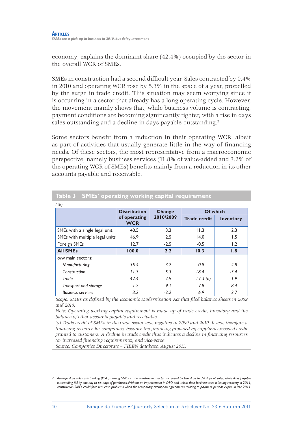economy, explains the dominant share (42.4%) occupied by the sector in the overall WCR of SMEs.

SMEs in construction had a second difficult year. Sales contracted by 0.4% in 2010 and operating WCR rose by 5.3% in the space of a year, propelled by the surge in trade credit. This situation may seem worrying since it is occurring in a sector that already has a long operating cycle. However, the movement mainly shows that, while business volume is contracting, payment conditions are becoming significantly tighter, with a rise in days sales outstanding and a decline in days payable outstanding.<sup>2</sup>

Some sectors benefit from a reduction in their operating WCR, albeit as part of activities that usually generate little in the way of financing needs. Of these sectors, the most representative from a macroeconomic perspective, namely business services (11.8% of value-added and 3.2% of the operating WCR of SMEs) benefits mainly from a reduction in its other accounts payable and receivable.

| (%)                            |                            |           |                     |                  |  |  |  |  |
|--------------------------------|----------------------------|-----------|---------------------|------------------|--|--|--|--|
|                                | <b>Distribution</b>        | Change    | Of which            |                  |  |  |  |  |
|                                | of operating<br><b>WCR</b> | 2010/2009 | <b>Trade credit</b> | <b>Inventory</b> |  |  |  |  |
| SMEs with a single legal unit  | 40.5                       | 3.3       | 11.3                | 2.3              |  |  |  |  |
| SMEs with multiple legal units | 46.9                       | 2.5       | 14.0                | 1.5              |  |  |  |  |
| Foreign SMEs                   | 12.7                       | $-2.5$    | $-0.5$              | 1.2              |  |  |  |  |
| <b>All SMEs</b>                | 100.0                      | 2.2       | 10.3                | 1.8              |  |  |  |  |
| o/w main sectors:              |                            |           |                     |                  |  |  |  |  |
| Manufacturing                  | 35.4                       | 3.2       | 0.8                 | 4.8              |  |  |  |  |
| Construction                   | 11.3                       | 5.3       | 18.4                | $-3.4$           |  |  |  |  |
| Trade                          | 42.4                       | 2.9       | $-17.3(a)$          | 1.9              |  |  |  |  |
| Transport and storage          | 1.2                        | 9.1       | 7.8                 | 8.4              |  |  |  |  |
| <b>Business services</b>       | 3.2                        | $-2.2$    | 6.9                 | 2.7              |  |  |  |  |

### **Table 3 SMEs' operating working capital requirement**

*Scope: SMEs as defined by the Economic Modernisation Act that filed balance sheets in 2009 and 2010.*

*Note: Operating working capital requirement is made up of trade credit, inventory and the balance of other accounts payable and receivable.*

*(a) Trade credit of SMEs in the trade sector was negative in 2009 and 2010. It was therefore a*  financing resource for companies, because the financing provided by suppliers exceeded credit *granted to customers. A decline in trade credit thus indicates a decline in fi nancing resources (or increased financing requirements), and vice-versa.* 

*Source: Companies Directorate – FIBEN database, August 2011.*

*<sup>2</sup> Average days sales outstanding (DSO) among SMEs in the construction sector increased by two days to 74 days of sales, while days payable outstanding fell by one day to 66 days of purchases. Without an improvement in DSO and unless their business sees a lasting recovery in 2011, construction SMEs could face real cash problems when the temporary exemption agreements relating to payment periods expire in late 2011.*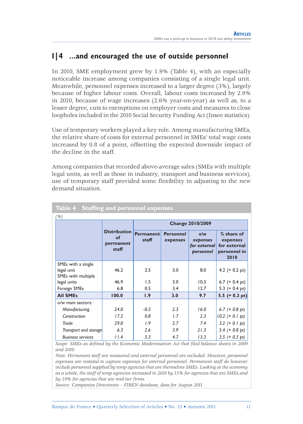### **I|4 ...and encouraged the use of outside personnel**

In 2010, SME employment grew by 1.9% (Table 4), with an especially noticeable increase among companies consisting of a single legal unit. Meanwhile, personnel expenses increased to a larger degree (3%), largely because of higher labour costs. Overall, labour costs increased by 2.9% in 2010, because of wage increases (2.6% year-on-year) as well as, to a lesser degree, cuts to exemptions on employer costs and measures to close loopholes included in the 2010 Social Security Funding Act (Insee statistics).

Use of temporary workers played a key role. Among manufacturing SMEs, the relative share of costs for external personnel in SMEs' total wage costs increased by 0.8 of a point, offsetting the expected downside impact of the decline in the staff.

Among companies that recorded above-average sales (SMEs with multiple legal units, as well as those in industry, transport and business services), use of temporary staff provided some flexibility in adjusting to the new demand situation.

| <u>Table 4 Staffing and personnel expenses</u>         |                                                 |                           |                              |                                              |                                                                |  |  |
|--------------------------------------------------------|-------------------------------------------------|---------------------------|------------------------------|----------------------------------------------|----------------------------------------------------------------|--|--|
| (%)                                                    |                                                 |                           |                              |                                              |                                                                |  |  |
|                                                        |                                                 |                           |                              | <b>Change 2010/2009</b>                      |                                                                |  |  |
|                                                        | <b>Distribution</b><br>οf<br>permanent<br>staff | <b>Permanent</b><br>staff | <b>Personnel</b><br>expenses | o/w<br>expenses<br>for external<br>personnel | % share of<br>expenses<br>for external<br>personnel in<br>2010 |  |  |
| SMEs with a single<br>legal unit<br>SMEs with multiple | 46.2                                            | 2.5                       | 3.0                          | 8.0                                          | 4.2 $(+ 0.2 \text{ pt})$                                       |  |  |
| legal units                                            | 46.9                                            | 1.5                       | 3.0                          | 10.3                                         | 6.7 $(+ 0.4 pt)$                                               |  |  |
| Foreign SMEs                                           | 6.8                                             | 0.5                       | 3.4                          | 12.7                                         | 5.3 $(+ 0.4 \text{ pt})$                                       |  |  |
| <b>All SMEs</b>                                        | 100.0                                           | 1.9                       | 3.0                          | 9.7                                          | 5.5 $(+ 0.3 pt)$                                               |  |  |
| o/w main sectors:                                      |                                                 |                           |                              |                                              |                                                                |  |  |
| Manufacturing                                          | 24.0                                            | $-0.3$                    | 2.3                          | 16.0                                         | $6.7$ (+ 0.8 pt)                                               |  |  |
| Construction                                           | 17.2                                            | 0.8                       | 1.7                          | 2.3                                          | $10.2$ (+ 0.1 pt)                                              |  |  |
| Trade                                                  | 29.0                                            | 1.9                       | 2.7                          | 7.4                                          | $3.2 (+ 0.1 pt)$                                               |  |  |
| Transport and storage                                  | 6.3                                             | 2.6                       | 3.9                          | 21.3                                         | 5.4 $(+ 0.8 \text{ pt})$                                       |  |  |
| <b>Business services</b>                               | 11.4                                            | 5.3                       | 4.7                          | 13.3                                         | 3.5 $(+ 0.3 pt)$                                               |  |  |

*Scope: SMEs as defined by the Economic Modernisation Act that filed balance sheets in 2009 and 2010.*

*Note: Permanent staff are measured and external personnel are excluded. However, personnel expenses are restated to capture expenses for external personnel. Permanent staff do however include personnel supplied by temp agencies that are themselves SMEs. Looking at the economy as a whole, the staff of temp agencies increased in 2010 by 15% for agencies that are SMEs and*  by 19% for agencies that are mid-tier firms.

*Source: Companies Directorate – FIBEN database, data for August 2011.*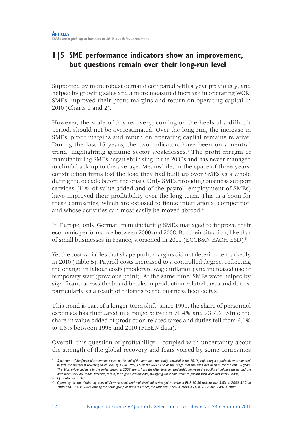### **1|5 SME performance indicators show an improvement, but questions remain over their long-run level**

Supported by more robust demand compared with a year previously, and helped by growing sales and a more measured increase in operating WCR, SMEs improved their profit margins and return on operating capital in 2010 (Charts 1 and 2).

However, the scale of this recovery, coming on the heels of a difficult period, should not be overestimated. Over the long run, the increase in SMEs' profit margins and return on operating capital remains relative. During the last 15 years, the two indicators have been on a neutral trend, highlighting genuine sector weaknesses.<sup>3</sup> The profit margin of manufacturing SMEs began shrinking in the 2000s and has never managed to climb back up to the average. Meanwhile, in the space of three years, construction firms lost the lead they had built up over SMEs as a whole during the decade before the crisis. Only SMEs providing business support services (11% of value-added and of the payroll employment of SMEs) have improved their profitability over the long term. This is a boon for these companies, which are exposed to fierce international competition and whose activities can most easily be moved abroad.4

In Europe, only German manufacturing SMEs managed to improve their economic performance between 2000 and 2008. But their situation, like that of small businesses in France, worsened in 2009 (ECCBSO, BACH ESD).<sup>5</sup>

Yet the cost variables that shape profit margins did not deteriorate markedly in 2010 (Table 5). Payroll costs increased to a controlled degree, reflecting the change in labour costs (moderate wage inflation) and increased use of temporary staff (previous point). At the same time, SMEs were helped by significant, across-the-board breaks in production-related taxes and duties, particularly as a result of reforms to the business licence tax.

This trend is part of a longer-term shift: since 1999, the share of personnel expenses has fluctuated in a range between  $71.4\%$  and  $73.7\%$ , while the share in value-added of production-related taxes and duties fell from 6.1% to 4.8% between 1996 and 2010 (FIBEN data).

Overall, this question of profitability – coupled with uncertainty about the strength of the global recovery and fears voiced by some companies

<sup>3</sup> Since some of the financial statements closed at the end of the year are temporarily unavailable, the 2010 profit margin is probably overestimated. *In fact, the margin is reverting to its level of 1996-1997, i.e. at the lower end of the range that the ratio has been in for the last 15 years. The bias, evidenced here in the series breaks in 2009, stems from the often inverse relationship between the quality of balance sheets and the date when they are made available, that is, for a given closing date, struggling companies tend to publish their accounts later (Charts). 4 Cf. El Mouhoub 2011.*

*<sup>5</sup>* Operating income divided by sales of German small and mid-sized industries (sales between EUR 10-50 million) was 3.8% in 2000, 5.3% in 2008 and 3.3% in 2009. Among the same group of firms in France, the ratio was 3.9% in 2000, 4.2% in 2008 and 2.8% in 2009.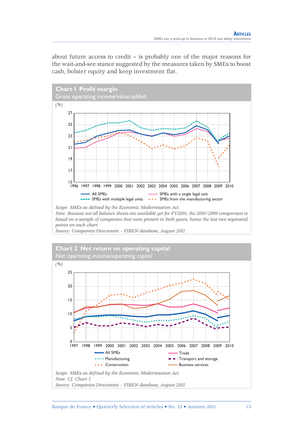about future access to credit – is probably one of the major reasons for the wait-and-see stance suggested by the measures taken by SMEs to boost cash, bolster equity and keep investment flat.



*based on a sample of companies that were present in both years, hence the last two separated points on each chart.* 

*Source: Companies Directorate – FIBEN database, August 2011.*

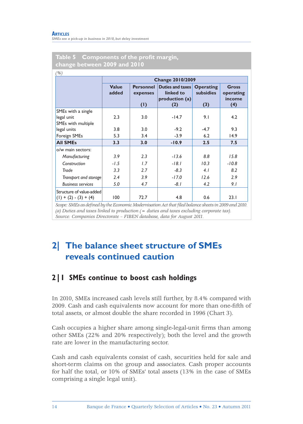|                          |                       |                                     | <b>Change 2010/2009</b>                                |                                      |                                     |
|--------------------------|-----------------------|-------------------------------------|--------------------------------------------------------|--------------------------------------|-------------------------------------|
|                          | <b>Value</b><br>added | <b>Personnel</b><br>expenses<br>(1) | Duties and taxes<br>linked to<br>production (a)<br>(2) | <b>Operating</b><br>subsidies<br>(3) | Gross<br>operating<br>income<br>(4) |
| SMEs with a single       |                       |                                     |                                                        |                                      |                                     |
| legal unit               | 2.3                   | 3.0                                 | $-14.7$                                                | 9.1                                  | 4.2                                 |
| SMEs with multiple       |                       |                                     |                                                        |                                      |                                     |
| legal units              | 3.8                   | 3.0                                 | $-9.2$                                                 | $-4.7$                               | 9.3                                 |
| Foreign SMEs             | 5.3                   | 3.4                                 | $-3.9$                                                 | 6.2                                  | 14.9                                |
| <b>All SMEs</b>          | 3.3                   | 3.0                                 | $-10.9$                                                | 2.5                                  | 7.5                                 |
| o/w main sectors:        |                       |                                     |                                                        |                                      |                                     |
| Manufacturing            | 3.9                   | 2.3                                 | $-13.6$                                                | 8.8                                  | 15.8                                |
| Construction             | $-1.5$                | 1.7                                 | $-18.1$                                                | 10.3                                 | $-10.8$                             |
| Trade                    | 3.3                   | 2.7                                 | $-8.3$                                                 | 4.1                                  | 8.2                                 |
| Transport and storage    | 2.4                   | 3.9                                 | $-17.0$                                                | 12.6                                 | 2.9                                 |
| <b>Business services</b> | 5.0                   | 4.7                                 | -8.1                                                   | 4.2                                  | 9. I                                |
| Structure of value-added |                       |                                     |                                                        |                                      |                                     |
| $(1) + (2) - (3) + (4)$  | 100                   | 72.7                                | 4.8                                                    | 0.6                                  | 23.1                                |

#### Table 5 Components of the profit margin, **change between 2009 and 2010**

*Scope: SMEs as defi ned by the Economic Modernisation Act that fi led balance sheets in 2009 and 2010. (a) Duties and taxes linked to production (= duties and taxes excluding corporate tax). Source: Companies Directorate – FIBEN database, data for August 2011.*

### **2| The balance sheet structure of SMEs reveals continued caution**

### **2|1 SMEs continue to boost cash holdings**

In 2010, SMEs increased cash levels still further, by 8.4% compared with 2009. Cash and cash equivalents now account for more than one-fifth of total assets, or almost double the share recorded in 1996 (Chart 3).

Cash occupies a higher share among single-legal-unit firms than among other SMEs (22% and 20% respectively); both the level and the growth rate are lower in the manufacturing sector.

Cash and cash equivalents consist of cash, securities held for sale and short-term claims on the group and associates. Cash proper accounts for half the total, or 10% of SMEs' total assets (13% in the case of SMEs comprising a single legal unit).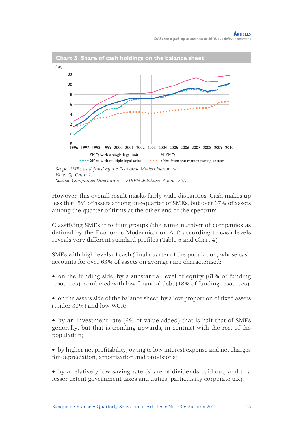

However, this overall result masks fairly wide disparities. Cash makes up less than 5% of assets among one-quarter of SMEs, but over 37% of assets among the quarter of firms at the other end of the spectrum.

Classifying SMEs into four groups (the same number of companies as defined by the Economic Modernisation Act) according to cash levels reveals very different standard profiles (Table 6 and Chart 4).

SMEs with high levels of cash (final quarter of the population, whose cash accounts for over 63% of assets on average) are characterised:

• on the funding side, by a substantial level of equity (61% of funding resources), combined with low financial debt (18% of funding resources);

• on the assets side of the balance sheet, by a low proportion of fixed assets (under 30%) and low WCR;

• by an investment rate (6% of value-added) that is half that of SMEs generally, but that is trending upwards, in contrast with the rest of the population;

• by higher net profitability, owing to low interest expense and net charges for depreciation, amortisation and provisions;

• by a relatively low saving rate (share of dividends paid out, and to a lesser extent government taxes and duties, particularly corporate tax).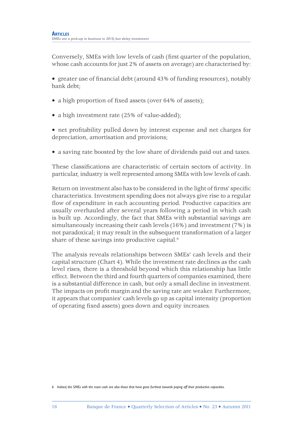Conversely, SMEs with low levels of cash (first quarter of the population, whose cash accounts for just 2% of assets on average) are characterised by:

• greater use of financial debt (around 43% of funding resources), notably bank debt;

- a high proportion of fixed assets (over 64% of assets);
- a high investment rate (25% of value-added);

• net profitability pulled down by interest expense and net charges for depreciation, amortisation and provisions;

• a saving rate boosted by the low share of dividends paid out and taxes.

These classifications are characteristic of certain sectors of activity. In particular, industry is well represented among SMEs with low levels of cash.

Return on investment also has to be considered in the light of firms' specific characteristics. Investment spending does not always give rise to a regular flow of expenditure in each accounting period. Productive capacities are usually overhauled after several years following a period in which cash is built up. Accordingly, the fact that SMEs with substantial savings are simultaneously increasing their cash levels (16%) and investment (7%) is not paradoxical; it may result in the subsequent transformation of a larger share of these savings into productive capital.<sup>6</sup>

The analysis reveals relationships between SMEs' cash levels and their capital structure (Chart 4). While the investment rate declines as the cash level rises, there is a threshold beyond which this relationship has little effect. Between the third and fourth quarters of companies examined, there is a substantial difference in cash, but only a small decline in investment. The impacts on profit margin and the saving rate are weaker. Furthermore, it appears that companies' cash levels go up as capital intensity (proportion of operating fixed assets) goes down and equity increases.

*<sup>6</sup> Indeed, the SMEs with the most cash are also those that have gone furthest towards paying off their productive capacities.*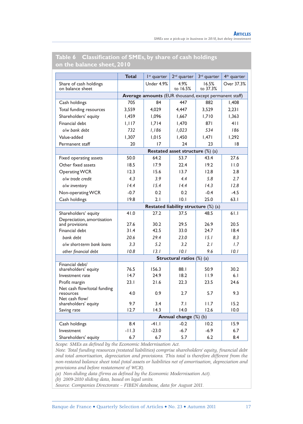|                                              | <b>Total</b> | I <sup>st</sup> quarter                                | $2nd$ quarter                        | 3 <sup>rd</sup> quarter | 4 <sup>th</sup> quarter |
|----------------------------------------------|--------------|--------------------------------------------------------|--------------------------------------|-------------------------|-------------------------|
| Share of cash holdings<br>on balance sheet   |              | Under 4.9%                                             | 4.9%<br>to 16.5%                     | 16.5%<br>to 37.3%       | Over 37.3%              |
|                                              |              | Average amounts (EUR thousand, except permanent staff) |                                      |                         |                         |
| Cash holdings                                | 705          | 84                                                     | 447                                  | 882                     | 1.408                   |
| Total funding resources                      | 3.559        | 4.029                                                  | 4.447                                | 3.529                   | 2.231                   |
| Shareholders' equity                         | 1.459        | 1.096                                                  | 1.667                                | 1.710                   | 1.363                   |
| Financial debt                               | 1.117        | 1.714                                                  | 1.470                                | 871                     | 411                     |
| o/w bank debt                                | 732          | 1,186                                                  | 1,023                                | 534                     | 186                     |
| Value-added                                  | 1.307        | 1.015                                                  | 1.450                                | 1.471                   | 1.292                   |
| Permanent staff                              | 20           | 17                                                     | 24                                   | 23                      | 18                      |
|                                              |              |                                                        | Restated asset structure (%) (a)     |                         |                         |
| Fixed operating assets                       | 50.0         | 64.2                                                   | 53.7                                 | 43.4                    | 27.6                    |
| Other fixed assets                           | 18.5         | 17.9                                                   | 22.4                                 | 19.2                    | 11.0                    |
| <b>Operating WCR</b>                         | 12.3         | 15.6                                                   | 13.7                                 | 12.8                    | 2.8                     |
| o/w trade credit                             | 4.3          | 3.9                                                    | 44                                   | 5.8                     | 2.7                     |
| o/w inventory                                | 14.4         | 15.4                                                   | 14.4                                 | 14.3                    | 12.8                    |
| Non-operating WCR                            | $-0.7$       | 0.2                                                    | 0.2                                  | $-0.4$                  | $-4.5$                  |
| Cash holdings                                | 19.8         | 2.1                                                    | 10.1                                 | 25.0                    | 63.1                    |
|                                              |              |                                                        | Restated liability structure (%) (a) |                         |                         |
| Shareholders' equity                         | 41.0         | 27.2                                                   | 37.5                                 | 48.5                    | 61.1                    |
| Depreciation, amortisation<br>and provisions | 27.6         | 30.2                                                   | 29.5                                 | 26.9                    | 20.5                    |
| Financial debt                               | 31.4         | 42.5                                                   | 33.0                                 | 24.7                    | 18.4                    |
| bank debt                                    | 20.6         | 29.4                                                   | 23.0                                 | 15.1                    | 8.3                     |
| o/w short-term bank loans                    | 33           | 5.2                                                    | 3.2                                  | 2l                      | 1.7                     |
| other financial debt                         | 10.8         | 13.1                                                   | 10.1                                 | 9.6                     | 10.1                    |
|                                              |              |                                                        | Structural ratios (%) (a)            |                         |                         |
| Financial debt/                              |              |                                                        |                                      |                         |                         |
| shareholders' equity<br>Investment rate      | 76.5<br>14.7 | 156.3<br>24.9                                          | 88.I<br>18.2                         | 50.9<br>11.9            | 30.2<br>6.1             |
|                                              | 23.1         | 21.6                                                   | 22.3                                 | 23.5                    | 24.6                    |
| Profit margin<br>Net cash flow/total funding |              |                                                        |                                      |                         |                         |
| resources<br>Net cash flow/                  | 4.0          | 0.9                                                    | 2.7                                  | 5.7                     | 9.3                     |
| shareholders' equity                         | 9.7          | 3.4                                                    | 7.1                                  | 11.7                    | 15.2                    |
| Saving rate                                  | 12.7         | 14.3                                                   | 14.0                                 | 12.6                    | 10.0                    |
|                                              |              |                                                        | Annual change (%) (b)                |                         |                         |
| Cash holdings                                | 8.4          | $-41.1$                                                | $-0.2$                               | 10.2                    | 15.9                    |
| Investment                                   | $-11.3$      | $-23.0$                                                | $-6.7$                               | $-6.9$                  | 6.7                     |
| Shareholders' equity                         | 6.7          | 6.7                                                    | 5.7                                  | 6.2                     | 8.4                     |

#### Table 6 Classification of SMEs, by share of cash holdings **on the balance sheet, 2010**

*Scope: SMEs as defined by the Economic Modernisation Act.* 

*Note: Total funding resources (restated liabilities) comprise shareholders' equity, fi nancial debt and total amortisation, depreciation and provisions. This total is therefore different from the non-restated balance sheet total (total assets or liabilities net of amortisation, depreciation and provisions and before restatement of WCR).*

*(a)* Non-sliding data (firms as defined by the Economic Modernisation Act).

*(b) 2009-2010 sliding data, based on legal units.*

*Source: Companies Directorate – FIBEN database, data for August 2011.*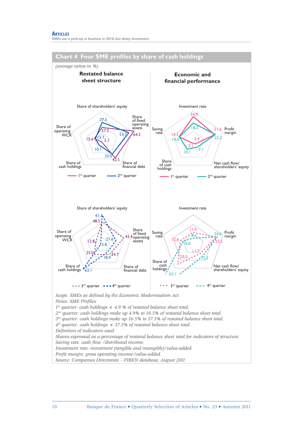#### **ARTICLES** *SMEs see a pick-up in business in 2010, but delay investment*

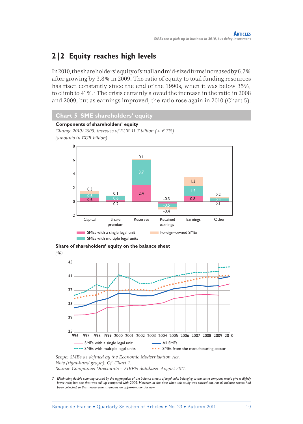### **2|2 Equity reaches high levels**

In 2010, the shareholders' equity of small and mid-sized fi rms increased by 6.7% after growing by 3.8% in 2009. The ratio of equity to total funding resources has risen constantly since the end of the 1990s, when it was below 35%, to climb to 41%.7 The crisis certainly slowed the increase in the ratio in 2008 and 2009, but as earnings improved, the ratio rose again in 2010 (Chart 5).



*7 Eliminating double counting caused by the aggregation of the balance sheets of legal units belonging to the same company would give a slightly lower ratio, but one that was still up compared with 2009. However, at the time when this study was carried out, not all balance sheets had been collected, so this measurement remains an approximation for now.*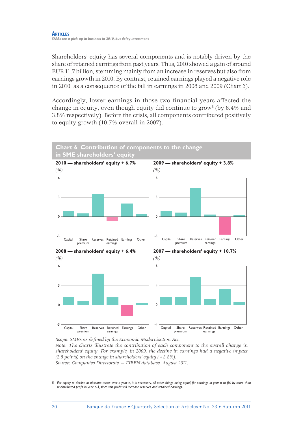Shareholders' equity has several components and is notably driven by the share of retained earnings from past years. Thus, 2010 showed a gain of around EUR 11.7 billion, stemming mainly from an increase in reserves but also from earnings growth in 2010. By contrast, retained earnings played a negative role in 2010, as a consequence of the fall in earnings in 2008 and 2009 (Chart 6).

Accordingly, lower earnings in those two financial years affected the change in equity, even though equity did continue to grow<sup>8</sup> (by  $6.4\%$  and 3.8% respectively). Before the crisis, all components contributed positively to equity growth (10.7% overall in 2007).



*shareholders' equity. For example, in 2009, the decline in earnings had a negative impact (2.8 points) on the change in shareholders' equity (+3.8%). Source: Companies Directorate — FIBEN database, August 2011.*

*8 For equity to decline in absolute terms over a year* n*, it is necessary, all other things being equal, for earnings in year* n *to fall by more than undistributed profi t in year* n-1*, since this profi t will increase reserves and retained earnings.*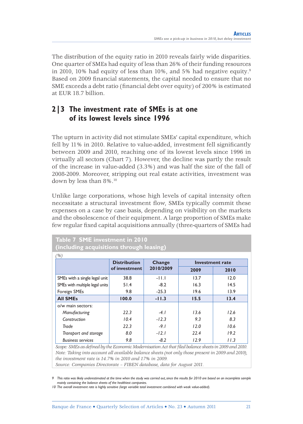The distribution of the equity ratio in 2010 reveals fairly wide disparities. One quarter of SMEs had equity of less than 26% of their funding resources in 2010, 10% had equity of less than 10%, and 5% had negative equity.<sup>9</sup> Based on 2009 financial statements, the capital needed to ensure that no SME exceeds a debt ratio (financial debt over equity) of 200% is estimated at EUR 18.7 billion.

### **2|3 The investment rate of SMEs is at one of its lowest levels since 1996**

The upturn in activity did not stimulate SMEs' capital expenditure, which fell by 11% in 2010. Relative to value-added, investment fell significantly between 2009 and 2010, reaching one of its lowest levels since 1996 in virtually all sectors (Chart 7). However, the decline was partly the result of the increase in value-added (3.3%) and was half the size of the fall of 2008-2009. Moreover, stripping out real estate activities, investment was down by less than 8%.10

Unlike large corporations, whose high levels of capital intensity often necessitate a structural investment flow, SMEs typically commit these expenses on a case by case basis, depending on visibility on the markets and the obsolescence of their equipment. A large proportion of SMEs make few regular fixed capital acquisitions annually (three-quarters of SMEs had

| Table 7 SME investment in 2010<br>(including acquisitions through leasing) |               |           |      |      |  |  |  |  |
|----------------------------------------------------------------------------|---------------|-----------|------|------|--|--|--|--|
| (%)<br><b>Distribution</b><br>Change<br><b>Investment rate</b>             |               |           |      |      |  |  |  |  |
|                                                                            | of investment | 2010/2009 | 2009 | 2010 |  |  |  |  |
| SMEs with a single legal unit                                              | 38.8          | $-11.1$   | 13.7 | 12.0 |  |  |  |  |
| SMEs with multiple legal units                                             | 51.4          | $-8.2$    | 16.3 | 14.5 |  |  |  |  |
| Foreign SMEs                                                               | 9.8           | $-25.3$   | 19.6 | 13.9 |  |  |  |  |
| <b>All SMEs</b>                                                            | 100.0         | $-11.3$   | 15.5 | 13.4 |  |  |  |  |
| o/w main sectors:                                                          |               |           |      |      |  |  |  |  |
| Manufacturing                                                              | 22.3          | $-4.1$    | 13.6 | 12.6 |  |  |  |  |
| Construction                                                               | 10.4          | $-12.3$   | 9.3  | 8.3  |  |  |  |  |
| Trade                                                                      | 22.3          | $-9.1$    | 12.0 | 10.6 |  |  |  |  |
| Transport and storage                                                      | 8.0           | $-12.1$   | 22.4 | 19.2 |  |  |  |  |
| <b>Business services</b>                                                   | 9.8           | $-8.2$    | 12.9 | 11.3 |  |  |  |  |

*Scope: SMEs as defined by the Economic Modernisation Act that filed balance sheets in 2009 and 2010. Note: Taking into account all available balance sheets (not only those present in 2009 and 2010), the investment rate is 14.7% in 2010 and 17% in 2009.*

*Source: Companies Directorate – FIBEN database, data for August 2011.*

*9* This ratio was likely underestimated at the time when the study was carried out, since the results for 2010 are based on an incomplete sample *mainly containing the balance sheets of the healthiest companies.*

*<sup>10</sup> The overall investment rate is highly sensitive (large variable total investment combined with weak value-added).*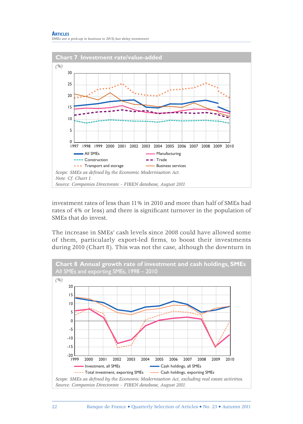



investment rates of less than 11% in 2010 and more than half of SMEs had rates of 4% or less) and there is significant turnover in the population of SMEs that do invest.

The increase in SMEs' cash levels since 2008 could have allowed some of them, particularly export-led firms, to boost their investments during 2010 (Chart 8). This was not the case, although the downturn in

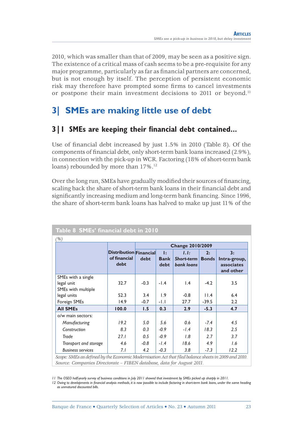2010, which was smaller than that of 2009, may be seen as a positive sign. The existence of a critical mass of cash seems to be a pre-requisite for any major programme, particularly as far as financial partners are concerned, but is not enough by itself. The perception of persistent economic risk may therefore have prompted some firms to cancel investments or postpone their main investment decisions to 2011 or beyond.<sup>11</sup>

### **3| SMEs are making little use of debt**

### **3** | **I** SMEs are keeping their financial debt contained...

Use of financial debt increased by just  $1.5\%$  in 2010 (Table 8). Of the components of financial debt, only short-term bank loans increased (2.9%), in connection with the pick-up in WCR. Factoring (18% of short-term bank loans) rebounded by more than 17%.<sup>12</sup>

Over the long run, SMEs have gradually modified their sources of financing, scaling back the share of short-term bank loans in their financial debt and significantly increasing medium and long-term bank financing. Since 1996, the share of short-term bank loans has halved to make up just 11% of the

| (%)                                                    |                                                       | <b>Change 2010/2009</b> |                                     |                                                |                    |                                               |  |
|--------------------------------------------------------|-------------------------------------------------------|-------------------------|-------------------------------------|------------------------------------------------|--------------------|-----------------------------------------------|--|
|                                                        | <b>Distribution Financial</b><br>of financial<br>debt | debt                    | $\mathbf{E}$<br><b>Bank</b><br>debt | 1.1:<br><b>Short-term</b><br><b>bank loans</b> | 2:<br><b>Bonds</b> | 3:<br>Intra-group,<br>associates<br>and other |  |
| SMEs with a single<br>legal unit<br>SMEs with multiple | 32.7                                                  | $-0.3$                  | $-1.4$                              | $\mathsf{I}$ .4                                | $-4.2$             | 3.5                                           |  |
| legal units                                            | 52.3                                                  | 3.4                     | 1.9                                 | $-0.8$                                         | 11.4               | 6.4                                           |  |
| Foreign SMEs                                           | 14.9                                                  | $-0.7$                  | -1.1                                | 27.7                                           | $-39.5$            | 2.2                                           |  |
| <b>All SMEs</b>                                        | 100.0                                                 | 1.5                     | 0.3                                 | 2.9                                            | $-5.3$             | 4.7                                           |  |
| o/w main sectors:                                      |                                                       |                         |                                     |                                                |                    |                                               |  |
| Manufacturing                                          | 19.2                                                  | 5.0                     | 5.6                                 | 0.6                                            | $-7.4$             | 4.5                                           |  |
| Construction                                           | 8.3                                                   | 0.3                     | $-0.9$                              | $-1.4$                                         | 18.3               | 2.5                                           |  |
| Trade                                                  | 27.1                                                  | 0.5                     | $-0.9$                              | 1.8                                            | 2.7                | 3.7                                           |  |
| Transport and storage                                  | 4.6                                                   | -0.8                    | $-1.4$                              | 18.6                                           | 4.9                | 1.6                                           |  |
| <b>Business services</b>                               | 7. I                                                  | 4.2                     | $-0.3$                              | 3.8                                            | $-7.3$             | 12.2                                          |  |

*Scope: SMEs as defi ned by the Economic Modernisation Act that fi led balance sheets in 2009 and 2010. Source: Companies Directorate – FIBEN database, data for August 2011.*

*<sup>11</sup> The OSEO half-yearly survey of business conditions in July 2011 showed that investment by SMEs picked up sharply in 2011.* 

<sup>12</sup> Owing to developments in financial analysis methods, it is now possible to include factoring in short-term bank loans, under the same heading *as unmatured discounted bills.*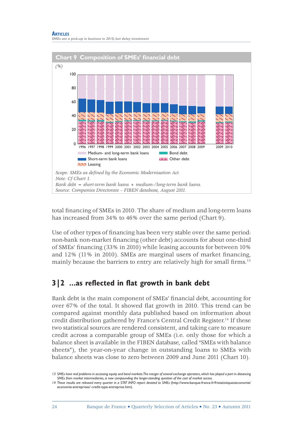#### **ARTICLES** *SMEs see a pick-up in business in 2010, but delay investment*



total financing of SMEs in 2010. The share of medium and long-term loans has increased from 34% to 46% over the same period (Chart 9).

Use of other types of financing has been very stable over the same period: non-bank non-market financing (other debt) accounts for about one-third of SMEs' financing (33% in 2010) while leasing accounts for between 10% and  $12\%$  (11% in 2010). SMEs are marginal users of market financing, mainly because the barriers to entry are relatively high for small firms.<sup>13</sup>

### **3**|2 ...as reflected in flat growth in bank debt

Bank debt is the main component of SMEs' financial debt, accounting for over 67% of the total. It showed flat growth in 2010. This trend can be compared against monthly data published based on information about credit distribution gathered by France's Central Credit Register.14 If these two statistical sources are rendered consistent, and taking care to measure credit across a comparable group of SMEs (i.e. only those for which a balance sheet is available in the FIBEN database, called "SMEs with balance sheets"), the year-on-year change in outstanding loans to SMEs with balance sheets was close to zero between 2009 and June 2011 (Chart 10).

*<sup>13</sup> SMEs have real problems in accessing equity and bond markets. The merger of several exchange operators, which has played a part in distancing SMEs from market intermediaries, is now compounding the longer-standing question of the cost of market access.*

*<sup>14</sup> These results are released every quarter in a STAT INFO report devoted to SMEs* (http://www.banque-france.fr/fristatistiquesieconomie/ economie-entreprises/ credit-type-entreprise.htm).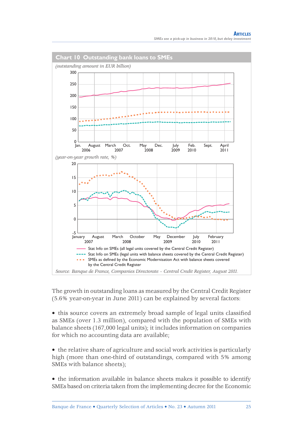

The growth in outstanding loans as measured by the Central Credit Register (5.6% year-on-year in June 2011) can be explained by several factors:

• this source covers an extremely broad sample of legal units classified as SMEs (over 1.3 million), compared with the population of SMEs with balance sheets (167,000 legal units); it includes information on companies for which no accounting data are available;

• the relative share of agriculture and social work activities is particularly high (more than one-third of outstandings, compared with 5% among SMEs with balance sheets);

• the information available in balance sheets makes it possible to identify SMEs based on criteria taken from the implementing decree for the Economic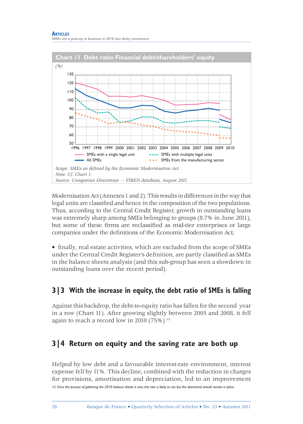

Modernisation Act (Annexes 1 and 2). This results in differences in the way that legal units are classified and hence in the composition of the two populations. Thus, according to the Central Credit Register, growth in outstanding loans was extremely sharp among SMEs belonging to groups (8.7% in June 2011), but some of these firms are reclassified as mid-tier enterprises or large companies under the definitions of the Economic Modernisation Act;

• finally, real estate activities, which are excluded from the scope of SMEs under the Central Credit Register's definition, are partly classified as SMEs in the balance sheets analysis (and this sub-group has seen a slowdown in outstanding loans over the recent period).

### **3|3 With the increase in equity, the debt ratio of SMEs is falling**

Against this backdrop, the debt-to-equity ratio has fallen for the second year in a row (Chart 11). After growing slightly between 2005 and 2008, it fell again to reach a record low in 2010 (75%).<sup>15</sup>

### **3|4 Return on equity and the saving rate are both up**

Helped by low debt and a favourable interest-rate environment, interest expense fell by 11%. This decline, combined with the reduction in charges for provisions, amortisation and depreciation, led to an improvement

*15 Once the process of gathering the 2010 balance sheets is over, this rate is likely to rise but the downtrend should remain in place.*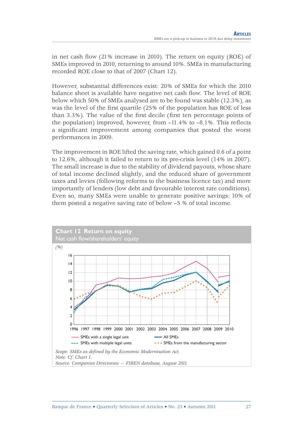in net cash flow  $(21\%$  increase in 2010). The return on equity  $(ROE)$  of SMEs improved in 2010, returning to around 10%. SMEs in manufacturing recorded ROE close to that of 2007 (Chart 12).

However, substantial differences exist: 20% of SMEs for which the 2010 balance sheet is available have negative net cash flow. The level of ROE below which 50% of SMEs analysed are to be found was stable (12.3%), as was the level of the first quartile (25% of the population has ROE of less than  $3.3\%$ ). The value of the first decile (first ten percentage points of the population) improved, however, from  $-11.4\%$  to  $-8.1\%$ . This reflects a significant improvement among companies that posted the worst performances in 2009.

The improvement in ROE lifted the saving rate, which gained 0.6 of a point to 12.6%, although it failed to return to its pre-crisis level (14% in 2007). The small increase is due to the stability of dividend payouts, whose share of total income declined slightly, and the reduced share of government taxes and levies (following reforms to the business licence tax) and more importantly of lenders (low debt and favourable interest rate conditions). Even so, many SMEs were unable to generate positive savings: 10% of them posted a negative saving rate of below –5 % of total income.

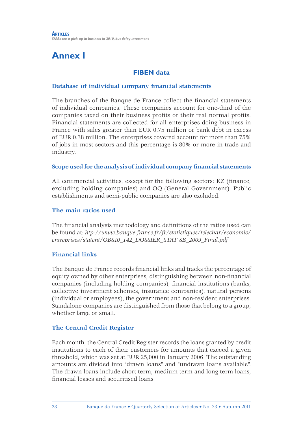### **Annex I**

### **FIBEN data**

#### **Database of individual company financial statements**

The branches of the Banque de France collect the financial statements of individual companies. These companies account for one-third of the companies taxed on their business profits or their real normal profits. Financial statements are collected for all enterprises doing business in France with sales greater than EUR 0.75 million or bank debt in excess of EUR 0.38 million. The enterprises covered account for more than 75% of jobs in most sectors and this percentage is 80% or more in trade and industry.

#### **Scope used for the analysis of individual company financial statements**

All commercial activities, except for the following sectors: KZ (finance, excluding holding companies) and OQ (General Government). Public establishments and semi-public companies are also excluded.

#### **The main ratios used**

The financial analysis methodology and definitions of the ratios used can be found at: *htp://www.banque-france.fr/fr/statistiques/telechar/economie/ entreprises/statent/OBS10\_142\_DOSSIER\_STAT SE\_2009\_Final.pdf*

### **Financial links**

The Banque de France records financial links and tracks the percentage of equity owned by other enterprises, distinguishing between non-financial companies (including holding companies), financial institutions (banks, collective investment schemes, insurance companies), natural persons (individual or employees), the government and non-resident enterprises. Standalone companies are distinguished from those that belong to a group, whether large or small.

### **The Central Credit Register**

Each month, the Central Credit Register records the loans granted by credit institutions to each of their customers for amounts that exceed a given threshold, which was set at EUR 25,000 in January 2006. The outstanding amounts are divided into "drawn loans" and "undrawn loans available". The drawn loans include short-term, medium-term and long-term loans, fi nancial leases and securitised loans.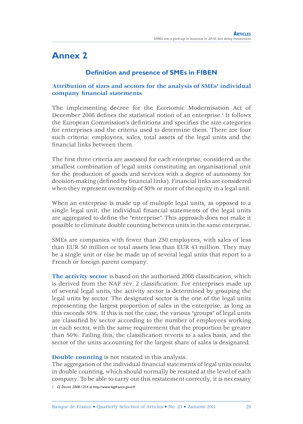### **Annex 2**

### **Definition and presence of SMEs in FIBEN**

#### **Attribution of sizes and sectors for the analysis of SMEs' individual company financial statements**

The implementing decree for the Economic Modernisation Act of December 2008 defines the statistical notion of an enterprise.<sup>1</sup> It follows the European Commission's definitions and specifies the size categories for enterprises and the criteria used to determine them. There are four such criteria: employees, sales, total assets of the legal units and the financial links between them.

The first three criteria are assessed for each enterprise, considered as the smallest combination of legal units constituting an organisational unit for the production of goods and services with a degree of autonomy for decision-making (defined by financial links). Financial links are considered when they represent ownership of 50% or more of the equity in a legal unit.

When an enterprise is made up of multiple legal units, as opposed to a single legal unit, the individual financial statements of the legal units are aggregated to define the "enterprise". This approach does not make it possible to eliminate double counting between units in the same enterprise.

SMEs are companies with fewer than 250 employees, with sales of less than EUR 50 million or total assets less than EUR 43 million. They may be a single unit or else be made up of several legal units that report to a French or foreign parent company.

**The activity sector** is based on the authorised 2008 classification, which is derived from the NAF rév. 2 classification. For enterprises made up of several legal units, the activity sector is determined by grouping the legal units by sector. The designated sector is the one of the legal units representing the largest proportion of sales in the enterprise, as long as this exceeds 50%. If this is not the case, the various "groups" of legal units are classified by sector according to the number of employees working in each sector, with the same requirement that the proportion be greater than 50%. Failing this, the classification reverts to a sales basis, and the sector of the units accounting for the largest share of sales is designated.

#### **Double counting** is not restated in this analysis.

The aggregation of the individual financial statements of legal units results in double counting, which should normally be restated at the level of each company. To be able to carry out this restatement correctly, it is necessary *1 Cf. Decree 2008-1354 at* http://www.legifrance.gouv.fr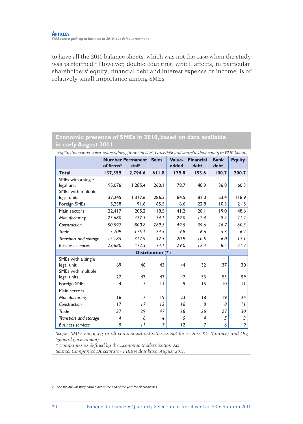to have all the 2010 balance sheets, which was not the case when the study was performed.<sup>2</sup> However, double counting, which affects, in particular, shareholders' equity, financial debt and interest expense or income, is of relatively small importance among SMEs.

### **Economic presence of SMEs in 2010, based on data available in early August 2011**

| (staff in thousands, sales, value-added, financial debt, bank debt and shareholders' equity in EUR billion) |                |                                  |                  |                 |                   |                     |               |  |
|-------------------------------------------------------------------------------------------------------------|----------------|----------------------------------|------------------|-----------------|-------------------|---------------------|---------------|--|
|                                                                                                             | of firms*      | <b>Number Permanent</b><br>staff | <b>Sales</b>     | Value-<br>added | Financial<br>debt | <b>Bank</b><br>debt | <b>Equity</b> |  |
| <b>Total</b>                                                                                                | 137,559        | 2,794.6                          | 611.8            | 179.8           | 153.6             | 100.7               | 200.7         |  |
| SMEs with a single                                                                                          |                |                                  |                  |                 |                   |                     |               |  |
| legal unit                                                                                                  | 95.076         | 1.285.4                          | 260.1            | 78.7            | 48.9              | 36.8                | 60.3          |  |
| SMEs with multiple                                                                                          |                |                                  |                  |                 |                   |                     |               |  |
| legal units                                                                                                 | 37.245         | 1,317.6                          | 286.3            | 84.5            | 82.0              | 53.4                | 118.9         |  |
| Foreign SMEs                                                                                                | 5,238          | 191.6                            | 65.5             | 16.6            | 22.8              | 10.5                | 21.5          |  |
| Main sectors                                                                                                | 22.417         | 205.2                            | 118.5            | 41.2            | 28.1              | 19.0                | 48.6          |  |
| Manufacturing                                                                                               | 23,680         | 472.3                            | 74.1             | 29.0            | 12.4              | 8.4                 | 21.2          |  |
| Construction                                                                                                | 50,597         | 800.8                            | 289.5            | 49.5            | 39.6              | 26.7                | 60.3          |  |
| Trade                                                                                                       | 5,709          | 175.1                            | 24.5             | 9.8             | 6.6               | 5.3                 | 6.2           |  |
| Transport and storage                                                                                       | 12,185         | 312.9                            | 42.5             | 20.9            | 10.5              | 6.0                 | 17.1          |  |
| <b>Business services</b>                                                                                    | 23,680         | 472.3                            | 74.1             | 29.0            | 12.4              | 8.4                 | 21.2          |  |
|                                                                                                             |                |                                  | Distribution (%) |                 |                   |                     |               |  |
| SMEs with a single                                                                                          |                |                                  |                  |                 |                   |                     |               |  |
| legal unit                                                                                                  | 69             | 46                               | 43               | 44              | 32                | 37                  | 30            |  |
| SMEs with multiple                                                                                          |                |                                  |                  |                 |                   |                     |               |  |
| legal units                                                                                                 | 27             | 47                               | 47               | 47              | 53                | 53                  | 59            |  |
| Foreign SMEs                                                                                                | 4              | 7                                | П                | 9               | 15                | 10                  | П             |  |
| Main sectors                                                                                                |                |                                  |                  |                 |                   |                     |               |  |
| Manufacturing                                                                                               | 16             | 7                                | 9                | 23              | 18                | 19                  | 24            |  |
| Construction                                                                                                | 17             | 17                               | 12               | 16              | 8                 | 8                   | $\frac{1}{2}$ |  |
| Trade                                                                                                       | 37             | 29                               | 47               | 28              | 26                | 27                  | 30            |  |
| Transport and storage                                                                                       | $\overline{4}$ | 6                                | 4                | 5               | 4                 | 5                   | 3             |  |
| <b>Business services</b>                                                                                    | 9              | $\mathcal{L}$                    | 7                | 12              | 7                 | 6                   | 9             |  |

Scope: SMEs engaging in all commercial activities except for sectors KZ (finance) and OQ *(general government).* 

*\* Companies as defi ned by the Economic Modernisation Act.*

*Source: Companies Directorate - FIBEN database, August 2011.*

*2 See the annual study carried out at the end of the year for all businesses.*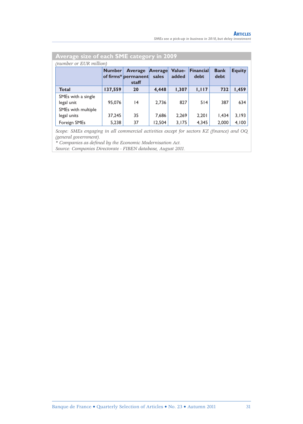| Average size of each SME category in 2009 |               |                                                |                  |                 |                   |                     |               |
|-------------------------------------------|---------------|------------------------------------------------|------------------|-----------------|-------------------|---------------------|---------------|
| (number or EUR million)                   |               |                                                |                  |                 |                   |                     |               |
|                                           | <b>Number</b> | <b>Average</b><br>of firms* permanent<br>staff | Average<br>sales | Value-<br>added | Financial<br>debt | <b>Bank</b><br>debt | <b>Equity</b> |
| <b>Total</b>                              | 137,559       | 20                                             | 4,448            | 1,307           | 1,117             | 732                 | 1,459         |
| SMEs with a single<br>legal unit          | 95.076        | $\overline{14}$                                | 2.736            | 827             | 514               | 387                 | 634           |
| SMEs with multiple<br>legal units         | 37,245        | 35                                             | 7.686            | 2.269           | 2,201             | 1.434               | 3,193         |
| Foreign SMEs                              | 5,238         | 37                                             | 12,504           | 3,175           | 4,345             | 2,000               | 4,100         |

*Scope: SMEs engaging in all commercial activities except for sectors KZ (finance) and OQ (general government).* 

*\* Companies as defi ned by the Economic Modernisation Act.*

*Source: Companies Directorate - FIBEN database, August 2011.*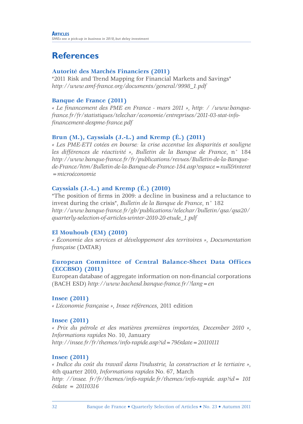### **References**

### **Autorité des Marchés Financiers (2011)**

"2011 Risk and Trend Mapping for Financial Markets and Savings" *http://www.amf-france.org/documents/general/9998\_1.pdf*

### **Banque de France (2011)**

*« Le fi nancement des PME en France - mars 2011 »*, *http: / /www.banquefrance.fr/fr/statistiques/telechar/economie/entreprises/2011-03-stat-infofi nancement-despme-france.pdf*

### **Brun (M.), Cayssials (J.-L.) and Kremp (É.) (2011)**

*« Les PME-ETI cotées en bourse: la crise accentue les disparités et souligne les différences de réactivité »*, *Bulletin de la Banque de France*, n° 184 *http://www.banque-france.fr/fr/publications/revues/Bulletin-de-la-Banquede-France/htm/Bulletin-de-la-Banque-de-France-184.asp?espace=null&interet =microéconomie*

#### **Cayssials (J.-L.) and Kremp (É.) (2010)**

"The position of firms in 2009: a decline in business and a reluctance to invest during the crisis", *Bulletin de la Banque de France*, n° 182 *http://www.banque-france.fr/gb/publications/telechar/bulletin/qsa/qsa20/ quarterly-selection-of-articles-winter-2010-20-etude\_1.pdf*

### **El Mouhoub (EM) (2010)**

*« Économie des services et développement des territoires »*, *Documentation française* (DATAR)

#### **European Committee of Central Balance-Sheet Data Offices (ECCBSO) (2011)**

European database of aggregate information on non-fi nancial corporations (BACH ESD) *http://www.bachesd.banque-france.fr/?lang=en*

#### **Insee (2011)**

*« L'économie française »*, *Insee références*, 2011 edition

#### **Insee (2011)**

*« Prix du pétrole et des matières premières importées, December 2010 »*, *Informations rapides* No. 10, January *http://insee.fr/fr/themes/info-rapide.asp?id=79&date=20110111*

#### **Insee (2011)**

*« Indice du coût du travail dans l'industrie, la construction et le tertiaire »*, 4th quarter 2010, *Informations rapides* No. 67, March *http: //insee. fr/fr/themes/info-rapide.fr/themes/info-rapide. asp?id= 101 &date = 20110316*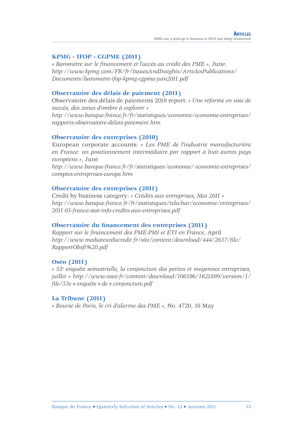#### **KPMG - IFOP - CGPME (2011)**

*« Baromètre sur le fi nancement et l'accès au crédit des PME »*, June *http://www.kpmg.com/FR/fr/IssuesAndInsights/ArticlesPublications/ Documents/barometre-ifop-kpmg-cgpme-juin2011.pdf*

#### **Observatoire des délais de paiement (2011)**

Observatoire des délais de paiements 2010 report: *« Une réforme en voie de succès, des zones d'ombre à explorer » http://www.banque-france.fr/fr/statistiques/economie/economie-entreprises/ rapports-observatoire-delais-paiement.htm*

#### **Observatoire des entreprises (2010)**

European corporate accounts: *« Les PME de l'industrie manufacturière en France: un positionnement intermédiaire par rapport à huit autres pays européens »*, June

*http://www.banque-france.fr/fr/statistiques/economie/ economie-entreprises/ comptes-entreprises-europe.htm*

#### **Observatoire des entreprises (2011)**

Credit by business category: *« Crédits aux entreprises, Mai 2011 » http://www.banque-france.fr/fr/statistiques/telechar/economie/entreprises/ 2011-05-france-stat-info-credits-aux-entreprises.pdf*

#### Observatoire du financement des entreprises (2011)

*Rapport sur le financement des PME-PMI et ETI en France*, April *http://www.mediateurducredit.fr/site/content/download/444/2637/fi le/ RapportObsfi %20.pdf*

#### **Oséo (2011)**

*« 53e enquête semestrielle, la conjoncture des petites et moyennes entreprises, juillet » http://www.oseo.fr/content/download/106596/1621899/version/1/ fi le/53e+enquête+de+conjoncture.pdf*

#### **La Tribune (2011)**

*« Bourse de Paris, le cri d'alarme des PME »*, No. 4720, 10 May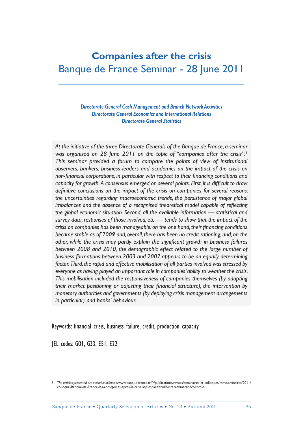### **Companies after the crisis** Banque de France Seminar - 28 June 2011

*Directorate General Cash Management and Branch Network Activities Directorate General Economics and International Relations Directorate General Statistics*

*At the initiative of the three Directorate Generals of the Banque de France, a seminar was organised on 28 June 2011 on the topic of "companies after the crisis".1 This seminar provided a forum to compare the points of view of institutional observers, bankers, business leaders and academics on the impact of the crisis on*  non-financial corporations, in particular with respect to their financing conditions and capacity for growth. A consensus emerged on several points. First, it is difficult to draw definitive conclusions on the impact of the crisis on companies for several reasons: *the uncertainties regarding macroeconomic trends, the persistence of major global*  imbalances and the absence of a recognised theoretical model capable of reflecting *the global economic situation. Second, all the available information — statistical and survey data, responses of those involved, etc. — tends to show that the impact of the*  crisis on companies has been manageable: on the one hand, their financing conditions *became stable as of 2009 and, overall, there has been no credit rationing; and, on the*  other, while the crisis may partly explain the significant growth in business failures *between 2008 and 2010, the demographic effect related to the large number of business formations between 2003 and 2007 appears to be an equally determining factor. Third, the rapid and effective mobilisation of all parties involved was stressed by everyone as having played an important role in companies' ability to weather the crisis. This mobilisation included the responsiveness of companies themselves (by adapting*  their market positioning or adjusting their financial structure), the intervention by *monetary authorities and governments (by deploying crisis management arrangements in particular) and banks' behaviour.*

Keywords: financial crisis, business failure, credit, production capacity

JEL codes: GO1, G33, E51, E22

*I The articles presented are available at:* http://www.banque-france.fr/fr/publications/revues/seminaires-et-colloques/htm/seminaires/2011/ colloque-Banque-de-France-les-entreprises-apres-la-crise.asp?espace=null&interet=macroeconomie*.*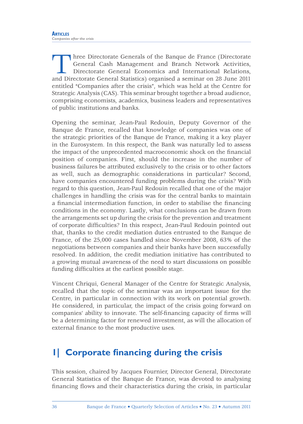Three Directorate Generals of the Banque de France (Directorate General Cash Management and Branch Network Activities, Directorate General Economics and International Relations, and Directorate General Statistics) organised a seminar on 28 June 2011 entitled "Companies after the crisis", which was held at the Centre for Strategic Analysis (CAS). This seminar brought together a broad audience, comprising economists, academics, business leaders and representatives of public institutions and banks.

Opening the seminar, Jean-Paul Redouin, Deputy Governor of the Banque de France, recalled that knowledge of companies was one of the strategic priorities of the Banque de France, making it a key player in the Eurosystem. In this respect, the Bank was naturally led to assess the impact of the unprecedented macroeconomic shock on the financial position of companies. First, should the increase in the number of business failures be attributed exclusively to the crisis or to other factors as well, such as demographic considerations in particular? Second, have companies encountered funding problems during the crisis? With regard to this question, Jean-Paul Redouin recalled that one of the major challenges in handling the crisis was for the central banks to maintain a financial intermediation function, in order to stabilise the financing conditions in the economy. Lastly, what conclusions can be drawn from the arrangements set up during the crisis for the prevention and treatment of corporate difficulties? In this respect, Jean-Paul Redouin pointed out that, thanks to the credit mediation duties entrusted to the Banque de France, of the 25,000 cases handled since November 2008, 63% of the negotiations between companies and their banks have been successfully resolved. In addition, the credit mediation initiative has contributed to a growing mutual awareness of the need to start discussions on possible funding difficulties at the earliest possible stage.

Vincent Chriqui, General Manager of the Centre for Strategic Analysis, recalled that the topic of the seminar was an important issue for the Centre, in particular in connection with its work on potential growth. He considered, in particular, the impact of the crisis going forward on companies' ability to innovate. The self-financing capacity of firms will be a determining factor for renewed investment, as will the allocation of external finance to the most productive uses.

### **1| Corporate financing during the crisis**

This session, chaired by Jacques Fournier, Director General, Directorate General Statistics of the Banque de France, was devoted to analysing financing flows and their characteristics during the crisis, in particular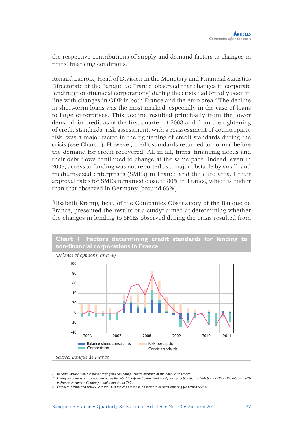the respective contributions of supply and demand factors to changes in firms' financing conditions.

Renaud Lacroix, Head of Division in the Monetary and Financial Statistics Directorate of the Banque de France, observed that changes in corporate lending (non-financial corporations) during the crisis had broadly been in line with changes in GDP in both France and the euro area.<sup>2</sup> The decline in short-term loans was the most marked, especially in the case of loans to large enterprises. This decline resulted principally from the lower demand for credit as of the first quarter of 2008 and from the tightening of credit standards; risk assessment, with a reassessment of counterparty risk, was a major factor in the tightening of credit standards during the crisis (see Chart 1). However, credit standards returned to normal before the demand for credit recovered. All in all, firms' financing needs and their debt flows continued to change at the same pace. Indeed, even in 2009, access to funding was not reported as a major obstacle by small- and medium-sized enterprises (SMEs) in France and the euro area. Credit approval rates for SMEs remained close to 80% in France, which is higher than that observed in Germany (around 65%).<sup>3</sup>

Élisabeth Kremp, head of the Companies Observatory of the Banque de France, presented the results of a study<sup>4</sup> aimed at determining whether the changes in lending to SMEs observed during the crisis resulted from



*<sup>2</sup> Renaud Lacroix: "Some lessons drawn from comparing sources available at the Banque de France".*

*<sup>3</sup> During the most recent period covered by the latest European Central Bank (ECB) survey (September 2010-February 2011), the rate was 76% in France whereas in Germany it had improved to 79%.*

*<sup>4</sup> Élisabeth Kremp and Patrick Sevestre: "Did the crisis result in an increase in credit rationing for French SMEs?".*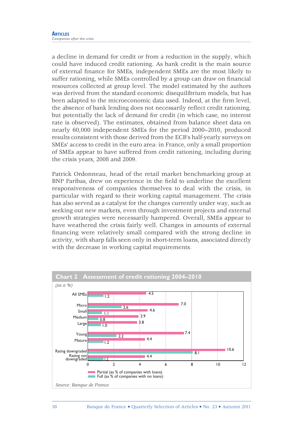a decline in demand for credit or from a reduction in the supply, which could have induced credit rationing. As bank credit is the main source of external finance for SMEs, independent SMEs are the most likely to suffer rationing, while SMEs controlled by a group can draw on financial resources collected at group level. The model estimated by the authors was derived from the standard economic disequilibrium models, but has been adapted to the microeconomic data used. Indeed, at the firm level, the absence of bank lending does not necessarily reflect credit rationing, but potentially the lack of demand for credit (in which case, no interest rate is observed). The estimates, obtained from balance sheet data on nearly 60,000 independent SMEs for the period 2000–2010, produced results consistent with those derived from the ECB's half-yearly surveys on SMEs' access to credit in the euro area: in France, only a small proportion of SMEs appear to have suffered from credit rationing, including during the crisis years, 2008 and 2009.

Patrick Ordonneau, head of the retail market benchmarking group at BNP Paribas, drew on experience in the field to underline the excellent responsiveness of companies themselves to deal with the crisis, in particular with regard to their working capital management. The crisis has also served as a catalyst for the changes currently under way, such as seeking out new markets, even through investment projects and external growth strategies were necessarily hampered. Overall, SMEs appear to have weathered the crisis fairly well. Changes in amounts of external financing were relatively small compared with the strong decline in activity, with sharp falls seen only in short-term loans, associated directly with the decrease in working capital requirements.

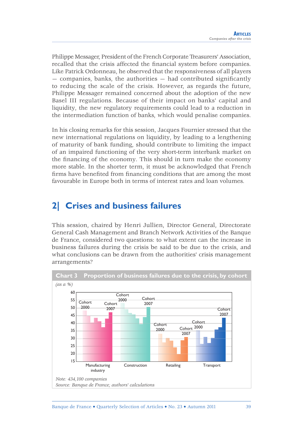Philippe Messager, President of the French Corporate Treasurers' Association, recalled that the crisis affected the financial system before companies. Like Patrick Ordonneau, he observed that the responsiveness of all players  $-$  companies, banks, the authorities  $-$  had contributed significantly to reducing the scale of the crisis. However, as regards the future, Philippe Messager remained concerned about the adoption of the new Basel III regulations. Because of their impact on banks' capital and liquidity, the new regulatory requirements could lead to a reduction in the intermediation function of banks, which would penalise companies.

In his closing remarks for this session, Jacques Fournier stressed that the new international regulations on liquidity, by leading to a lengthening of maturity of bank funding, should contribute to limiting the impact of an impaired functioning of the very short-term interbank market on the financing of the economy. This should in turn make the economy more stable. In the shorter term, it must be acknowledged that French firms have benefited from financing conditions that are among the most favourable in Europe both in terms of interest rates and loan volumes.

# **2| Crises and business failures**

This session, chaired by Henri Jullien, Director General, Directorate General Cash Management and Branch Network Activities of the Banque de France, considered two questions: to what extent can the increase in business failures during the crisis be said to be due to the crisis, and what conclusions can be drawn from the authorities' crisis management arrangements?

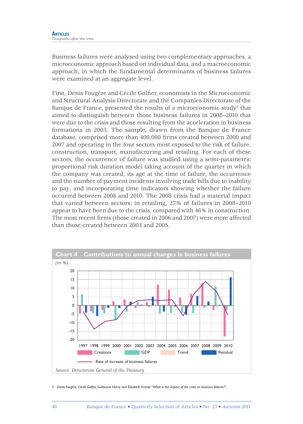Business failures were analysed using two complementary approaches, a microeconomic approach based on individual data, and a macroeconomic approach, in which the fundamental determinants of business failures were examined at an aggregate level.

First, Denis Fougère and Cécile Golfier, economists in the Microeconomic and Structural Analysis Directorate and the Companies Directorate of the Banque de France, presented the results of a microeconomic study<sup>5</sup> that aimed to distinguish between those business failures in 2008–2010 that were due to the crisis and those resulting from the acceleration in business formations in 2003. The sample, drawn from the Banque de France database, comprised more than 400,000 firms created between 2000 and 2007 and operating in the four sectors most exposed to the risk of failure: construction, transport, manufacturing and retailing. For each of these sectors, the occurrence of failure was studied using a semi-parametric proportional risk duration model taking account of the quarter in which the company was created, its age at the time of failure, the occurrence and the number of payment incidents involving trade bills due to inability to pay, and incorporating time indicators showing whether the failure occurred between 2008 and 2010. The 2008 crisis had a material impact that varied between sectors: in retailing, 27% of failures in 2008–2010 appear to have been due to the crisis, compared with 46% in construction. The most recent firms (those created in 2006 and 2007) were more affected than those created between 2003 and 2005.



5 Denis Fougère, Cécile Golfier, Guillaume Horny and Élisabeth Kremp: "What is the impact of the crisis on business failures?".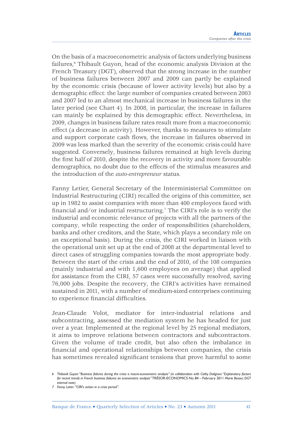On the basis of a macroeconometric analysis of factors underlying business failures,<sup>6</sup> Thibault Guyon, head of the economic analysis Division at the French Treasury (DGT), observed that the strong increase in the number of business failures between 2007 and 2009 can partly be explained by the economic crisis (because of lower activity levels) but also by a demographic effect: the large number of companies created between 2003 and 2007 led to an almost mechanical increase in business failures in the later period (see Chart 4). In 2008, in particular, the increase in failures can mainly be explained by this demographic effect. Nevertheless, in 2009, changes in business failure rates result more from a macroeconomic effect (a decrease in activity). However, thanks to measures to stimulate and support corporate cash flows, the increase in failures observed in 2009 was less marked than the severity of the economic crisis could have suggested. Conversely, business failures remained at high levels during the first half of 2010, despite the recovery in activity and more favourable demographics, no doubt due to the effects of the stimulus measures and the introduction of the *auto-entrepreneur* status.

Fanny Letier, General Secretary of the Interministerial Committee on Industrial Restructuring (CIRI) recalled the origins of this committee, set up in 1982 to assist companies with more than 400 employees faced with financial and/or industrial restructuring.<sup>7</sup> The CIRI's role is to verify the industrial and economic relevance of projects with all the partners of the company, while respecting the order of responsibilities (shareholders, banks and other creditors, and the State, which plays a secondary role on an exceptional basis). During the crisis, the CIRI worked in liaison with the operational unit set up at the end of 2008 at the departmental level to direct cases of struggling companies towards the most appropriate body. Between the start of the crisis and the end of 2010, of the 108 companies (mainly industrial and with 1,600 employees on average) that applied for assistance from the CIRI, 57 cases were successfully resolved, saving 76,000 jobs. Despite the recovery, the CIRI's activities have remained sustained in 2011, with a number of medium-sized enterprises continuing to experience financial difficulties.

Jean-Claude Volot, mediator for inter-industrial relations and subcontracting, assessed the mediation system he has headed for just over a year. Implemented at the regional level by 25 regional mediators, it aims to improve relations between contractors and subcontractors. Given the volume of trade credit, but also often the imbalance in financial and operational relationships between companies, the crisis has sometimes revealed significant tensions that prove harmful to some

*<sup>6</sup> Thibault Guyon: "Business failures during the crisis: a macro-econometric analysis" (in collaboration with Cathy Dolignon: "Explanatory factors for recent trends in French business failures: an econometric analysis"* TRÉSOR-ECONOMICS No. 84 – February 2011 *Marie Bessec: DGT internal note).*

*<sup>7</sup> Fanny Letier: "CIRI's action in a crisis period".*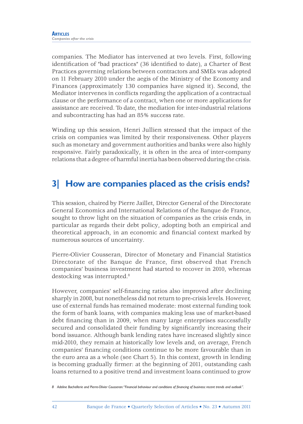companies. The Mediator has intervened at two levels. First, following identification of "bad practices" (36 identified to date), a Charter of Best Practices governing relations between contractors and SMEs was adopted on 11 February 2010 under the aegis of the Ministry of the Economy and Finances (approximately 130 companies have signed it). Second, the Mediator intervenes in conflicts regarding the application of a contractual clause or the performance of a contract, when one or more applications for assistance are received. To date, the mediation for inter-industrial relations and subcontracting has had an 85% success rate.

Winding up this session, Henri Jullien stressed that the impact of the crisis on companies was limited by their responsiveness. Other players such as monetary and government authorities and banks were also highly responsive. Fairly paradoxically, it is often in the area of inter-company relations that a degree of harmful inertia has been observed during the crisis.

# **3| How are companies placed as the crisis ends?**

This session, chaired by Pierre Jaillet, Director General of the Directorate General Economics and International Relations of the Banque de France, sought to throw light on the situation of companies as the crisis ends, in particular as regards their debt policy, adopting both an empirical and theoretical approach, in an economic and financial context marked by numerous sources of uncertainty.

Pierre-Olivier Cousseran, Director of Monetary and Financial Statistics Directorate of the Banque de France, first observed that French companies' business investment had started to recover in 2010, whereas destocking was interrupted.<sup>8</sup>

However, companies' self-financing ratios also improved after declining sharply in 2008, but nonetheless did not return to pre-crisis levels. However, use of external funds has remained moderate: most external funding took the form of bank loans, with companies making less use of market-based debt financing than in 2009, when many large enterprises successfully secured and consolidated their funding by significantly increasing their bond issuance. Although bank lending rates have increased slightly since mid-2010, they remain at historically low levels and, on average, French companies' financing conditions continue to be more favourable than in the euro area as a whole (see Chart 5). In this context, growth in lending is becoming gradually firmer: at the beginning of 2011, outstanding cash loans returned to a positive trend and investment loans continued to grow

*<sup>8</sup> Adeline Bachellerie and Pierre-Olivier Cousseran: "Financial behaviour and conditions of fi nancing of business: recent trends and outlook".*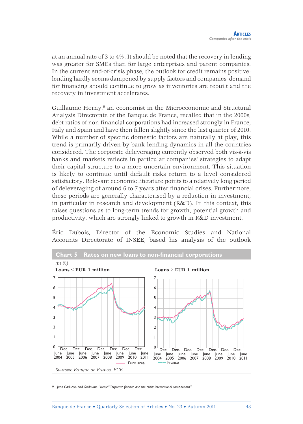at an annual rate of 3 to 4%. It should be noted that the recovery in lending was greater for SMEs than for large enterprises and parent companies. In the current end-of-crisis phase, the outlook for credit remains positive: lending hardly seems dampened by supply factors and companies' demand for financing should continue to grow as inventories are rebuilt and the recovery in investment accelerates.

Guillaume Horny,<sup>9</sup> an economist in the Microeconomic and Structural Analysis Directorate of the Banque de France, recalled that in the 2000s, debt ratios of non-financial corporations had increased strongly in France, Italy and Spain and have then fallen slightly since the last quarter of 2010. While a number of specific domestic factors are naturally at play, this trend is primarily driven by bank lending dynamics in all the countries considered. The corporate deleveraging currently observed both vis-à-vis banks and markets reflects in particular companies' strategies to adapt their capital structure to a more uncertain environment. This situation is likely to continue until default risks return to a level considered satisfactory. Relevant economic literature points to a relatively long period of deleveraging of around 6 to 7 years after fi nancial crises. Furthermore, these periods are generally characterised by a reduction in investment, in particular in research and development (R&D). In this context, this raises questions as to long-term trends for growth, potential growth and productivity, which are strongly linked to growth in R&D investment.

Éric Dubois, Director of the Economic Studies and National Accounts Directorate of INSEE, based his analysis of the outlook



9 Juan Carluccio and Guillaume Horny: "Corporate finance and the crisis: International comparisons".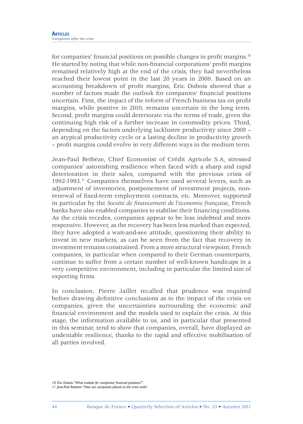for companies' financial positions on possible changes in profit margins.<sup>10</sup> He started by noting that while non-financial corporations' profit margins remained relatively high at the end of the crisis, they had nevertheless reached their lowest point in the last 20 years in 2009. Based on an accounting breakdown of profit margins, Éric Dubois showed that a number of factors made the outlook for companies' financial positions uncertain. First, the impact of the reform of French business tax on profit margins, while positive in 2010, remains uncertain in the long term. Second, profit margins could deteriorate via the terms of trade, given the continuing high risk of a further increase in commodity prices. Third, depending on the factors underlying lacklustre productivity since 2008 – an atypical productivity cycle or a lasting decline in productivity growth – profi t margins could evolve in very different ways in the medium term.

Jean-Paul Betbèze, Chief Economist of Crédit Agricole S.A, stressed companies' astonishing resilience when faced with a sharp and rapid deterioration in their sales, compared with the previous crisis of 1992-1993.11 Companies themselves have used several levers, such as adjustment of inventories, postponement of investment projects, nonrenewal of fixed-term employment contracts, etc. Moreover, supported in particular by the *Société de financement de l'économie française*, French banks have also enabled companies to stabilise their financing conditions. As the crisis recedes, companies appear to be less indebted and more responsive. However, as the recovery has been less marked than expected, they have adopted a wait-and-see attitude, questioning their ability to invest in new markets, as can be seen from the fact that recovery in investment remains constrained. From a more structural viewpoint, French companies, in particular when compared to their German counterparts, continue to suffer from a certain number of well-known handicaps in a very competitive environment, including in particular the limited size of exporting firms.

In conclusion, Pierre Jaillet recalled that prudence was required before drawing definitive conclusions as to the impact of the crisis on companies, given the uncertainties surrounding the economic and financial environment and the models used to explain the crisis. At this stage, the information available to us, and in particular that presented in this seminar, tend to show that companies, overall, have displayed an undeniable resilience, thanks to the rapid and effective mobilisation of all parties involved.

*<sup>10</sup> Éric Dubois: "What outlook for companies' fi nancial positions?".*

*<sup>11</sup> Jean-Paul Betbèze: "How are companies placed as the crisis ends?.*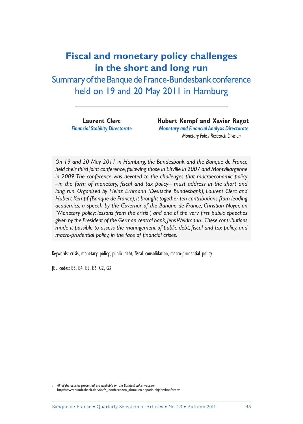# **Fiscal and monetary policy challenges in the short and long run**

Summary of the Banque de France-Bundesbank conference held on 19 and 20 May 2011 in Hamburg

**Laurent Clerc Thubert Kempf and Xavier Ragot**  *Financial Stability Directorate Monetary and Financial Analysis Directorate Monetary Policy Research Division*

*On 19 and 20 May 2011 in Hamburg, the Bundesbank and the Banque de France held their third joint conference, following those in Eltville in 2007 and Montvillargenne in 2009. The conference was devoted to the challenges that macroeconomic policy*  -in the form of monetary, fiscal and tax policy- must address in the short and *long run. Organised by Heinz Erhmann (Deutsche Bundesbank), Laurent Clerc and Hubert Kempf (Banque de France), it brought together ten contributions from leading academics, a speech by the Governor of the Banque de France, Christian Noyer, on*  "Monetary policy: lessons from the crisis", and one of the very first public speeches *given by the President of the German central bank, Jens Weidmann.1 These contributions made it possible to assess the management of public debt, fiscal and tax policy, and macro-prudential policy, in the face of financial crises.* 

Keywords: crisis, monetary policy, public debt, fiscal consolidation, macro-prudential policy

JEL codes: E3, E4, E5, E6, G2, G3

*1 All of the articles presented are available on the Bundesbank's website:*  http://www.bundesbank.deNfevfz\_lconferenzen\_aktuellen.php#fruehjahrskonferenz*.*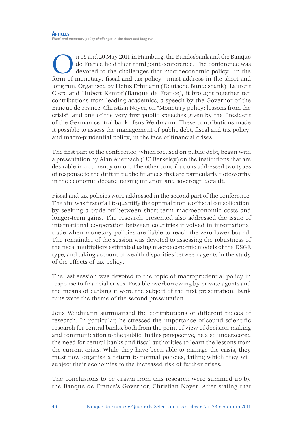In 19 and 20 May 2011 in Hamburg, the Bundesbank and the Banque de France held their third joint conference. The conference was devoted to the challenges that macroeconomic policy – in the short and form of monetary, fisca de France held their third joint conference. The conference was devoted to the challenges that macroeconomic policy –in the long run. Organised by Heinz Erhmann (Deutsche Bundesbank), Laurent Clerc and Hubert Kempf (Banque de France), it brought together ten contributions from leading academics, a speech by the Governor of the Banque de France, Christian Noyer, on "Monetary policy: lessons from the crisis", and one of the very first public speeches given by the President of the German central bank, Jens Weidmann. These contributions made it possible to assess the management of public debt, fiscal and tax policy, and macro-prudential policy, in the face of financial crises.

The first part of the conference, which focused on public debt, began with a presentation by Alan Auerbach (UC Berkeley) on the institutions that are desirable in a currency union. The other contributions addressed two types of response to the drift in public finances that are particularly noteworthy in the economic debate: raising inflation and sovereign default.

Fiscal and tax policies were addressed in the second part of the conference. The aim was first of all to quantify the optimal profile of fiscal consolidation, by seeking a trade-off between short-term macroeconomic costs and longer-term gains. The research presented also addressed the issue of international cooperation between countries involved in international trade when monetary policies are liable to reach the zero lower bound. The remainder of the session was devoted to assessing the robustness of the fiscal multipliers estimated using macroeconomic models of the DSGE type, and taking account of wealth disparities between agents in the study of the effects of tax policy.

The last session was devoted to the topic of macroprudential policy in response to financial crises. Possible overborrowing by private agents and the means of curbing it were the subject of the first presentation. Bank runs were the theme of the second presentation.

Jens Weidmann summarised the contributions of different pieces of research. In particular, he stressed the importance of sound scientific research for central banks, both from the point of view of decision-making and communication to the public. In this perspective, he also underscored the need for central banks and fiscal authorities to learn the lessons from the current crisis. While they have been able to manage the crisis, they must now organise a return to normal policies, failing which they will subject their economies to the increased risk of further crises.

The conclusions to be drawn from this research were summed up by the Banque de France's Governor, Christian Noyer. After stating that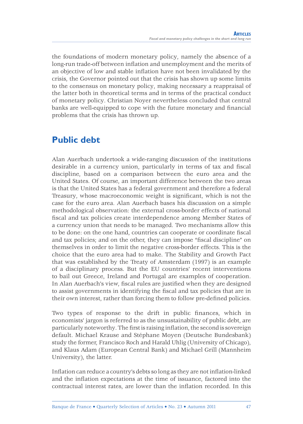the foundations of modern monetary policy, namely the absence of a long-run trade-off between inflation and unemployment and the merits of an objective of low and stable inflation have not been invalidated by the crisis, the Governor pointed out that the crisis has shown up some limits to the consensus on monetary policy, making necessary a reappraisal of the latter both in theoretical terms and in terms of the practical conduct of monetary policy. Christian Noyer nevertheless concluded that central banks are well-equipped to cope with the future monetary and financial problems that the crisis has thrown up.

# **Public debt**

Alan Auerbach undertook a wide-ranging discussion of the institutions desirable in a currency union, particularly in terms of tax and fiscal discipline, based on a comparison between the euro area and the United States. Of course, an important difference between the two areas is that the United States has a federal government and therefore a federal Treasury, whose macroeconomic weight is significant, which is not the case for the euro area. Alan Auerbach bases his discussion on a simple methodological observation: the external cross-border effects of national fiscal and tax policies create interdependence among Member States of a currency union that needs to be managed. Two mechanisms allow this to be done: on the one hand, countries can cooperate or coordinate fiscal and tax policies; and on the other, they can impose "fiscal discipline" on themselves in order to limit the negative cross-border effects. This is the choice that the euro area had to make. The Stability and Growth Pact that was established by the Treaty of Amsterdam (1997) is an example of a disciplinary process. But the EU countries' recent interventions to bail out Greece, Ireland and Portugal are examples of cooperation. In Alan Auerbach's view, fiscal rules are justified when they are designed to assist governments in identifying the fiscal and tax policies that are in their own interest, rather than forcing them to follow pre-defined policies.

Two types of response to the drift in public finances, which in economists' jargon is referred to as the unsustainability of public debt, are particularly noteworthy. The first is raising inflation, the second is sovereign default. Michael Krause and Stéphane Moyen (Deutsche Bundesbank) study the former, Francisco Roch and Harald Uhlig (University of Chicago), and Klaus Adam (European Central Bank) and Michael Grill (Mannheim University), the latter.

Inflation can reduce a country's debts so long as they are not inflation-linked and the inflation expectations at the time of issuance, factored into the contractual interest rates, are lower than the inflation recorded. In this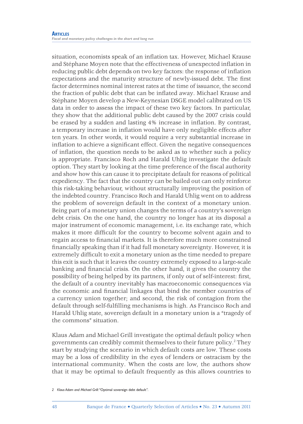situation, economists speak of an inflation tax. However, Michael Krause and Stéphane Moyen note that the effectiveness of unexpected inflation in reducing public debt depends on two key factors: the response of inflation expectations and the maturity structure of newly-issued debt. The first factor determines nominal interest rates at the time of issuance, the second the fraction of public debt that can be inflated away. Michael Krause and Stéphane Moyen develop a New-Keynesian DSGE model calibrated on US data in order to assess the impact of these two key factors. In particular, they show that the additional public debt caused by the 2007 crisis could be erased by a sudden and lasting 4% increase in inflation. By contrast, a temporary increase in inflation would have only negligible effects after ten years. In other words, it would require a very substantial increase in inflation to achieve a significant effect. Given the negative consequences of infl ation, the question needs to be asked as to whether such a policy is appropriate. Francisco Roch and Harald Uhlig investigate the default option. They start by looking at the time preference of the fiscal authority and show how this can cause it to precipitate default for reasons of political expediency. The fact that the country can be bailed out can only reinforce this risk-taking behaviour, without structurally improving the position of the indebted country. Francisco Roch and Harald Uhlig went on to address the problem of sovereign default in the context of a monetary union. Being part of a monetary union changes the terms of a country's sovereign debt crisis. On the one hand, the country no longer has at its disposal a major instrument of economic management, i.e. its exchange rate, which makes it more difficult for the country to become solvent again and to regain access to financial markets. It is therefore much more constrained financially speaking than if it had full monetary sovereignty. However, it is extremely difficult to exit a monetary union as the time needed to prepare this exit is such that it leaves the country extremely exposed to a large-scale banking and financial crisis. On the other hand, it gives the country the possibility of being helped by its partners, if only out of self-interest: first, the default of a country inevitably has macroeconomic consequences via the economic and financial linkages that bind the member countries of a currency union together; and second, the risk of contagion from the default through self-fulfilling mechanisms is high. As Francisco Roch and Harald Uhlig state, sovereign default in a monetary union is a "tragedy of the commons" situation.

Klaus Adam and Michael Grill investigate the optimal default policy when governments can credibly commit themselves to their future policy.2 They start by studying the scenario in which default costs are low. These costs may be a loss of credibility in the eyes of lenders or ostracism by the international community. When the costs are low, the authors show that it may be optimal to default frequently as this allows countries to

*<sup>2</sup> Klaus Adam and Michael Grill: "*Optimal sovereign debt default*".*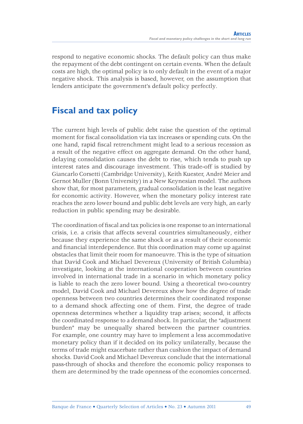respond to negative economic shocks. The default policy can thus make the repayment of the debt contingent on certain events. When the default costs are high, the optimal policy is to only default in the event of a major negative shock. This analysis is based, however, on the assumption that lenders anticipate the government's default policy perfectly.

# **Fiscal and tax policy**

The current high levels of public debt raise the question of the optimal moment for fiscal consolidation via tax increases or spending cuts. On the one hand, rapid fiscal retrenchment might lead to a serious recession as a result of the negative effect on aggregate demand. On the other hand, delaying consolidation causes the debt to rise, which tends to push up interest rates and discourage investment. This trade-off is studied by Giancarlo Corsetti (Cambridge University), Keith Kuester, André Meier and Gernot Muller (Bonn University) in a New Keynesian model. The authors show that, for most parameters, gradual consolidation is the least negative for economic activity. However, when the monetary policy interest rate reaches the zero lower bound and public debt levels are very high, an early reduction in public spending may be desirable.

The coordination of fiscal and tax policies is one response to an international crisis, i.e. a crisis that affects several countries simultaneously, either because they experience the same shock or as a result of their economic and financial interdependence. But this coordination may come up against obstacles that limit their room for manoeuvre. This is the type of situation that David Cook and Michael Devereux (University of British Columbia) investigate, looking at the international cooperation between countries involved in international trade in a scenario in which monetary policy is liable to reach the zero lower bound. Using a theoretical two-country model, David Cook and Michael Devereux show how the degree of trade openness between two countries determines their coordinated response to a demand shock affecting one of them. First, the degree of trade openness determines whether a liquidity trap arises; second, it affects the coordinated response to a demand shock. In particular, the "adjustment burden" may be unequally shared between the partner countries. For example, one country may have to implement a less accommodative monetary policy than if it decided on its policy unilaterally, because the terms of trade might exacerbate rather than cushion the impact of demand shocks. David Cook and Michael Devereux conclude that the international pass-through of shocks and therefore the economic policy responses to them are determined by the trade openness of the economies concerned.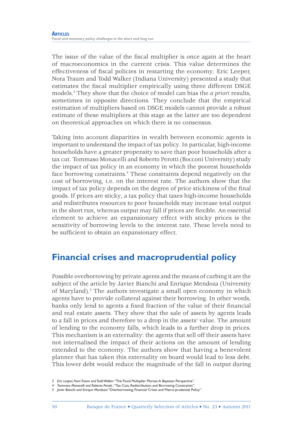The issue of the value of the fiscal multiplier is once again at the heart of macroeconomics in the current crisis. This value determines the effectiveness of fiscal policies in restarting the economy. Eric Leeper, Nora Traum and Todd Walker (Indiana University) presented a study that estimates the fiscal multiplier empirically using three different DSGE models.3 They show that the choice of model can bias the *a priori* results, sometimes in opposite directions. They conclude that the empirical estimation of multipliers based on DSGE models cannot provide a robust estimate of these multipliers at this stage as the latter are too dependent on theoretical approaches on which there is no consensus.

Taking into account disparities in wealth between economic agents is important to understand the impact of tax policy. In particular, high-income households have a greater propensity to save than poor households after a tax cut. Tommaso Monacelli and Roberto Perotti (Bocconi University) study the impact of tax policy in an economy in which the poorest households face borrowing constraints.4 These constraints depend negatively on the cost of borrowing, i.e. on the interest rate. The authors show that the impact of tax policy depends on the degree of price stickiness of the final goods. If prices are sticky, a tax policy that taxes high-income households and redistributes resources to poor households may increase total output in the short run, whereas output may fall if prices are flexible. An essential element to achieve an expansionary effect with sticky prices is the sensitivity of borrowing levels to the interest rate. These levels need to be sufficient to obtain an expansionary effect.

# **Financial crises and macroprudential policy**

Possible overborrowing by private agents and the means of curbing it are the subject of the article by Javier Bianchi and Enrique Mendoza (University of Maryland).<sup>5</sup> The authors investigate a small open economy in which agents have to provide collateral against their borrowing. In other words, banks only lend to agents a fixed fraction of the value of their financial and real estate assets. They show that the sale of assets by agents leads to a fall in prices and therefore to a drop in the assets' value. The amount of lending to the economy falls, which leads to a further drop in prices. This mechanism is an externality: the agents that sell off their assets have not internalised the impact of their actions on the amount of lending extended to the economy. The authors show that having a benevolent planner that has taken this externality on board would lead to less debt. This lower debt would reduce the magnitude of the fall in output during

*<sup>3</sup> Eric Leeper, Nom Traum and Todd Walker: "*The Fiscal Multiplier Morass: A Bayesian Perspective*".*

*<sup>4</sup> Tommaso Monacelli and Roberto Perotti : "*Tax Cuts, Redistribution and Borrowing Constraints*".*

*<sup>5</sup> Javier Bianchi and Enrique Mendoza: "*Overborrowing, Financial Crises and Macro-prudential Policy*".*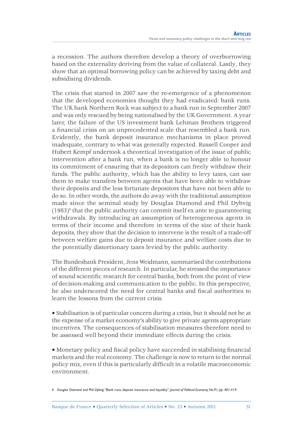a recession. The authors therefore develop a theory of overborrowing based on the externality deriving from the value of collateral. Lastly, they show that an optimal borrowing policy can be achieved by taxing debt and subsidising dividends.

The crisis that started in 2007 saw the re-emergence of a phenomenon that the developed economies thought they had eradicated: bank runs. The UK bank Northern Rock was subject to a bank run in September 2007 and was only rescued by being nationalised by the UK Government. A year later, the failure of the US investment bank Lehman Brothers triggered a financial crisis on an unprecedented scale that resembled a bank run. Evidently, the bank deposit insurance mechanisms in place proved inadequate, contrary to what was generally expected. Russell Cooper and Hubert Kempf undertook a theoretical investigation of the issue of public intervention after a bank run, when a bank is no longer able to honour its commitment of ensuring that its depositors can freely withdraw their funds. The public authority, which has the ability to levy taxes, can use them to make transfers between agents that have been able to withdraw their deposits and the less fortunate depositors that have not been able to do so. In other words, the authors do away with the traditional assumption made since the seminal study by Douglas Diamond and Phil Dybvig  $(1983)$ <sup>6</sup> that the public authority can commit itself ex ante to guaranteeing withdrawals. By introducing an assumption of heterogeneous agents in terms of their income and therefore in terms of the size of their bank deposits, they show that the decision to intervene is the result of a trade-off between welfare gains due to deposit insurance and welfare costs due to the potentially distortionary taxes levied by the public authority.

The Bundesbank President, Jens Weidmann, summarised the contributions of the different pieces of research. In particular, he stressed the importance of sound scientific research for central banks, both from the point of view of decision-making and communication to the public. In this perspective, he also underscored the need for central banks and fiscal authorities to learn the lessons from the current crisis.

• Stabilisation is of particular concern during a crisis, but it should not be at the expense of a market economy's ability to give private agents appropriate incentives. The consequences of stabilisation measures therefore need to be assessed well beyond their immediate effects during the crisis.

• Monetary policy and fiscal policy have succeeded in stabilising financial markets and the real economy. The challenge is now to return to the normal policy mix, even if this is particularly difficult in a volatile macroeconomic environment.

*<sup>6</sup> Douglas Diamond and Phil Dybvig: "*Bank runs, deposit insurance and liquidity*", Journal of Political Economy, No.91, pp. 401-419.*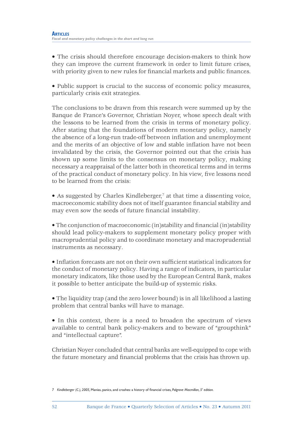• The crisis should therefore encourage decision-makers to think how they can improve the current framework in order to limit future crises, with priority given to new rules for financial markets and public finances.

• Public support is crucial to the success of economic policy measures, particularly crisis exit strategies.

The conclusions to be drawn from this research were summed up by the Banque de France's Governor, Christian Noyer, whose speech dealt with the lessons to be learned from the crisis in terms of monetary policy. After stating that the foundations of modern monetary policy, namely the absence of a long-run trade-off between inflation and unemployment and the merits of an objective of low and stable inflation have not been invalidated by the crisis, the Governor pointed out that the crisis has shown up some limits to the consensus on monetary policy, making necessary a reappraisal of the latter both in theoretical terms and in terms of the practical conduct of monetary policy. In his view, five lessons need to be learned from the crisis:

• As suggested by Charles Kindleberger,<sup>7</sup> at that time a dissenting voice, macroeconomic stability does not of itself guarantee financial stability and may even sow the seeds of future financial instability.

• The conjunction of macroeconomic (in)stability and financial (in)stability should lead policy-makers to supplement monetary policy proper with macroprudential policy and to coordinate monetary and macroprudential instruments as necessary.

 $\bullet$  Inflation forecasts are not on their own sufficient statistical indicators for the conduct of monetary policy. Having a range of indicators, in particular monetary indicators, like those used by the European Central Bank, makes it possible to better anticipate the build-up of systemic risks.

• The liquidity trap (and the zero lower bound) is in all likelihood a lasting problem that central banks will have to manage.

• In this context, there is a need to broaden the spectrum of views available to central bank policy-makers and to beware of "groupthink" and "intellectual capture".

Christian Noyer concluded that central banks are well-equipped to cope with the future monetary and financial problems that the crisis has thrown up.

*<sup>7</sup> Kindleberger (C.), 2005, Manias, panics, and crashes: a history of financial crises, Palgrave Macmillan, 5' edition.*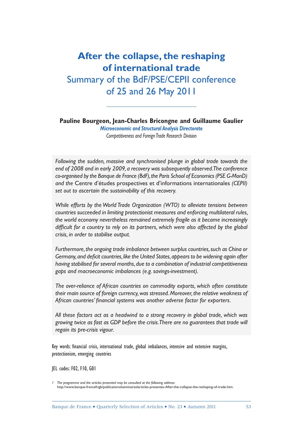# **After the collapse, the reshaping of international trade**  Summary of the BdF/PSE/CEPII conference of 25 and 26 May 2011

**Pauline Bourgeon, Jean-Charles Bricongne and Guillaume Gaulier** *Microeconomic and Structural Analysis Directorate*

*Competitiveness and Foreign Trade Research Division*

*Following the sudden, massive and synchronised plunge in global trade towards the end of 2008 and in early 2009, a recovery was subsequently observed. The conference co-organised by the Banque de France (BdF), the Paris School of Economics (PSE G-MonD) and the* Centre d'études prospectives et d'informations internationales *(CEPII) set out to ascertain the sustainability of this recovery.*

*While efforts by the World Trade Organization (WTO) to alleviate tensions between countries succeeded in limiting protectionist measures and enforcing multilateral rules, the world economy nevertheless remained extremely fragile as it became increasingly*  difficult for a country to rely on its partners, which were also affected by the global *crisis, in order to stabilise output.*

Furthermore, the ongoing trade imbalance between surplus countries, such as China or Germany, and deficit countries, like the United States, appears to be widening again after *having stabilised for several months, due to a combination of industrial competitiveness gaps and macroeconomic imbalances (e.g. savings-investment).*

*The over-reliance of African countries on commodity exports, which often constitute their main source of foreign currency, was stressed. Moreover, the relative weakness of*  African countries' financial systems was another adverse factor for exporters.

*All these factors act as a headwind to a strong recovery in global trade, which was growing twice as fast as GDP before the crisis. There are no guarantees that trade will regain its pre-crisis vigour.*

Key words: financial crisis, international trade, global imbalances, intensive and extensive margins, protectionism, emerging countries

JEL codes: F02, F10, G01

*<sup>1</sup> The programme and the articles presented may be consulted at the following address:*  http://www.banque-francefrigb/publicationsIseminaireslarticles-presentes-After-the-collapse-the-reshaping-of-trade.htm.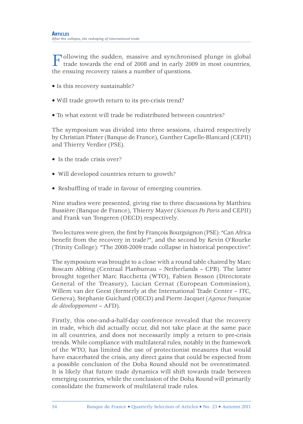Following the sudden, massive and synchronised plunge in global trade towards the end of 2008 and in early 2009 in most countries, the ensuing recovery raises a number of questions.

- Is this recovery sustainable?
- Will trade growth return to its pre-crisis trend?
- To what extent will trade be redistributed between countries?

The symposium was divided into three sessions, chaired respectively by Christian Pfister (Banque de France), Gunther Capelle-Blancard (CEPII) and Thierry Verdier (PSE).

- Is the trade crisis over?
- Will developed countries return to growth?
- Reshuffling of trade in favour of emerging countries.

Nine studies were presented, giving rise to three discussions by Matthieu Bussière (Banque de France), Thierry Mayer (*Sciences Po Paris* and CEPII) and Frank van Tongeren (OECD) respectively.

Two lectures were given; the first by François Bourguignon (PSE): "Can Africa benefit from the recovery in trade?", and the second by Kevin O'Rourke (Trinity College): "The 2008-2009 trade collapse in historical perspective".

The symposium was brought to a close with a round table chaired by Marc Roscam Abbing (Centraal Planbureau – Netherlands – CPB). The latter brought together Marc Bacchetta (WTO), Fabien Besson (Directorate General of the Treasury), Lucian Cernat (European Commission), Willem van der Geest (formerly at the International Trade Center – ITC, Geneva), Stéphanie Guichard (OECD) and Pierre Jacquet (*Agence française de développement* – AFD).

Firstly, this one-and-a-half-day conference revealed that the recovery in trade, which did actually occur, did not take place at the same pace in all countries, and does not necessarily imply a return to pre-crisis trends. While compliance with multilateral rules, notably in the framework of the WTO, has limited the use of protectionist measures that would have exacerbated the crisis, any direct gains that could be expected from a possible conclusion of the Doha Round should not be overestimated. It is likely that future trade dynamics will shift towards trade between emerging countries, while the conclusion of the Doha Round will primarily consolidate the framework of multilateral trade rules.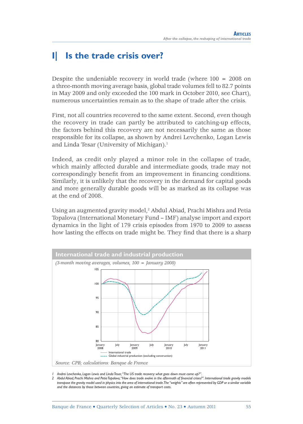## **I| Is the trade crisis over?**

Despite the undeniable recovery in world trade (where 100 = 2008 on a three-month moving average basis, global trade volumes fell to 82.7 points in May 2009 and only exceeded the 100 mark in October 2010, see Chart), numerous uncertainties remain as to the shape of trade after the crisis.

First, not all countries recovered to the same extent. Second, even though the recovery in trade can partly be attributed to catching-up effects, the factors behind this recovery are not necessarily the same as those responsible for its collapse, as shown by Andrei Levchenko, Logan Lewis and Linda Tesar (University of Michigan).<sup>1</sup>

Indeed, as credit only played a minor role in the collapse of trade, which mainly affected durable and intermediate goods, trade may not correspondingly benefit from an improvement in financing conditions. Similarly, it is unlikely that the recovery in the demand for capital goods and more generally durable goods will be as marked as its collapse was at the end of 2008.

Using an augmented gravity model,<sup>2</sup> Abdul Abiad, Prachi Mishra and Petia Topalova (International Monetary Fund – IMF) analyse import and export dynamics in the light of 179 crisis episodes from 1970 to 2009 to assess how lasting the effects on trade might be. They find that there is a sharp



*1 Andrei Levchenko, Logan Lewis and Linda Tesar, "The US trade recovery: what goes down must come up?".*

2 Abdul Abiad, Prachi Mishra and Petia Topalova, "How does trade evolve in the aftermath of financial crises?". International trade gravity models transpose the gravity model used in physics into the area of international trade. The "weights" are often represented by GDP or a similar variable *and the distances by those between countries, giving an estimate of transport costs.*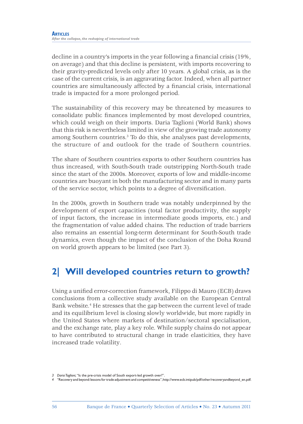decline in a country's imports in the year following a financial crisis  $(19\%$ , on average) and that this decline is persistent, with imports recovering to their gravity-predicted levels only after 10 years. A global crisis, as is the case of the current crisis, is an aggravating factor. Indeed, when all partner countries are simultaneously affected by a financial crisis, international trade is impacted for a more prolonged period.

The sustainability of this recovery may be threatened by measures to consolidate public finances implemented by most developed countries, which could weigh on their imports. Daria Taglioni (World Bank) shows that this risk is nevertheless limited in view of the growing trade autonomy among Southern countries.<sup>3</sup> To do this, she analyses past developments, the structure of and outlook for the trade of Southern countries.

The share of Southern countries exports to other Southern countries has thus increased, with South-South trade outstripping North-South trade since the start of the 2000s. Moreover, exports of low and middle-income countries are buoyant in both the manufacturing sector and in many parts of the service sector, which points to a degree of diversification.

In the 2000s, growth in Southern trade was notably underpinned by the development of export capacities (total factor productivity, the supply of input factors, the increase in intermediate goods imports, etc.) and the fragmentation of value added chains. The reduction of trade barriers also remains an essential long-term determinant for South-South trade dynamics, even though the impact of the conclusion of the Doha Round on world growth appears to be limited (see Part 3).

# **2| Will developed countries return to growth?**

Using a unified error-correction framework, Filippo di Mauro (ECB) draws conclusions from a collective study available on the European Central Bank website.<sup>4</sup> He stresses that the gap between the current level of trade and its equilibrium level is closing slowly worldwide, but more rapidly in the United States where markets of destination/sectoral specialisation, and the exchange rate, play a key role. While supply chains do not appear to have contributed to structural change in trade elasticities, they have increased trade volatility.

*<sup>3</sup> Daria Taglioni,* "Is the pre-crisis model of South export-led growth over?".

*<sup>4</sup>* "Recovery and beyond: lessons for trade adjustment and competitiveness", http://www.ecb.intipub/pdf/other/recoveryandbeyond\_en.pdf.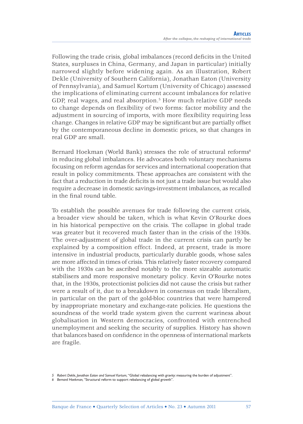Following the trade crisis, global imbalances (record deficits in the United States, surpluses in China, Germany, and Japan in particular) initially narrowed slightly before widening again. As an illustration, Robert Dekle (University of Southern California), Jonathan Eaton (University of Pennsylvania), and Samuel Kortum (University of Chicago) assessed the implications of eliminating current account imbalances for relative GDP, real wages, and real absorption.5 How much relative GDP needs to change depends on flexibility of two forms: factor mobility and the adjustment in sourcing of imports, with more flexibility requiring less change. Changes in relative GDP may be significant but are partially offset by the contemporaneous decline in domestic prices, so that changes in real GDP are small.

Bernard Hoekman (World Bank) stresses the role of structural reforms<sup>6</sup> in reducing global imbalances. He advocates both voluntary mechanisms focusing on reform agendas for services and international cooperation that result in policy commitments. These approaches are consistent with the fact that a reduction in trade deficits is not just a trade issue but would also require a decrease in domestic savings-investment imbalances, as recalled in the final round table.

To establish the possible avenues for trade following the current crisis, a broader view should be taken, which is what Kevin O'Rourke does in his historical perspective on the crisis. The collapse in global trade was greater but it recovered much faster than in the crisis of the 1930s. The over-adjustment of global trade in the current crisis can partly be explained by a composition effect. Indeed, at present, trade is more intensive in industrial products, particularly durable goods, whose sales are more affected in times of crisis. This relatively faster recovery compared with the 1930s can be ascribed notably to the more sizeable automatic stabilisers and more responsive monetary policy. Kevin O'Rourke notes that, in the 1930s, protectionist policies did not cause the crisis but rather were a result of it, due to a breakdown in consensus on trade liberalism, in particular on the part of the gold-bloc countries that were hampered by inappropriate monetary and exchange-rate policies. He questions the soundness of the world trade system given the current wariness about globalisation in Western democracies, confronted with entrenched unemployment and seeking the security of supplies. History has shown that balances based on confidence in the openness of international markets are fragile.

*<sup>5</sup> Robert Dekle, Jonathan Eaton and Samuel Kortum,* "Global rebalancing with gravity: measuring the burden of adjustment".

*<sup>6</sup> Bernard Hoekman,* "Structural reform to support rebalancing of global growth".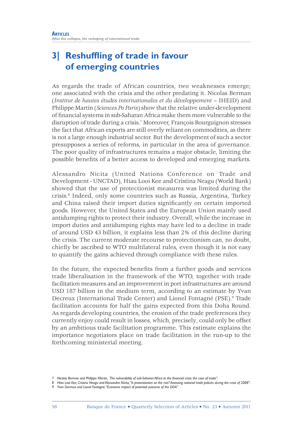# **3** Reshuffling of trade in favour **of emerging countries**

As regards the trade of African countries, two weaknesses emerge; one associated with the crisis and the other predating it. Nicolas Berman (*Institut de hautes études internationales et du développement* – IHEID) and Philippe Martin (*Sciences Po Paris*) show that the relative under-development of fi nancial systems in sub-Saharan Africa make them more vulnerable to the disruption of trade during a crisis.7 Moreover, François Bourguignon stresses the fact that African exports are still overly reliant on commodities, as there is not a large enough industrial sector. But the development of such a sector presupposes a series of reforms, in particular in the area of governance. The poor quality of infrastructures remains a major obstacle, limiting the possible benefits of a better access to developed and emerging markets.

Alessandro Nicita (United Nations Conference on Trade and Development - UNCTAD), Hiau Looi Kee and Cristina Neagu (World Bank) showed that the use of protectionist measures was limited during the crisis.8 Indeed, only some countries such as Russia, Argentina, Turkey and China raised their import duties significantly on certain imported goods. However, the United States and the European Union mainly used antidumping rights to protect their industry. Overall, while the increase in import duties and antidumping rights may have led to a decline in trade of around USD 43 billion, it explains less than 2% of this decline during the crisis. The current moderate recourse to protectionism can, no doubt, chiefly be ascribed to WTO multilateral rules, even though it is not easy to quantify the gains achieved through compliance with these rules.

In the future, the expected benefits from a further goods and services trade liberalisation in the framework of the WTO, together with trade facilitation measures and an improvement in port infrastructures are around USD 187 billion in the medium term, according to an estimate by Yvan Decreux (International Trade Center) and Lionel Fontagné (PSE).<sup>9</sup> Trade facilitation accounts for half the gains expected from this Doha Round. As regards developing countries, the erosion of the trade preferences they currently enjoy could result in losses, which, precisely, could only be offset by an ambitious trade facilitation programme. This estimate explains the importance negotiators place on trade facilitation in the run-up to the forthcoming ministerial meeting.

*<sup>7</sup> Nicolas Berman and Philippe Martin, `The vulnerability of sub-Saharan Africa to the fi nancial crisis: the case of trade".*

*<sup>8</sup> Hiau Looi Kee, Cristina Neagu and Alessandra Nicita, "Is protectionism on the rise? Assessing national trade policies during the crisis of 2008" .*

*<sup>9</sup> Yvan Decreux and Lionel Fontagné, "Economic impact of potential outcome of the DDA".*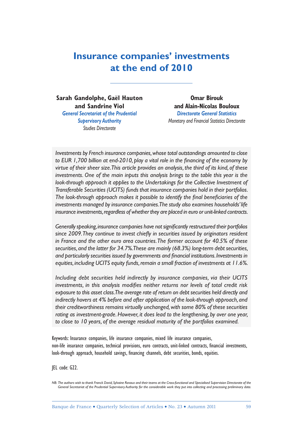# **Insurance companies' investments at the end of 2010**

**Sarah Gandolphe, Gaël Hauton and Sandrine Viol** *General Secretariat of the Prudential Supervisory Authority Studies Directorate*

**Omar Birouk and Alain-Nicolas Bouloux** *Directorate General Statistics Monetary and Financial Statistics Directorate*

*Investments by French insurance companies, whose total outstandings amounted to close*  to EUR 1,700 billion at end-2010, play a vital role in the financing of the economy by *virtue of their sheer size. This article provides an analysis, the third of its kind, of these investments. One of the main inputs this analysis brings to the table this year is the look-through approach it applies to the Undertakings for the Collective Investment of Transferable Securities (UCITS) funds that insurance companies hold in their portfolios.*  The look-through approach makes it possible to identify the final beneficiaries of the *investments managed by insurance companies. The study also examines households' life insurance investments, regardless of whether they are placed in euro or unit-linked contracts.*

Generally speaking, insurance companies have not significantly restructured their portfolios since 2009. They continue to invest chiefly in securities issued by originators resident *in France and the other euro area countries. The former account for 40.5% of these securities, and the latter for 34.7%. These are mainly (68.3%) long-term debt securities,*  and particularly securities issued by governments and financial institutions. Investments in *equities, including UCITS equity funds, remain a small fraction of investments at 11.6%.*

*Including debt securities held indirectly by insurance companies, via their UCITS*  investments, in this analysis modifies neither returns nor levels of total credit risk *exposure to this asset class. The average rate of return on debt securities held directly and indirectly hovers at 4% before and after application of the look-through approach, and their creditworthiness remains virtually unchanged, with some 80% of these securities rating as investment-grade. However, it does lead to the lengthening, by over one year, to close to 10 years, of the average residual maturity of the portfolios examined.*

Keywords: Insurance companies, life insurance companies, mixed life insurance companies, non-life insurance companies, technical provisions, euro contracts, unit-linked contracts, financial investments, look-through approach, household savings, financing channels, debt securities, bonds, equities.

JEL code: G22.

*NB*: The authors wish to thank Franck David, Sylvaine Ravaux and their teams at the Cross-functional and Specialised Supervision Directorate of the *General Secretariat of the Prudential Supervisory Authority for the considerable work they put into collecting and processing preliminary data.*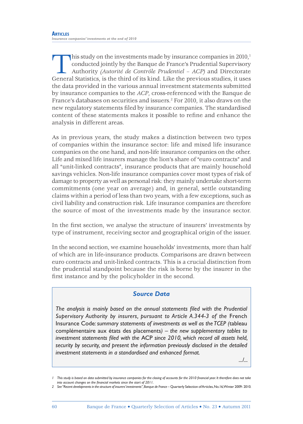This study on the investments made by insurance companies in  $2010<sup>1</sup>$ conducted jointly by the Banque de France's Prudential Supervisory Authority *(Autorité de Contrôle Prudentiel – ACP)* and Directorate General Statistics, is the third of its kind. Like the previous studies, it uses the data provided in the various annual investment statements submitted by insurance companies to the *ACP*, cross-referenced with the Banque de France's databases on securities and issuers.<sup>2</sup> For 2010, it also draws on the new regulatory statements filed by insurance companies. The standardised content of these statements makes it possible to refine and enhance the analysis in different areas.

As in previous years, the study makes a distinction between two types of companies within the insurance sector: life and mixed life insurance companies on the one hand, and non-life insurance companies on the other. Life and mixed life insurers manage the lion's share of "euro contracts" and all "unit-linked contracts", insurance products that are mainly household savings vehicles. Non-life insurance companies cover most types of risk of damage to property as well as personal risk: they mainly undertake short-term commitments (one year on average) and, in general, settle outstanding claims within a period of less than two years, with a few exceptions, such as civil liability and construction risk. Life insurance companies are therefore the source of most of the investments made by the insurance sector.

In the first section, we analyse the structure of insurers' investments by type of instrument, receiving sector and geographical origin of the issuer.

In the second section, we examine households' investments, more than half of which are in life-insurance products. Comparisons are drawn between euro contracts and unit-linked contracts. This is a crucial distinction from the prudential standpoint because the risk is borne by the insurer in the first instance and by the policyholder in the second.

#### *Source Data*

The analysis is mainly based on the annual statements filed with the Prudential *Supervisory Authority by insurers, pursuant to Article A.344-3 of the* French Insurance Code*: summary statements of investments as well as the TCEP (*tableau complémentaire aux états des placements*) – the new supplementary tables to*  investment statements filed with the ACP since 2010, which record all assets held, *security by security, and present the information previously disclosed in the detailed investment statements in a standardised and enhanced format.*

*.../...*

<sup>1</sup> This study is based on data submitted by insurance companies for the closing of accounts for the 2010 financial year. It therefore does not take into account changes on the financial markets since the start of 2011.

<sup>2</sup> See "Recent developments in the structure of insurers' investments", Banque de France – Quarterly Selection of Articles, No.16, Winter 2009- 2010.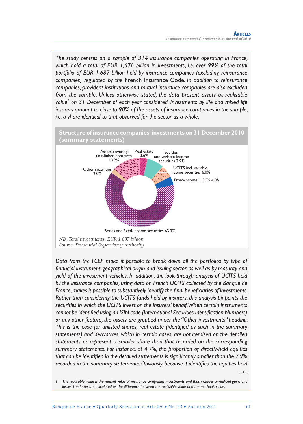*The study centres on a sample of 314 insurance companies operating in France, which hold a total of EUR 1,676 billion in investments, i.e. over 99% of the total portfolio of EUR 1,687 billion held by insurance companies (excluding reinsurance companies) regulated by the* French Insurance Code*. In addition to reinsurance companies, provident institutions and mutual insurance companies are also excluded from the sample. Unless otherwise stated, the data present assets at realisable value1 on 31 December of each year considered. Investments by life and mixed life insurers amount to close to 90% of the assets of insurance companies in the sample, i.e. a share identical to that observed for the sector as a whole.*



*Data from the TCEP make it possible to break down all the portfolios by type of*  financial instrument, geographical origin and issuing sector, as well as by maturity and *yield of the investment vehicles. In addition, the look-through analysis of UCITS held by the insurance companies, using data on French UCITS collected by the Banque de France, makes it possible to substantively identify the final beneficiaries of investments. Rather than considering the UCITS funds held by insurers, this analysis pinpoints the securities in which the UCITS invest on the insurers' behalf. When certain instruments cannot be identified using an ISIN code (International Securities Identification Numbers) or any other feature, the assets are grouped under the "Other investments" heading. This is the case for unlisted shares, real estate (identified as such in the summary statements) and derivatives, which in certain cases, are not itemised on the detailed statements or represent a smaller share than that recorded on the corresponding summary statements. For instance, at 4.7%, the proportion of directly-held equities*  that can be identified in the detailed statements is significantly smaller than the 7.9% *recorded in the summary statements. Obviously, because it identifies the equities held .../...*

*1 The realisable value is the market value of insurance companies' investments and thus includes unrealised gains and losses. The latter are calculated as the difference between the realisable value and the net book value.*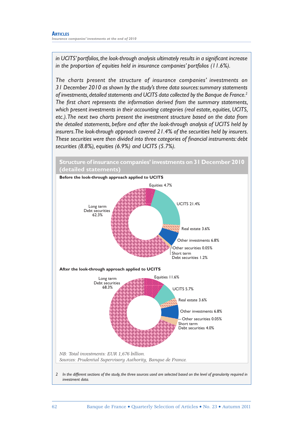in UCITS' portfolios, the look-through analysis ultimately results in a significant increase *in the proportion of equities held in insurance companies' portfolios (11.6%).*

*The charts present the structure of insurance companies' investments on 31 December 2010 as shown by the study's three data sources: summary statements of investments, detailed statements and UCITS data collected by the Banque de France.2* The first chart represents the information derived from the summary statements, *which present investments in their accounting categories (real estate, equities, UCITS, etc.). The next two charts present the investment structure based on the data from the detailed statements, before and after the look-through analysis of UCITS held by insurers. The look-through approach covered 21.4% of the securities held by insurers.*  These securities were then divided into three categories of financial instruments: debt *securities (8.8%), equities (6.9%) and UCITS (5.7%).*

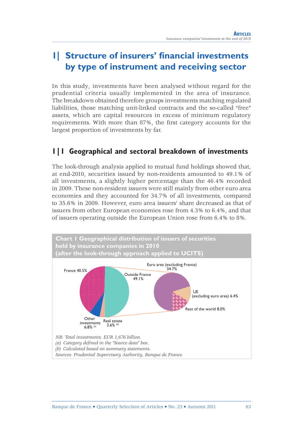# **1| Structure of insurers' financial investments by type of instrument and receiving sector**

In this study, investments have been analysed without regard for the prudential criteria usually implemented in the area of insurance. The breakdown obtained therefore groups investments matching regulated liabilities, those matching unit-linked contracts and the so-called "free" assets, which are capital resources in excess of minimum regulatory requirements. With more than 87%, the first category accounts for the largest proportion of investments by far.

### **1|1 Geographical and sectoral breakdown of investments**

The look-through analysis applied to mutual fund holdings showed that, at end-2010, securities issued by non-residents amounted to 49.1% of all investments, a slightly higher percentage than the 46.4% recorded in 2009. These non-resident issuers were still mainly from other euro area economies and they accounted for 34.7% of all investments, compared to 35.6% in 2009. However, euro area issuers' share decreased as that of issuers from other European economies rose from 4.3% to 6.4%, and that of issuers operating outside the European Union rose from 6.4% to 8%.

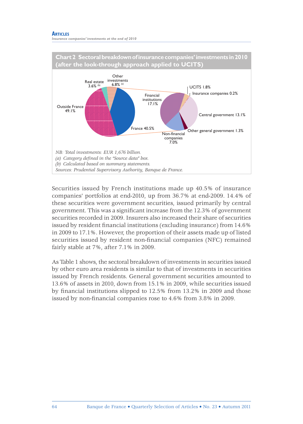#### **ARTICLES**

*Insurance companies' investments at the end of 2010*



Securities issued by French institutions made up 40.5% of insurance companies' portfolios at end-2010, up from 36.7% at end-2009. 14.4% of these securities were government securities, issued primarily by central government. This was a significant increase from the 12.3% of government securities recorded in 2009. Insurers also increased their share of securities issued by resident financial institutions (excluding insurance) from 14.6% in 2009 to 17.1%. However, the proportion of their assets made up of listed securities issued by resident non-financial companies (NFC) remained fairly stable at 7%, after 7.1% in 2009.

As Table 1 shows, the sectoral breakdown of investments in securities issued by other euro area residents is similar to that of investments in securities issued by French residents. General government securities amounted to 13.6% of assets in 2010, down from 15.1% in 2009, while securities issued by financial institutions slipped to  $12.5\%$  from  $13.2\%$  in 2009 and those issued by non-financial companies rose to 4.6% from 3.8% in 2009.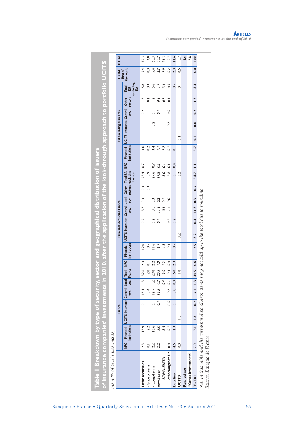| % of total investments)   | ີ                         |                |                               |                   |                  |                                          |                                  |     |                               |                  |                   |                                       |                        |           |                                  |                          |              |                    |                                | investments in 2010, after the application of the look-through approach to portfolio UCITS |                  |
|---------------------------|---------------------------|----------------|-------------------------------|-------------------|------------------|------------------------------------------|----------------------------------|-----|-------------------------------|------------------|-------------------|---------------------------------------|------------------------|-----------|----------------------------------|--------------------------|--------------|--------------------|--------------------------------|--------------------------------------------------------------------------------------------|------------------|
|                           |                           | France         |                               |                   |                  |                                          |                                  |     | Euro area excluding France    |                  |                   |                                       |                        |           |                                  | EU excluding euro area   |              |                    |                                |                                                                                            | <b>TOTAL</b>     |
| <b>NEC</b>                | Financial<br>Institutions |                | UCITS Insurance Central Local | gov.              | gov. France      | $\overline{BC}$<br><b>Total</b>          | <b>Financial</b><br>Institutions |     | UCITS Insurance Central Local | gov.             | gov.              | sectors excluding<br>France<br>Other  | Total EA NFC           |           | Institutions<br><b>Financial</b> | UCITS Insurance Central  | gov.         | sectors<br>Other   | Total<br>EU<br>excluding<br>EA | TOTAL<br>Rest of<br>the world                                                              |                  |
| Debt securities           |                           |                | $\overline{\circ}$            | $\overline{13}$ . | $\mathbf{r}$     | 2.3<br>32.6                              | 12.0                             |     | 0.2                           | 13.3             | $\overline{0}$    | $\begin{array}{c} 3 \\ 0 \end{array}$ | 28.4                   | 0.7       |                                  |                          |              | 0.2                | 5.3<br>0.3<br>$\hat{\Xi}$      | 5.0                                                                                        | 72.3             |
| $2.3$<br>$0.1$<br>$2.2$   |                           |                |                               | 0.4<br>12.7       | $\overline{1}$ . | 2.2<br>$\overline{\circ}$<br>29.8<br>2.8 | 11.6<br>$\ddot{\circ}$           |     | 0.2                           | 13.3             | $\overline{0}$ .3 |                                       | 27.6<br>$\overline{0}$ | 0.7       | $3.4$<br>$0.2$<br>$3.4$          |                          | 0.2          | $\overline{\circ}$ | $\overline{\circ}$             |                                                                                            | 4.0<br>68.3      |
|                           |                           |                | $\frac{1}{\circ}$             | 12.5              | 0.7              | $\tilde{c}$<br>20.5                      | 6.7                              |     | $\overline{0}$ .              | 11.8             | 0.2               |                                       | 19.8                   | 0.2       | Ξ                                |                          |              | $\overline{0}$     | 5.6<br>1203                    | $5.4$<br>2.3                                                                               | 44.3             |
| <b>BTMN-EMTN</b>          |                           |                |                               |                   | 0.4              | $\tilde{c}$<br>9.0                       | 4.6                              |     |                               | $\overline{0}$ . | $\bar{\rm o}$     |                                       | 6.0                    | 0.4       | 2.2                              |                          |              |                    | 3.4<br>0.8                     | 2.9                                                                                        | 21.3             |
| 0.0<br>other long term DS |                           |                | 0.0                           | 0.2               | $\vec{o}$        | $\overline{0.0}$<br>0.3                  | 0.3                              |     | $\overline{0}$ .              | 1.4              | O.O               |                                       | $\overline{8}$         | $\bar{o}$ | $\overline{a}$                   |                          | 0.2          | 0.0                | 0.5                            | 0.2                                                                                        | 2.7              |
| $4.6$<br>0.0              | $\tilde{c}$               |                | $\overline{\circ}$            | $\overline{0}$    | 0.0              | 2.3<br>6.0                               | 0.5                              |     | 0.2                           |                  |                   |                                       | $\overline{3}$         | 0.4       | $\overline{\circ}$               |                          |              |                    | $\frac{15}{0}$                 | 2.0                                                                                        | $\frac{1}{2}$    |
|                           |                           | $\frac{8}{1}$  |                               |                   |                  | $\frac{8}{1}$                            |                                  | 3.2 |                               |                  |                   |                                       | 3.2                    |           |                                  | $\overline{\circ}$       |              |                    |                                | 0.6                                                                                        | 5.7              |
|                           |                           |                |                               |                   |                  |                                          |                                  |     |                               |                  |                   |                                       |                        |           |                                  |                          |              |                    |                                |                                                                                            | 3.6              |
| "Other investments"       |                           |                |                               |                   |                  |                                          |                                  |     |                               |                  |                   |                                       |                        |           |                                  |                          |              |                    |                                |                                                                                            | $6.\overline{8}$ |
| 7.0                       | I7.                       | $\frac{8}{10}$ | 0.2                           | $\overline{13.1}$ | $\overline{13}$  | 4.6<br>40.5                              | 12.5                             | 3.2 | 0.4                           | 13.3             | $\ddot{0}$        | 0.3                                   | 34.7                   | $\equiv$  | 3.7                              | $\overline{\phantom{a}}$ | $\ddot{0}$ . | 0.2                | 6.4<br>$\ddot{ }$              | 8.0                                                                                        | $\overline{0}$   |

## **ARTICLES** *Insurance companies' investments at the end of 2010*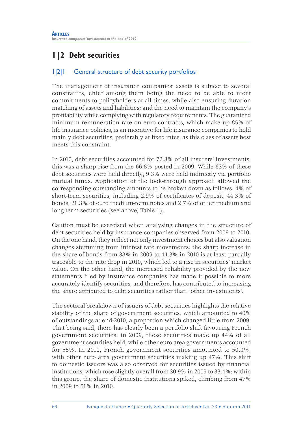# **1|2 Debt securities**

### 1|2|1 General structure of debt security portfolios

The management of insurance companies' assets is subject to several constraints, chief among them being the need to be able to meet commitments to policyholders at all times, while also ensuring duration matching of assets and liabilities; and the need to maintain the company's profi tability while complying with regulatory requirements. The guaranteed minimum remuneration rate on euro contracts, which make up 85% of life insurance policies, is an incentive for life insurance companies to hold mainly debt securities, preferably at fixed rates, as this class of assets best meets this constraint.

In 2010, debt securities accounted for 72.3% of all insurers' investments; this was a sharp rise from the 66.8% posted in 2009. While 63% of these debt securities were held directly, 9.3% were held indirectly via portfolio mutual funds. Application of the look-through approach allowed the corresponding outstanding amounts to be broken down as follows: 4% of short-term securities, including 2.9% of certificates of deposit, 44.3% of bonds, 21.3% of euro medium-term notes and 2.7% of other medium and long-term securities (see above, Table 1).

Caution must be exercised when analysing changes in the structure of debt securities held by insurance companies observed from 2009 to 2010. On the one hand, they reflect not only investment choices but also valuation changes stemming from interest rate movements: the sharp increase in the share of bonds from 38% in 2009 to 44.3% in 2010 is at least partially traceable to the rate drop in 2010, which led to a rise in securities' market value. On the other hand, the increased reliability provided by the new statements filed by insurance companies has made it possible to more accurately identify securities, and therefore, has contributed to increasing the share attributed to debt securities rather than "other investments".

The sectoral breakdown of issuers of debt securities highlights the relative stability of the share of government securities, which amounted to 40% of outstandings at end-2010, a proportion which changed little from 2009. That being said, there has clearly been a portfolio shift favouring French government securities: in 2009, these securities made up 44% of all government securities held, while other euro area governments accounted for 55%. In 2010, French government securities amounted to 50.3%, with other euro area government securities making up 47%. This shift to domestic issuers was also observed for securities issued by financial institutions, which rose slightly overall from 30.9% in 2009 to 33.4%: within this group, the share of domestic institutions spiked, climbing from 47% in 2009 to 51% in 2010.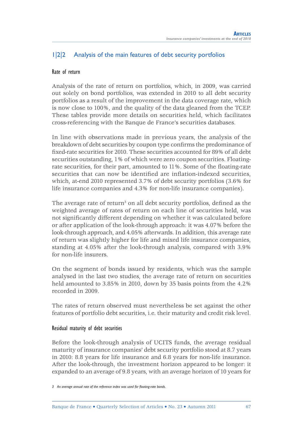### 1|2|2 Analysis of the main features of debt security portfolios

#### Rate of return

Analysis of the rate of return on portfolios, which, in 2009, was carried out solely on bond portfolios, was extended in 2010 to all debt security portfolios as a result of the improvement in the data coverage rate, which is now close to 100%, and the quality of the data gleaned from the TCEP. These tables provide more details on securities held, which facilitates cross-referencing with the Banque de France's securities databases.

In line with observations made in previous years, the analysis of the breakdown of debt securities by coupon type confirms the predominance of fixed-rate securities for 2010. These securities accounted for 89% of all debt securities outstanding, 1% of which were zero coupon securities. Floatingrate securities, for their part, amounted to 11%. Some of the floating-rate securities that can now be identified are inflation-indexed securities, which, at-end 2010 represented 3.7% of debt security portfolios (3.6% for life insurance companies and 4.3% for non-life insurance companies).

The average rate of return<sup>3</sup> on all debt security portfolios, defined as the weighted average of rates of return on each line of securities held, was not significantly different depending on whether it was calculated before or after application of the look-through approach: it was 4.07% before the look-through approach, and 4.05% afterwards. In addition, this average rate of return was slightly higher for life and mixed life insurance companies, standing at 4.05% after the look-through analysis, compared with 3.9% for non-life insurers.

On the segment of bonds issued by residents, which was the sample analysed in the last two studies, the average rate of return on securities held amounted to 3.85% in 2010, down by 35 basis points from the 4.2% recorded in 2009.

The rates of return observed must nevertheless be set against the other features of portfolio debt securities, i.e. their maturity and credit risk level.

#### Residual maturity of debt securities

Before the look-through analysis of UCITS funds, the average residual maturity of insurance companies' debt security portfolio stood at 8.7 years in 2010: 8.8 years for life insurance and 6.8 years for non-life insurance. After the look-through, the investment horizon appeared to be longer: it expanded to an average of 9.8 years, with an average horizon of 10 years for

<sup>3</sup> An average annual rate of the reference index was used for floating-rate bonds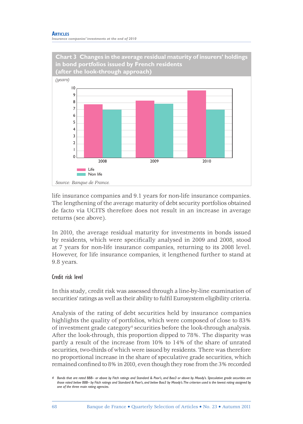#### **ARTICLES** *Insurance companies' investments at the end of 2010*



life insurance companies and 9.1 years for non-life insurance companies. The lengthening of the average maturity of debt security portfolios obtained de facto via UCITS therefore does not result in an increase in average returns (see above).

In 2010, the average residual maturity for investments in bonds issued by residents, which were specifically analysed in 2009 and 2008, stood at 7 years for non-life insurance companies, returning to its 2008 level. However, for life insurance companies, it lengthened further to stand at 9.8 years.

#### Credit risk level

In this study, credit risk was assessed through a line-by-line examination of securities' ratings as well as their ability to fulfil Eurosystem eligibility criteria.

Analysis of the rating of debt securities held by insurance companies highlights the quality of portfolios, which were composed of close to 83% of investment grade category<sup>4</sup> securities before the look-through analysis. After the look-through, this proportion dipped to 78%. The disparity was partly a result of the increase from 10% to 14% of the share of unrated securities, two-thirds of which were issued by residents. There was therefore no proportional increase in the share of speculative grade securities, which remained confined to 8% in 2010, even though they rose from the 3% recorded

*<sup>4</sup> Bonds that are rated BBB– or above by Fitch ratings and Standard & Poor's, and Baa3 or above by Moody's. Speculative grade securities are those rated below BBB– by Fitch ratings and Standard & Poor's, and below Baa3 by Moody's. The criterion used is the lowest rating assigned by one of the three main rating agencies.*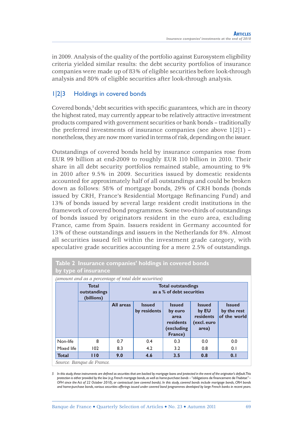in 2009. Analysis of the quality of the portfolio against Eurosystem eligibility criteria yielded similar results: the debt security portfolios of insurance companies were made up of 83% of eligible securities before look-through analysis and 80% of eligible securities after look-through analysis.

### 1|2|3 Holdings in covered bonds

Covered bonds,<sup>5</sup> debt securities with specific guarantees, which are in theory the highest rated, may currently appear to be relatively attractive investment products compared with government securities or bank bonds – traditionally the preferred investments of insurance companies (see above  $1|2|1$ ) – nonetheless, they are now more varied in terms of risk, depending on the issuer.

Outstandings of covered bonds held by insurance companies rose from EUR 99 billion at end-2009 to roughly EUR 110 billion in 2010. Their share in all debt security portfolios remained stable, amounting to 9% in 2010 after 9.5% in 2009. Securities issued by domestic residents accounted for approximately half of all outstandings and could be broken down as follows: 58% of mortgage bonds, 29% of CRH bonds (bonds issued by CRH, France's Residential Mortgage Refinancing Fund) and 13% of bonds issued by several large resident credit institutions in the framework of covered bond programmes. Some two-thirds of outstandings of bonds issued by originators resident in the euro area, excluding France, came from Spain. Issuers resident in Germany accounted for 13% of these outstandings and issuers in the Netherlands for 8%. Almost all securities issued fell within the investment grade category, with speculative grade securities accounting for a mere 2.5% of outstandings.

|              | Table 2 Insurance companies' holdings in covered bonds<br>by type of insurance                      |           |                               |                                                                        |                                                             |                                              |  |  |  |
|--------------|-----------------------------------------------------------------------------------------------------|-----------|-------------------------------|------------------------------------------------------------------------|-------------------------------------------------------------|----------------------------------------------|--|--|--|
|              | (amount and as a percentage of total debt securities)<br><b>Total</b><br>outstandings<br>(billions) |           |                               | <b>Total outstandings</b><br>as a % of debt securities                 |                                                             |                                              |  |  |  |
|              |                                                                                                     | All areas | <b>Issued</b><br>by residents | <b>Issued</b><br>by euro<br>area<br>residents<br>(excluding<br>France) | <b>Issued</b><br>by EU<br>residents<br>(excl. euro<br>area) | <b>Issued</b><br>by the rest<br>of the world |  |  |  |
| Non-life     | 8                                                                                                   | 0.7       | 0.4                           | 0.3                                                                    | 0.0                                                         | 0.0                                          |  |  |  |
| Mixed life   | 102                                                                                                 | 8.3       | 4.2                           | 3.2                                                                    | 0.8                                                         | 0.1                                          |  |  |  |
| <b>Total</b> | 110                                                                                                 | 9.0       | 4.6                           | 3.5                                                                    | 0.8                                                         | 0.1                                          |  |  |  |

*Source: Banque de France.*

*5* In this study, these instruments are defined as securities that are backed by mortgage loans and protected in the event of the originator's default. This *protection is either provided by the law (e.g. French mortgage bonds, as well as home-purchase bonds – "obligations de financement de l'habitat"– OFH since the Act of 22 October 2010), or contractual (see covered bonds). In this study, covered bonds include mortgage bonds, CRH bonds and home-purchase bonds, various securities offerings issued under covered bond programmes developed by large French banks in recent years.*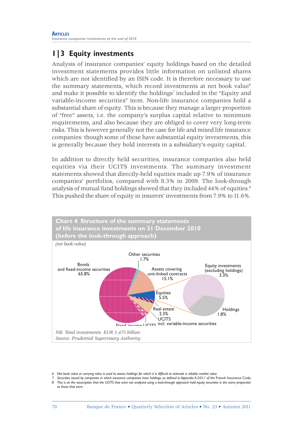## **1|3 Equity investments**

Analysis of insurance companies' equity holdings based on the detailed investment statements provides little information on unlisted shares which are not identified by an ISIN code. It is therefore necessary to use the summary statements, which record investments at net book value<sup>6</sup> and make it possible to identify the holdings $^7$  included in the "Equity and variable-income securities" item. Non-life insurance companies hold a substantial share of equity. This is because they manage a larger proportion of "free" assets, i.e. the company's surplus capital relative to minimum requirements, and also because they are obliged to cover very long-term risks. This is however generally not the case for life and mixed life insurance companies: though some of these have substantial equity investments, this is generally because they hold interests in a subsidiary's equity capital.

In addition to directly held securities, insurance companies also held equities via their UCITS investments. The summary investment statements showed that directly-held equities made up 7.9% of insurance companies' portfolios, compared with 8.3% in 2009. The look-through analysis of mutual fund holdings showed that they included 44% of equities.<sup>8</sup> This pushed the share of equity in insurers' investments from 7.9% to 11.6%.



*<sup>6</sup> Net book value or carrying value is used to assess holdings for which it is diffi cult to estimate a reliable market value.*

*<sup>7</sup> Securities issued by companies in which insurance companies have holdings, as defi ned in Appendix A.343-1 of the* French Insurance Code*. 8 This is on the assumption that the UCITS that were not analysed using a look-through approach hold equity securities in the same proportion as those that were.*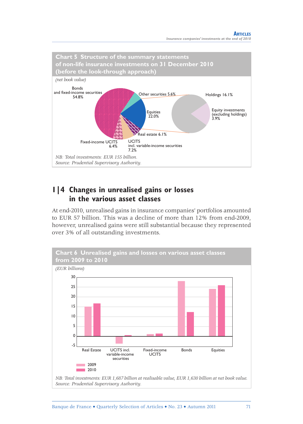

### **1|4 Changes in unrealised gains or losses in the various asset classes**

At end-2010, unrealised gains in insurance companies' portfolios amounted to EUR 57 billion. This was a decline of more than 12% from end-2009, however, unrealised gains were still substantial because they represented over 3% of all outstanding investments.



*NB: Total investments: EUR 1,687 billion at realisable value, EUR 1,630 billion at net book value. Source: Prudential Supervisory Authority.*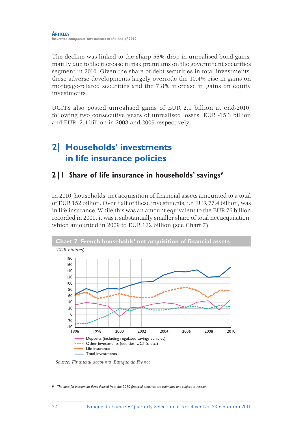The decline was linked to the sharp 56% drop in unrealised bond gains, mainly due to the increase in risk premiums on the government securities segment in 2010. Given the share of debt securities in total investments, these adverse developments largely overrode the 10.4% rise in gains on mortgage-related securities and the 7.8% increase in gains on equity investments.

UCITS also posted unrealised gains of EUR 2.1 billion at end-2010, following two consecutive years of unrealised losses: EUR -15.3 billion and EUR -2.4 billion in 2008 and 2009 respectively.

# **2| Households' investments in life insurance policies**

## **2|1 Share of life insurance in households' savings9**

In 2010, households' net acquisition of financial assets amounted to a total of EUR 152 billion. Over half of these investments, i.e EUR 77.4 billion, was in life insurance. While this was an amount equivalent to the EUR 76 billion recorded in 2009, it was a substantially smaller share of total net acquisition, which amounted in 2009 to EUR 122 billion (see Chart 7).



*9* The data for investment flows derived from the 2010 financial accounts are estimates and subject to revision.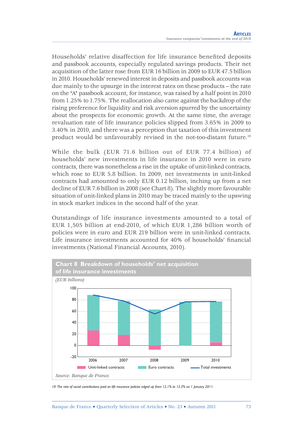Households' relative disaffection for life insurance benefited deposits and passbook accounts, especially regulated savings products. Their net acquisition of the latter rose from EUR 16 billion in 2009 to EUR 47.5 billion in 2010. Households' renewed interest in deposits and passbook accounts was due mainly to the upsurge in the interest rates on these products – the rate on the "A" passbook account, for instance, was raised by a half point in 2010 from 1.25% to 1.75%. The reallocation also came against the backdrop of the rising preference for liquidity and risk aversion spurred by the uncertainty about the prospects for economic growth. At the same time, the average revaluation rate of life insurance policies slipped from 3.65% in 2009 to 3.40% in 2010, and there was a perception that taxation of this investment product would be unfavourably revised in the not-too-distant future.10

While the bulk (EUR 71.6 billion out of EUR 77.4 billion) of households' new investments in life insurance in 2010 were in euro contracts, there was nonetheless a rise in the uptake of unit-linked contracts, which rose to EUR 5.8 billion. In 2009, net investments in unit-linked contracts had amounted to only EUR 0.12 billion, inching up from a net decline of EUR 7.6 billion in 2008 (see Chart 8). The slightly more favourable situation of unit-linked plans in 2010 may be traced mainly to the upswing in stock market indices in the second half of the year.

Outstandings of life insurance investments amounted to a total of EUR 1,505 billion at end-2010, of which EUR 1,286 billion worth of policies were in euro and EUR 219 billion were in unit-linked contracts. Life insurance investments accounted for 40% of households' financial investments (National Financial Accounts, 2010).



*10 The rate of social contributions paid on life insurance policies edged up from 12.1% to 12.3% on 1 January 2011.*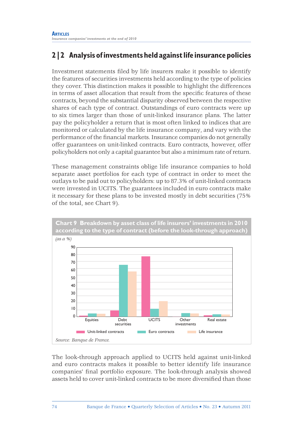# **2|2 Analysis of investments held against life insurance policies**

Investment statements filed by life insurers make it possible to identify the features of securities investments held according to the type of policies they cover. This distinction makes it possible to highlight the differences in terms of asset allocation that result from the specific features of these contracts, beyond the substantial disparity observed between the respective shares of each type of contract. Outstandings of euro contracts were up to six times larger than those of unit-linked insurance plans. The latter pay the policyholder a return that is most often linked to indices that are monitored or calculated by the life insurance company, and vary with the performance of the financial markets. Insurance companies do not generally offer guarantees on unit-linked contracts. Euro contracts, however, offer policyholders not only a capital guarantee but also a minimum rate of return.

These management constraints oblige life insurance companies to hold separate asset portfolios for each type of contract in order to meet the outlays to be paid out to policyholders: up to 87.3% of unit-linked contracts were invested in UCITS. The guarantees included in euro contracts make it necessary for these plans to be invested mostly in debt securities (75% of the total, see Chart 9).



The look-through approach applied to UCITS held against unit-linked and euro contracts makes it possible to better identify life insurance companies' final portfolio exposure. The look-through analysis showed assets held to cover unit-linked contracts to be more diversified than those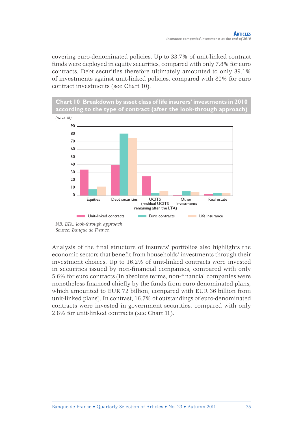covering euro-denominated policies. Up to 33.7% of unit-linked contract funds were deployed in equity securities, compared with only 7.8% for euro contracts. Debt securities therefore ultimately amounted to only 39.1% of investments against unit-linked policies, compared with 80% for euro contract investments (see Chart 10).



Analysis of the final structure of insurers' portfolios also highlights the economic sectors that benefit from households' investments through their investment choices. Up to 16.2% of unit-linked contracts were invested in securities issued by non-financial companies, compared with only 5.6% for euro contracts (in absolute terms, non-financial companies were nonetheless financed chiefly by the funds from euro-denominated plans, which amounted to EUR 72 billion, compared with EUR 36 billion from unit-linked plans). In contrast, 16.7% of outstandings of euro-denominated contracts were invested in government securities, compared with only 2.8% for unit-linked contracts (see Chart 11).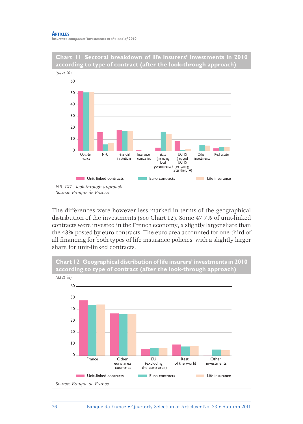#### **ARTICLES** *Insurance companies' investments at the end of 2010*



The differences were however less marked in terms of the geographical distribution of the investments (see Chart 12). Some 47.7% of unit-linked contracts were invested in the French economy, a slightly larger share than the 43% posted by euro contracts. The euro area accounted for one-third of all financing for both types of life insurance policies, with a slightly larger share for unit-linked contracts.

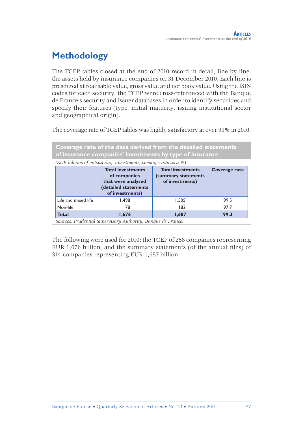# **Methodology**

The TCEP tables closed at the end of 2010 record in detail, line by line, the assets held by insurance companies on 31 December 2010. Each line is presented at realisable value, gross value and net book value. Using the ISIN codes for each security, the TCEP were cross-referenced with the Banque de France's security and issuer databases in order to identify securities and specify their features (type, initial maturity, issuing institutional sector and geographical origin).

The coverage rate of TCEP tables was highly satisfactory at over 99% in 2010.

| Coverage rate of the data derived from the detailed statements<br>of insurance companies' investments by type of insurance                                                                        |                        |       |      |  |  |  |  |  |  |
|---------------------------------------------------------------------------------------------------------------------------------------------------------------------------------------------------|------------------------|-------|------|--|--|--|--|--|--|
| (EUR billions of outstanding investments, coverage rate as a %)                                                                                                                                   |                        |       |      |  |  |  |  |  |  |
| <b>Total investments</b><br><b>Total investments</b><br>Coverage rate<br>of companies<br>(summary statements)<br>that were analysed<br>of investments)<br>(detailed statements<br>of investments) |                        |       |      |  |  |  |  |  |  |
| Life and mixed life                                                                                                                                                                               | 1.498                  | 1,505 | 99.5 |  |  |  |  |  |  |
| Non-life                                                                                                                                                                                          | 178                    | 182   | 97.7 |  |  |  |  |  |  |
| <b>Total</b>                                                                                                                                                                                      | 1,687<br>1,676<br>99.3 |       |      |  |  |  |  |  |  |

*Sources: Prudential Supervisory Authority, Banque de France.*

The following were used for 2010: the TCEP of 258 companies representing EUR 1,676 billion, and the summary statements (of the annual files) of 314 companies representing EUR 1,687 billion.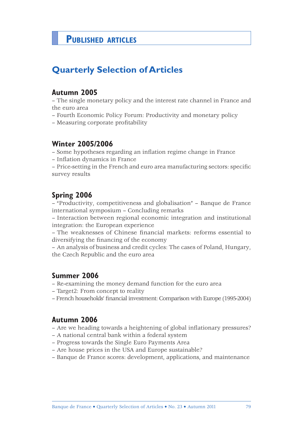# **PUBLISHED ARTICLES**

# **Quarterly Selection of Articles**

### **Autumn 2005**

– The single monetary policy and the interest rate channel in France and the euro area

- Fourth Economic Policy Forum: Productivity and monetary policy
- Measuring corporate profitability

## **Winter 2005/2006**

– Some hypotheses regarding an infl ation regime change in France

- Inflation dynamics in France
- Price-setting in the French and euro area manufacturing sectors: specifi c survey results

# **Spring 2006**

– "Productivity, competitiveness and globalisation" – Banque de France international symposium – Concluding remarks

– Interaction between regional economic integration and institutional integration: the European experience

– The weaknesses of Chinese financial markets: reforms essential to diversifying the financing of the economy

– An analysis of business and credit cycles: The cases of Poland, Hungary, the Czech Republic and the euro area

### **Summer 2006**

- Re-examining the money demand function for the euro area
- Target2: From concept to reality
- French households' financial investment: Comparison with Europe (1995-2004)

### **Autumn 2006**

- Are we heading towards a heightening of global inflationary pressures?
- A national central bank within a federal system
- Progress towards the Single Euro Payments Area
- Are house prices in the USA and Europe sustainable?
- Banque de France scores: development, applications, and maintenance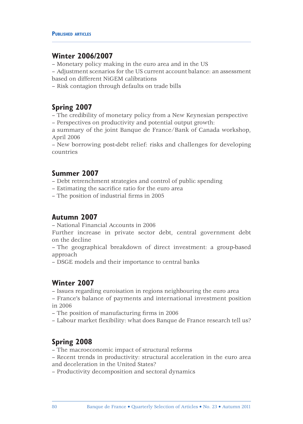### **Winter 2006/2007**

– Monetary policy making in the euro area and in the US

– Adjustment scenarios for the US current account balance: an assessment based on different NiGEM calibrations

– Risk contagion through defaults on trade bills

# **Spring 2007**

– The credibility of monetary policy from a New Keynesian perspective – Perspectives on productivity and potential output growth:

a summary of the joint Banque de France/Bank of Canada workshop, April 2006

– New borrowing post-debt relief: risks and challenges for developing countries

# **Summer 2007**

– Debt retrenchment strategies and control of public spending

- Estimating the sacrifice ratio for the euro area
- The position of industrial firms in 2005

# **Autumn 2007**

– National Financial Accounts in 2006

Further increase in private sector debt, central government debt on the decline

– The geographical breakdown of direct investment: a group-based approach

– DSGE models and their importance to central banks

# **Winter 2007**

– Issues regarding euroisation in regions neighbouring the euro area

– France's balance of payments and international investment position in 2006

– The position of manufacturing firms in 2006

– Labour market flexibility: what does Banque de France research tell us?

# **Spring 2008**

- The macroeconomic impact of structural reforms
- Recent trends in productivity: structural acceleration in the euro area and deceleration in the United States?
- Productivity decomposition and sectoral dynamics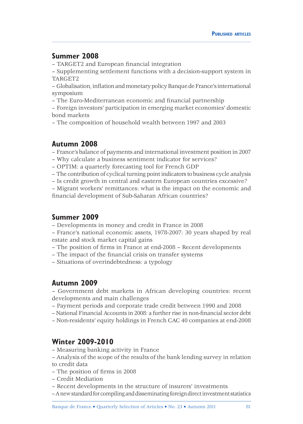### **Summer 2008**

– TARGET2 and European financial integration

– Supplementing settlement functions with a decision-support system in TARGET2

– Globalisation, infl ation and monetary policy Banque de France's international symposium

– The Euro-Mediterranean economic and financial partnership

– Foreign investors' participation in emerging market economies' domestic bond markets

– The composition of household wealth between 1997 and 2003

# **Autumn 2008**

– France's balance of payments and international investment position in 2007

- Why calculate a business sentiment indicator for services?
- OPTIM: a quarterly forecasting tool for French GDP
- The contribution of cyclical turning point indicators to business cycle analysis
- Is credit growth in central and eastern European countries excessive?

– Migrant workers' remittances: what is the impact on the economic and financial development of Sub-Saharan African countries?

# **Summer 2009**

– Developments in money and credit in France in 2008

– France's national economic assets, 1978-2007: 30 years shaped by real estate and stock market capital gains

- The position of firms in France at end-2008 Recent developments
- The impact of the financial crisis on transfer systems
- Situations of overindebtedness: a typology

# **Autumn 2009**

– Government debt markets in African developing countries: recent developments and main challenges

- Payment periods and corporate trade credit between 1990 and 2008
- National Financial Accounts in 2008: a further rise in non-fi nancial sector debt
- Non-residents' equity holdings in French CAC 40 companies at end-2008

# **Winter 2009-2010**

– Measuring banking activity in France

– Analysis of the scope of the results of the bank lending survey in relation to credit data

- The position of firms in 2008
- Credit Mediation
- Recent developments in the structure of insurers' investments
- A new standard for compiling and disseminating foreign direct investment statistics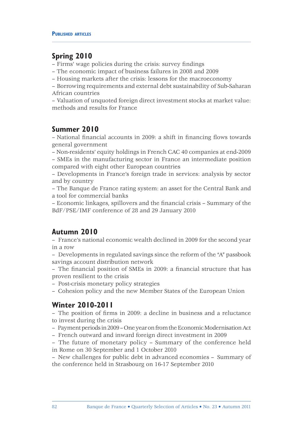# **Spring 2010**

– Firms' wage policies during the crisis: survey findings

– The economic impact of business failures in 2008 and 2009

– Housing markets after the crisis: lessons for the macroeconomy

– Borrowing requirements and external debt sustainability of Sub-Saharan African countries

– Valuation of unquoted foreign direct investment stocks at market value: methods and results for France

# **Summer 2010**

– National financial accounts in 2009: a shift in financing flows towards general government

– Non-residents' equity holdings in French CAC 40 companies at end-2009

– SMEs in the manufacturing sector in France an intermediate position compared with eight other European countries

– Developments in France's foreign trade in services: analysis by sector and by country

– The Banque de France rating system: an asset for the Central Bank and a tool for commercial banks

– Economic linkages, spillovers and the financial crisis – Summary of the BdF/PSE/IMF conference of 28 and 29 January 2010

# **Autumn 2010**

– France's national economic wealth declined in 2009 for the second year in a row

– Developments in regulated savings since the reform of the "A" passbook savings account distribution network

– The financial position of SMEs in 2009: a financial structure that has proven resilient to the crisis

– Post-crisis monetary policy strategies

– Cohesion policy and the new Member States of the European Union

# **Winter 2010-2011**

 $-$  The position of firms in 2009: a decline in business and a reluctance to invest during the crisis

- Payment periods in 2009 One year on from the Economic Modernisation Act
- French outward and inward foreign direct investment in 2009

– The future of monetary policy – Summary of the conference held in Rome on 30 September and 1 October 2010

– New challenges for public debt in advanced economies – Summary of the conference held in Strasbourg on 16-17 September 2010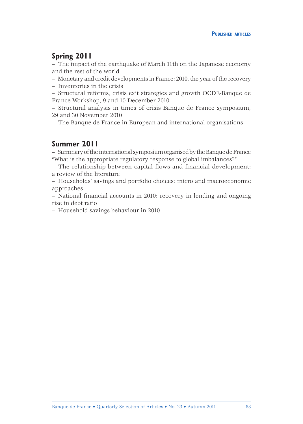### **Spring 2011**

– The impact of the earthquake of March 11th on the Japanese economy and the rest of the world

– Monetary and credit developments in France: 2010, the year of the recovery

– Inventories in the crisis

– Structural reforms, crisis exit strategies and growth OCDE-Banque de France Workshop, 9 and 10 December 2010

– Structural analysis in times of crisis Banque de France symposium, 29 and 30 November 2010

– The Banque de France in European and international organisations

# **Summer 2011**

– Summary of the international symposium organised by the Banque de France "What is the appropriate regulatory response to global imbalances?"

– The relationship between capital flows and financial development: a review of the literature

– Households' savings and portfolio choices: micro and macroeconomic approaches

– National financial accounts in 2010: recovery in lending and ongoing rise in debt ratio

– Household savings behaviour in 2010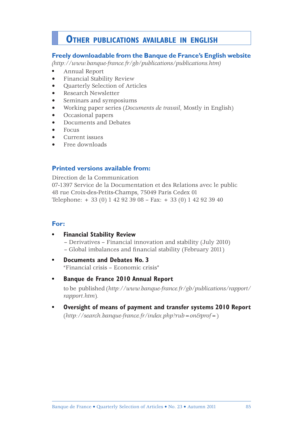# **OTHER PUBLICATIONS AVAILABLE IN ENGLISH**

### **Freely downloadable from the Banque de France's English website**

*(http://www.banque-france.fr/gb/publications/publications.htm)* 

- **•** Annual Report
- Financial Stability Review
- Quarterly Selection of Articles
- Research Newsletter
- Seminars and symposiums
- Working paper series (*Documents de travail*, Mostly in English)
- Occasional papers
- Documents and Debates
- Focus
- Current issues
- Free downloads

### **Printed versions available from:**

Direction de la Communication 07-1397 Service de la Documentation et des Relations avec le public 48 rue Croix-des-Petits-Champs, 75049 Paris Cedex 01 Telephone: + 33 (0) 1 42 92 39 08 – Fax: + 33 (0) 1 42 92 39 40

### **For:**

- **• Financial Stability Review** – Derivatives – Financial innovation and stability (July 2010) – Global imbalances and financial stability (February 2011)
- **• Documents and Debates No. 3**  "Financial crisis – Economic crisis"
- **Banque de France 2010 Annual Report** to be published (*http://www.banque-france.fr/gb/publications/rapport/ rapport.htm*)*.*
- **Oversight of means of payment and transfer systems 2010 Report** (*http://search.banque-france.fr/index.php?rub=on&prof=*)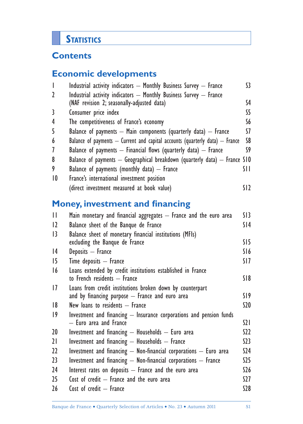# **STATISTICS**

# **Contents**

# **Economic developments**

| $\overline{1}$ | Industrial activity indicators - Monthly Business Survey - France                | $\mathsf{S}3$ |
|----------------|----------------------------------------------------------------------------------|---------------|
| $\mathbf{2}$   | Industrial activity indicators - Monthly Business Survey - France                |               |
|                | (NAF revision 2; seasonally-adjusted data)                                       | S4            |
| 3              | Consumer price index                                                             | S5            |
| 4              | The competitiveness of France's economy                                          | S6            |
| 5              | Balance of payments $-$ Main components (quarterly data) $-$ France              | S7            |
| 6              | Balance of payments $-$ Current and capital accounts (quarterly data) $-$ France | S8            |
| 7              | Balance of payments $-$ Financial flows (quarterly data) $-$ France              | S9            |
| 8              | Balance of payments $-$ Geographical breakdown (quarterly data) $-$ France S10   |               |
| 9              | Balance of payments (monthly data) $-$ France                                    | SII           |
| 10             | France's international investment position                                       |               |
|                | (direct investment measured at book value)                                       | S12           |
|                | <b>Money, investment and financing</b>                                           |               |
| $\mathbf{H}$   | Main monetary and financial aggregates - France and the euro area                | SI3           |
| $ 2\rangle$    | Balance sheet of the Banque de France                                            | SI4           |
| 13             | Balance sheet of monetary financial institutions (MFIs)                          |               |
|                | excluding the Banque de France                                                   | SI5           |

14 Deposits – France S16 15 Time deposits – France S17 16 Loans extended by credit institutions established in France to French residents – France S18 17 Loans from credit institutions broken down by counterpart and by financing purpose  $-$  France and euro area  $S19$ 18 New loans to residents – France S20 19 Investment and financing - Insurance corporations and pension funds – Euro area and France S21 20 Investment and financing  $-$  Households  $-$  Euro area S22 21 Investment and financing  $-$  Households  $-$  France  $S23$ 22 Investment and financing  $-$  Non-financial corporations  $-$  Euro area S24

23 Investment and financing  $-$  Non-financial corporations  $-$  France  $S25$ 24 Interest rates on deposits – France and the euro area S26 25 Cost of credit – France and the euro area S27 26 Cost of credit – France S28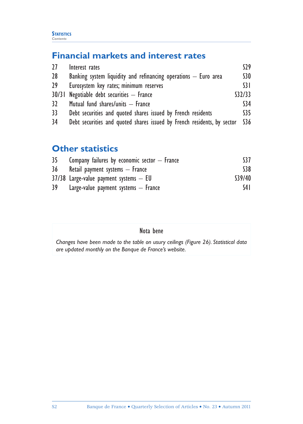# **Financial markets and interest rates**

| 27              | Interest rates                                                          | S29             |  |  |  |  |
|-----------------|-------------------------------------------------------------------------|-----------------|--|--|--|--|
| 28 <sup>°</sup> | Banking system liquidity and refinancing operations $-$ Euro area       |                 |  |  |  |  |
| 29              | Eurosystem key rates; minimum reserves                                  | $\overline{31}$ |  |  |  |  |
|                 | 30/31 Negotiable debt securities - France                               | S32/33          |  |  |  |  |
| 32              | Mutual fund shares/units - France                                       | \$34            |  |  |  |  |
| 33              | Debt securities and quoted shares issued by French residents            | S35             |  |  |  |  |
| 34              | Debt securities and quoted shares issued by French residents, by sector | \$36            |  |  |  |  |

# **Other statistics**

| 35 | Company failures by economic sector $-$ France | S <sub>37</sub> |
|----|------------------------------------------------|-----------------|
| 36 | Retail payment systems — France                | \$38            |
|    | $37/38$ Large-value payment systems $-$ EU     | \$39/40         |
| 39 | Large-value payment systems $-$ France         | S4 I            |

# Nota bene

*Changes have been made to the table on usury ceilings (Figure 26). Statistical data are updated monthly on the Banque de France's website.*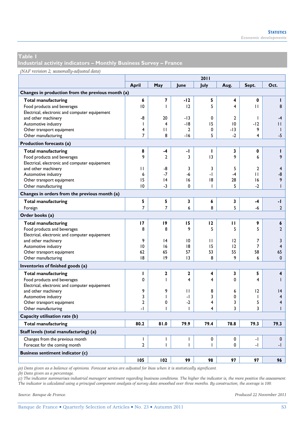**Industrial activity indicators – Monthly Business Survey – France** 

#### *(NAF revision 2; seasonally-adjusted data)*

|                                                   | 2011           |                |                          |                         |              |                          |                |
|---------------------------------------------------|----------------|----------------|--------------------------|-------------------------|--------------|--------------------------|----------------|
|                                                   | April          | May            | June                     | July                    | Aug.         | Sept.                    | Oct.           |
| Changes in production from the previous month (a) |                |                |                          |                         |              |                          |                |
| <b>Total manufacturing</b>                        | 6              | 7              | $-12$                    | 5                       | 4            | 0                        | ī              |
| Food products and beverages                       | 10             | T              | 12                       | 5                       | 4            | П                        | 8              |
| Electrical, electronic and computer equipement    |                |                |                          |                         |              |                          |                |
| and other machinery                               | -8             | 20             | -13                      | $\mathbf 0$             | $\mathbf{2}$ | T                        | $-4$           |
| Automotive industry                               | $\mathbf{I}$   | 4              | $-18$                    | 15                      | 10           | $-12$                    | П              |
| Other transport equipment                         | 4              | $\mathbf{H}$   | $\overline{2}$           | 0                       | -13          | 9                        | $\mathbf{I}$   |
| Other manufacturing                               | 7              | 8              | $-16$                    | 5                       | $-2$         | 4                        | $-5$           |
| Production forecasts (a)                          |                |                |                          |                         |              |                          |                |
| Total manufacturing                               | 8              | -4             | -1                       | п                       | 3            | 0                        | ı              |
| Food products and beverages                       | 9              | $\mathbf{2}$   | 3                        | 13                      | 9            | 6                        | 9              |
| Electrical, electronic and computer equipement    |                |                |                          |                         |              |                          |                |
| and other machinery                               | П              | -8             | 3                        | 3                       | 5            | $\mathbf{2}$             | 4              |
| Automotive industry                               | 6              | $-7$           | -6                       | -1                      | -4           | П                        | -8             |
| Other transport equipment                         | 15             | 4              | 16                       | 18                      | 28           | 16                       | 9              |
| Other manufacturing                               | 10             | $-3$           | 0                        | $\mathbf{I}$            | 5            | $-2$                     | $\overline{1}$ |
| Changes in orders from the previous month (a)     |                |                |                          |                         |              |                          |                |
| <b>Total manufacturing</b>                        | 5              | 5              | $\overline{\mathbf{3}}$  | 6                       | 3            | $-4$                     | -1             |
| Foreign                                           | 7              | $\overline{7}$ | 6                        | 8                       | 5            | -6                       | $\overline{2}$ |
| Order books (a)                                   |                |                |                          |                         |              |                          |                |
| <b>Total manufacturing</b>                        | 17             | 19             | 15                       | 12                      | п            | 9                        | 6              |
| Food products and beverages                       | 8              | 8              | 9                        | 5                       | 5            | 5                        | $\overline{2}$ |
| Electrical, electronic and computer equipement    |                |                |                          |                         |              |                          |                |
| and other machinery                               | 9              | 4              | 10                       | П                       | 12           | 7                        | 3              |
| Automotive industry                               | 10             | 16             | 8                        | 15                      | $ 2\rangle$  | 7                        | 4              |
| Other transport equipment                         | 62             | 65             | 57                       | 53                      | 55           | 58                       | 65             |
| Other manufacturing                               | 18             | 9              | 13                       | 8                       | 9            | 6                        | $\mathbf{0}$   |
| Inventories of finished goods (a)                 |                |                |                          |                         |              |                          |                |
| <b>Total manufacturing</b>                        | п              | $\mathbf{2}$   | $\mathbf{2}$             | 4                       | 3            | 5                        | 4              |
| Food products and beverages                       | 0              | T              | 4                        | 4                       | $\Omega$     | 4                        | ı              |
| Electrical, electronic and computer equipement    |                |                |                          |                         |              |                          |                |
| and other machinery                               | 9              | 9              | $\mathbf{H}$             | 8                       | 6            | 12                       | 4              |
| Automotive industry                               | 3              | $\mathbf{I}$   | $\overline{a}$           | 3                       | 0            | ı                        | 4              |
| Other transport equipment                         | $\overline{2}$ | 0              | $-2$                     | $\overline{\mathbf{4}}$ | 3            | 5                        | 4              |
| Other manufacturing                               | -1             | ı              | ı                        | 4                       | 3            | 3                        | $\mathbf{I}$   |
| Capacity utilisation rate (b)                     |                |                |                          |                         |              |                          |                |
| Total manufacturing                               | 80.2           | 81.0           | 79.9                     | 79.4                    | 78.8         | 79.3                     | 79.3           |
| Staff levels (total manufacturing) (a)            |                |                |                          |                         |              |                          |                |
| Changes from the previous month                   | T              | $\mathbf{I}$   | $\overline{1}$           | 0                       | $\mathbf 0$  | $\overline{\phantom{a}}$ | $\mathbf 0$    |
| Forecast for the coming month                     | $\overline{a}$ | $\mathsf{I}$   | $\overline{\phantom{a}}$ | $\mathbf{I}$            | 0            | $\overline{a}$           | $-1$           |
| <b>Business sentiment indicator (c)</b>           |                |                |                          |                         |              |                          |                |
|                                                   | 105            | 102            | 99                       | 98                      | 97           | 97                       | 96             |

*(a) Data given as a balance of opinions. Forecast series are adjusted for bias when it is statistically significant.* 

*(b) Data given as a percentage.* 

*(c) The indicator summarises industrial managers' sentiment regarding business conditions. The higher the indicator is, the more positive the assessment. The indicator is calculated using a principal component analysis of survey data smoothed over three months. By construction, the average is 100.*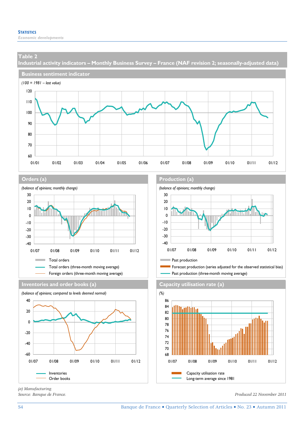**Industrial activity indicators – Monthly Business Survey – France (NAF revision 2; seasonally-adjusted data)** 







**Inventories and order books (a) Capacity utilisation rate (a)**



**Orders (a) Production (a)**







*(a) Manufacturing.*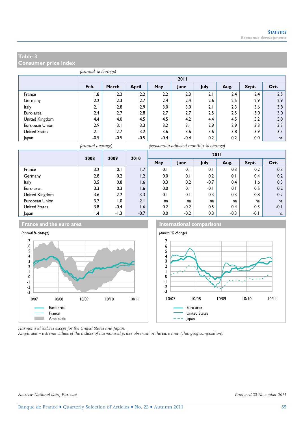**Consumer price index** 

|                      |        |        |        |        | 2011   |      |      |       |      |  |  |  |
|----------------------|--------|--------|--------|--------|--------|------|------|-------|------|--|--|--|
|                      |        |        |        |        |        |      |      |       |      |  |  |  |
|                      | Feb.   | March  | April  | May    | June   | July | Aug. | Sept. | Oct. |  |  |  |
| France               | 1.8    | 2.2    | 2.2    | 2.2    | 2.3    | 2.1  | 2.4  | 2.4   | 2.5  |  |  |  |
| Germany              | 2.2    | 2.3    | 2.7    | 2.4    | 2.4    | 2.6  | 2.5  | 2.9   | 2.9  |  |  |  |
| Italy                | 2.1    | 2.8    | 2.9    | 3.0    | 3.0    | 2.1  | 2.3  | 3.6   | 3.8  |  |  |  |
| Euro area            | 2.4    | 2.7    | 2.8    | 2.7    | 2.7    | 2.5  | 2.5  | 3.0   | 3.0  |  |  |  |
| United Kingdom       | 4.4    | 4.0    | 4.5    | 4.5    | 4.2    | 4.4  | 4.5  | 5.2   | 5.0  |  |  |  |
| European Union       | 2.9    | 3.1    | 3.3    | 3.2    | 3.1    | 2.9  | 2.9  | 3.3   | 3.3  |  |  |  |
| <b>United States</b> | 2.1    | 2.7    | 3.2    | 3.6    | 3.6    | 3.6  | 3.8  | 3.9   | 3.5  |  |  |  |
| Japan                | $-0.5$ | $-0.5$ | $-0.5$ | $-0.4$ | $-0.4$ | 0.2  | 0.2  | 0.0   | na   |  |  |  |



*(annual average) (seasonally-adjusted monthly % change)*

|                      | 2008 | 2009             | 2010           |     |             |        | 2011   |        |        |
|----------------------|------|------------------|----------------|-----|-------------|--------|--------|--------|--------|
|                      |      |                  |                | May | <b>lune</b> | July   | Aug.   | Sept.  | Oct.   |
| France               | 3.2  | 0.1              | 1.7            | 0.1 | 0.1         | 0.1    | 0.3    | 0.2    | 0.3    |
| Germany              | 2.8  | 0.2              | $\overline{2}$ | 0.0 | 0.1         | 0.2    | 0.1    | 0.4    | 0.2    |
| Italy                | 3.5  | 0.8              | 1.6            | 0.3 | 0.2         | $-0.7$ | 0.4    | 1.6    | 0.3    |
| Euro area            | 3.3  | 0.3              | 1.6            | 0.0 | 0.1         | $-0.1$ | 0.1    | 0.5    | 0.2    |
| United Kingdom       | 3.6  | 2.2              | 3.3            | 0.1 | 0.1         | 0.3    | 0.3    | 0.8    | 0.2    |
| European Union       | 3.7  | $\overline{1.0}$ | 2.1            | na  | na          | na     | na     | na     | na     |
| <b>United States</b> | 3.8  | $-0.4$           | 1.6            | 0.2 | $-0.2$      | 0.5    | 0.4    | 0.3    | $-0.1$ |
| Japan                | l.4  | $-1.3$           | $-0.7$         | 0.0 | $-0.2$      | 0.3    | $-0.3$ | $-0.1$ | na     |



**France and the euro area International comparisons** 



*Harmonised indices except for the United States and Japan.* 

*Amplitude =extreme values of the indices of harmonised prices observed in the euro area (changing composition).*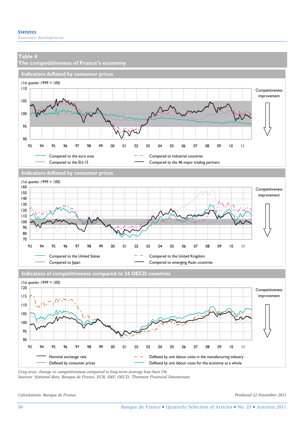

*Sources: National data, Banque de France, ECB, IMF, OECD, Thomson Financial Datastream.* 

*Calculations: Banque de France. Produced 22 November 2011*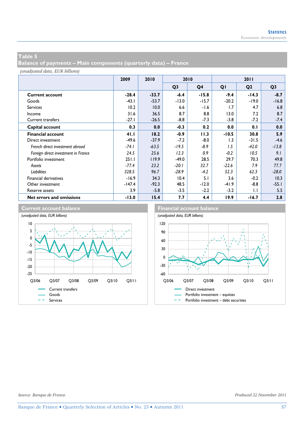**Balance of payments – Main components (quarterly data) – France** 

*(unadjusted data, EUR billions)*

|                                     | 2009     | 2010    | 2010           |                |         | 2011           |                |  |
|-------------------------------------|----------|---------|----------------|----------------|---------|----------------|----------------|--|
|                                     |          |         | Q <sub>3</sub> | Q <sub>4</sub> | QI      | Q <sub>2</sub> | Q <sub>3</sub> |  |
| <b>Current account</b>              | $-28.4$  | $-33.7$ | $-6.4$         | $-15.8$        | $-9.4$  | $-14.3$        | $-8.7$         |  |
| Goods                               | $-43.1$  | $-53.7$ | $-13.0$        | $-15.7$        | $-20.2$ | $-19.0$        | $-16.8$        |  |
| <b>Services</b>                     | 10.2     | 10.0    | 6.6            | $-1.6$         | 1.7     | 4.7            | 6.8            |  |
| Income                              | 31.6     | 36.5    | 8.7            | 8.8            | 13.0    | 7.2            | 8.7            |  |
| <b>Current transfers</b>            | $-27.1$  | $-26.5$ | $-8.8$         | $-7.3$         | $-3.8$  | $-7.2$         | $-7.4$         |  |
| Capital account                     | 0.3      | 0.0     | $-0.3$         | 0.2            | 0.0     | 0.1            | 0.0            |  |
| <b>Financial account</b>            | 41.1     | 18.2    | $-0.9$         | 11.3           | $-10.5$ | 30.8           | 5.9            |  |
| Direct investment                   | $-49.6$  | $-37.9$ | $-7.2$         | $-8.0$         | 1.3     | $-31.5$        | $-4.6$         |  |
| French direct investment abroad     | $-74.1$  | $-63.5$ | $-19.5$        | $-8.9$         | 1.5     | $-42.0$        | $-13.8$        |  |
| Foreign direct investment in France | 24.5     | 25.6    | 12.3           | 0.9            | $-0.2$  | 10.5           | 9.1            |  |
| Portfolio investment                | 251.1    | 119.9   | $-49.0$        | 28.5           | 29.7    | 70.3           | 49.8           |  |
| Assets                              | $-77.4$  | 23.2    | $-20.1$        | 32.7           | $-22.6$ | 7.9            | 77.7           |  |
| Liabilities                         | 328.5    | 96.7    | $-28.9$        | $-4.2$         | 52.3    | 62.3           | $-28.0$        |  |
| <b>Financial derivatives</b>        | $-16.9$  | 34.3    | 10.4           | 5.1            | 3.6     | $-0.2$         | 10.3           |  |
| Other investment                    | $-147.4$ | $-92.3$ | 48.5           | $-12.0$        | $-41.9$ | $-8.8$         | $-55.1$        |  |
| Reserve assets                      | 3.9      | $-5.8$  | $-3.5$         | $-2.2$         | $-3.2$  | $\mathsf{L}$   | 5.5            |  |
| Net errors and omissions            | $-13.0$  | 15.4    | 7.7            | 4.4            | 19.9    | $-16.7$        | 2.8            |  |

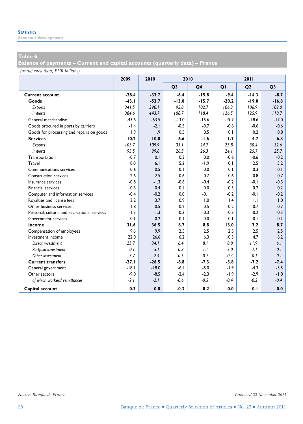*Economic developments* 

### **Table 6**

**Balance of payments – Current and capital accounts (quarterly data) – France** 

*(unadjusted data, EUR billions)*

|                                              | 2009    | 2010    | 2010           |                |         | 2011           |                |
|----------------------------------------------|---------|---------|----------------|----------------|---------|----------------|----------------|
|                                              |         |         | Q <sub>3</sub> | Q <sub>4</sub> | QI      | Q <sub>2</sub> | Q <sub>3</sub> |
| <b>Current account</b>                       | $-28.4$ | $-33.7$ | $-6.4$         | $-15.8$        | $-9.4$  | $-14.3$        | $-8.7$         |
| Goods                                        | $-43.1$ | $-53.7$ | $-13.0$        | $-15.7$        | $-20.2$ | $-19.0$        | $-16.8$        |
| Exports                                      | 341.5   | 390.1   | 95.8           | 102.7          | 106.3   | 106.9          | 102.0          |
| <b>Imports</b>                               | 384.6   | 443.7   | 108.7          | 118.4          | 126.5   | 125.9          | 118.7          |
| General merchandise                          | $-43.6$ | $-53.5$ | $-13.0$        | $-15.6$        | $-19.7$ | $-18.6$        | $-17.0$        |
| Goods procured in ports by carriers          | $-1.4$  | $-2.1$  | $-0.5$         | $-0.7$         | $-0.6$  | $-0.6$         | $-0.6$         |
| Goods for processing and repairs on goods    | 1.9     | 1.9     | 0.5            | 0.5            | 0.1     | 0.2            | 0.8            |
| <b>Services</b>                              | 10.2    | 10.0    | 6.6            | $-1.6$         | 1.7     | 4.7            | 6.8            |
| Exports                                      | 103.7   | 109.9   | 33.1           | 24.7           | 25.8    | 30.4           | 32.6           |
| <b>Imports</b>                               | 93.5    | 99.8    | 26.5           | 26.3           | 24.1    | 25.7           | 25.7           |
| Transportation                               | $-0.7$  | 0.1     | 0.3            | 0.0            | $-0.6$  | $-0.6$         | $-0.2$         |
| Travel                                       | 8.0     | 6.1     | 5.2            | $-1.9$         | 0.1     | 2.5            | 5.2            |
| Communications services                      | 0.6     | 0.5     | 0.1            | 0.0            | 0.1     | 0.3            | 0.1            |
| <b>Construction services</b>                 | 2.6     | 2.5     | 0.6            | 0.7            | 0.6     | 0.8            | 0.7            |
| Insurance services                           | $-0.8$  | $-1.3$  | $-0.6$         | $-0.4$         | $-0.2$  | $-0.1$         | $-0.3$         |
| <b>Financial services</b>                    | 0.6     | 0.4     | 0.1            | 0.0            | 0.3     | 0.2            | 0.2            |
| Computer and information services            | $-0.4$  | $-0.2$  | 0.0            | $-0.1$         | $-0.2$  | $-0.1$         | $-0.2$         |
| Royalties and license fees                   | 3.2     | 3.7     | 0.9            | 1.0            | 1.4     | $\mathsf{L}$   | 1.0            |
| Other business services                      | $-1.8$  | $-0.5$  | 0.2            | $-0.5$         | 0.2     | 0.7            | 0.7            |
| Personal, cultural and recreational services | $-1.3$  | $-1.3$  | $-0.3$         | $-0.3$         | $-0.3$  | $-0.2$         | $-0.3$         |
| Government services                          | 0.1     | 0.2     | 0.1            | 0.0            | 0.1     | 0.1            | 0.1            |
| Income                                       | 31.6    | 36.5    | 8.7            | 8.8            | 13.0    | 7.2            | 8.7            |
| Compensation of employees                    | 9.6     | 9.9     | 2.5            | 2.5            | 2.5     | 2.5            | 2.5            |
| Investment income                            | 22.0    | 26.6    | 6.2            | 6.3            | 10.5    | 4.7            | 6.2            |
| Direct investment                            | 25.7    | 34.1    | 6.4            | 8.1            | 8.8     | 11.9           | 6.1            |
| Portfolio investment                         | 0.1     | $-5.1$  | 0.3            | $-1.1$         | 2.0     | $-7.1$         | $-0.1$         |
| Other investment                             | $-3.7$  | $-2.4$  | $-0.5$         | $-0.7$         | $-0.4$  | $-0.1$         | 0.1            |
| <b>Current transfers</b>                     | $-27.1$ | $-26.5$ | $-8.8$         | $-7.3$         | $-3.8$  | $-7.2$         | $-7.4$         |
| General government                           | $-18.1$ | $-18.0$ | $-6.4$         | $-5.0$         | $-1.9$  | $-4.3$         | $-5.5$         |
| Other sectors                                | $-9.0$  | $-8.5$  | $-2.4$         | $-2.3$         | $-1.9$  | $-2.9$         | $-1.8$         |
| of which workers' remittances                | $-2.1$  | $-2.1$  | $-0.6$         | $-0.5$         | $-0.4$  | $-0.3$         | $-0.4$         |
| Capital account                              | 0.3     | 0.0     | $-0.3$         | 0.2            | 0.0     | 0.1            | 0.0            |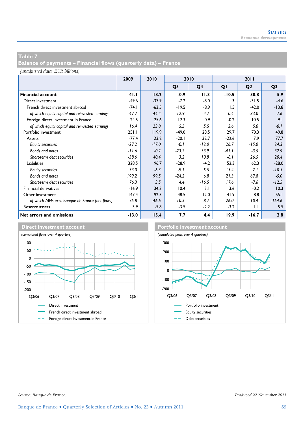**Balance of payments – Financial flows (quarterly data) – France** 

*(unadjusted data, EUR billions)*

|                                                  | 2009     | 2010    | 2010           |                |         | 2011           |                |
|--------------------------------------------------|----------|---------|----------------|----------------|---------|----------------|----------------|
|                                                  |          |         | Q <sub>3</sub> | Q <sub>4</sub> | QI      | Q <sub>2</sub> | Q <sub>3</sub> |
| <b>Financial account</b>                         | 41.1     | 18.2    | $-0.9$         | 11.3           | $-10.5$ | 30.8           | 5.9            |
| Direct investment                                | $-49.6$  | $-37.9$ | $-7.2$         | $-8.0$         | 1.3     | $-31.5$        | $-4.6$         |
| French direct investment abroad                  | $-74.1$  | $-63.5$ | $-19.5$        | $-8.9$         | 1.5     | $-42.0$        | $-13.8$        |
| of which equity capital and reinvested earnings  | $-47.7$  | $-44.4$ | $-12.9$        | $-4.7$         | 0.4     | $-33.0$        | -7.6           |
| Foreign direct investment in France              | 24.5     | 25.6    | 12.3           | 0.9            | $-0.2$  | 10.5           | 9.1            |
| of which equity capital and reinvested earnings  | 16.4     | 23.8    | 5.5            | 5.5            | 3.6     | 5.0            | $-0.1$         |
| Portfolio investment                             | 251.1    | 119.9   | $-49.0$        | 28.5           | 29.7    | 70.3           | 49.8           |
| Assets                                           | $-77.4$  | 23.2    | $-20.1$        | 32.7           | $-22.6$ | 7.9            | 77.7           |
| <b>Equity securities</b>                         | $-27.2$  | $-17.0$ | $-0.1$         | $-12.0$        | 26.7    | $-15.0$        | 24.3           |
| Bonds and notes                                  | $-11.6$  | $-0.2$  | $-23.2$        | 33.9           | $-41.1$ | $-3.5$         | 32.9           |
| Short-term debt securities                       | $-38.6$  | 40.4    | 3.2            | 10.8           | $-8.1$  | 26.5           | 20.4           |
| Liabilities                                      | 328.5    | 96.7    | $-28.9$        | $-4.2$         | 52.3    | 62.3           | $-28.0$        |
| <b>Equity securities</b>                         | 53.0     | $-6.3$  | $-9.1$         | 5.5            | 13.4    | 2.1            | $-10.5$        |
| Bonds and notes                                  | 199.2    | 99.5    | $-24.2$        | 6.8            | 21.3    | 67.8           | $-5.0$         |
| Short-term debt securities                       | 76.3     | 3.5     | 4.4            | $-16.5$        | 17.6    | $-7.6$         | $-12.5$        |
| Financial derivatives                            | $-16.9$  | 34.3    | 10.4           | 5.1            | 3.6     | $-0.2$         | 10.3           |
| Other investment                                 | $-147.4$ | $-92.3$ | 48.5           | $-12.0$        | $-41.9$ | $-8.8$         | $-55.1$        |
| of which MFIs excl. Banque de France (net flows) | $-75.8$  | $-46.6$ | 10.5           | $-8.7$         | $-26.0$ | $-10.4$        | $-154.6$       |
| Reserve assets                                   | 3.9      | $-5.8$  | $-3.5$         | $-2.2$         | $-3.2$  | $\mathsf{L}$   | 5.5            |
| Net errors and omissions                         | $-13.0$  | 15.4    | 7.7            | 4.4            | 19.9    | $-16.7$        | 2.8            |



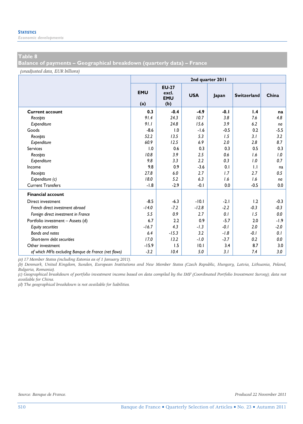*Economic developments* 

### **Table 8**

**Balance of payments – Geographical breakdown (quarterly data) – France** 

*(unadjusted data, EUR billions)*

|                                                      | 2nd quarter 2011  |                                            |            |        |                    |        |  |  |  |
|------------------------------------------------------|-------------------|--------------------------------------------|------------|--------|--------------------|--------|--|--|--|
|                                                      | <b>EMU</b><br>(a) | <b>EU-27</b><br>excl.<br><b>EMU</b><br>(b) | <b>USA</b> | Japan  | <b>Switzerland</b> | China  |  |  |  |
| <b>Current account</b>                               | 0.3               | $-0.4$                                     | $-4.9$     | $-0.1$ | 1.4                | na     |  |  |  |
| Receipts                                             | 91.4              | 24.3                                       | 10.7       | 3.8    | 7.6                | 4.8    |  |  |  |
| Expenditure                                          | 91.1              | 24.8                                       | 15.6       | 3.9    | 6.2                | na     |  |  |  |
| Goods                                                | $-8.6$            | 1.0                                        | $-1.6$     | $-0.5$ | 0.2                | $-5.5$ |  |  |  |
| Receipts                                             | 52.2              | 13.5                                       | 5.3        | 1.5    | 3.1                | 3.2    |  |  |  |
| Expenditure                                          | 60.9              | 12.5                                       | 6.9        | 2.0    | 2.8                | 8.7    |  |  |  |
| <b>Services</b>                                      | 1.0               | 0.6                                        | 0.3        | 0.3    | 0.5                | 0.3    |  |  |  |
| Receipts                                             | 10.8              | 3.9                                        | 2.5        | 0.6    | 1.6                | 1.0    |  |  |  |
| Expenditure                                          | 9.8               | 3.3                                        | 2.2        | 0.3    | 1.0                | 0.7    |  |  |  |
| Income                                               | 9.8               | 0.9                                        | $-3.6$     | 0.1    | 1.1                | na     |  |  |  |
| Receipts                                             | 27.8              | 6.0                                        | 2.7        | 1.7    | 2.7                | 0.5    |  |  |  |
| Expenditure (c)                                      | 18.0              | 5.2                                        | 6.3        | 1.6    | 1.6                | na     |  |  |  |
| <b>Current Transfers</b>                             | $-1.8$            | $-2.9$                                     | $-0.1$     | 0.0    | $-0.5$             | 0.0    |  |  |  |
| <b>Financial account</b>                             |                   |                                            |            |        |                    |        |  |  |  |
| Direct investment                                    | $-8.5$            | $-6.3$                                     | $-10.1$    | $-2.1$ | 1.2                | $-0.3$ |  |  |  |
| French direct investment abroad                      | $-14.0$           | $-7.2$                                     | $-12.8$    | $-2.2$ | $-0.3$             | $-0.3$ |  |  |  |
| Foreign direct investment in France                  | 5.5               | 0.9                                        | 2.7        | 0.1    | 1.5                | 0.0    |  |  |  |
| Portfolio investment - Assets (d)                    | 6.7               | 2.2                                        | 0.9        | $-5.7$ | 2.0                | $-1.9$ |  |  |  |
| <b>Equity securities</b>                             | $-16.7$           | 4.3                                        | $-1.3$     | $-0.1$ | 2.0                | $-2.0$ |  |  |  |
| Bonds and notes                                      | 6.4               | $-15.3$                                    | 3.2        | $-1.8$ | $-0.1$             | 0.1    |  |  |  |
| Short-term debt securities                           | 17.0              | 13.2                                       | $-1.0$     | $-3.7$ | 0.2                | 0.0    |  |  |  |
| Other investment                                     | $-15.9$           | 1.5                                        | 10.1       | 3.4    | 8.7                | 3.0    |  |  |  |
| of which MFIs excluding Banque de France (net flows) | $-3.2$            | 10.4                                       | 5.0        | 3.1    | 7.4                | 3.0    |  |  |  |

*(a) 17 Member States (including Estonia as of 1 January 2011).* 

*(b) Denmark, United Kingdom, Sweden, European Institutions and New Member States (Czech Republic, Hungary, Latvia, Lithuania, Poland, Bulgaria, Romania).* 

*(c) Geographical breakdown of portfolio investment income based on data compiled by the IMF (Coordinated Portfolio Investment Survey); data not available for China.* 

*(d) The geographical breakdown is not available for liabilities.*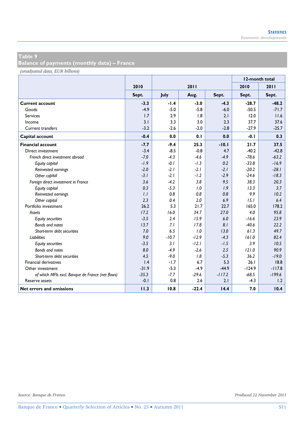**Balance of payments (monthly data) – France** 

*(unadjusted data, EUR billions)*

|                                                  |         |         |         | 12-month total |          |          |
|--------------------------------------------------|---------|---------|---------|----------------|----------|----------|
|                                                  | 2010    |         | 2011    |                | 2010     | 2011     |
|                                                  | Sept.   | July    | Aug.    | Sept.          | Sept.    | Sept.    |
| <b>Current account</b>                           | $-3.3$  | $-1.4$  | $-3.0$  | $-4.3$         | $-28.7$  | $-48.2$  |
| Goods                                            | $-4.9$  | $-5.0$  | $-5.8$  | $-6.0$         | $-50.5$  | $-71.7$  |
| <b>Services</b>                                  | 1.7     | 2.9     | 1.8     | 2.1            | 12.0     | 11.6     |
| Income                                           | 3.1     | 3.3     | 3.0     | 2.3            | 37.7     | 37.6     |
| Current transfers                                | $-3.2$  | $-2.6$  | $-2.0$  | $-2.8$         | $-27.9$  | $-25.7$  |
| Capital account                                  | $-0.4$  | 0.0     | 0.1     | 0.0            | $-0.1$   | 0.3      |
| <b>Financial account</b>                         | $-7.7$  | $-9.4$  | 25.3    | $-10.1$        | 21.7     | 37.5     |
| Direct investment                                | $-3.4$  | $-8.5$  | $-0.8$  | 4.7            | $-40.2$  | $-42.8$  |
| French direct investment abroad                  | $-7.0$  | $-4.3$  | $-4.6$  | $-4.9$         | $-78.6$  | $-63.2$  |
| Equity capital                                   | $-1.9$  | $-0.1$  | $-1.3$  | 0.2            | $-33.8$  | $-16.9$  |
| Reinvested earnings                              | $-2.0$  | $-2.1$  | $-2.1$  | $-2.1$         | $-20.2$  | $-28.1$  |
| Other capital                                    | $-3.1$  | $-2.1$  | $-1.2$  | $-2.9$         | $-24.6$  | $-18.3$  |
| Foreign direct investment in France              | 3.6     | $-4.2$  | 3.8     | 9.5            | 38.3     | 20.3     |
| Equity capital                                   | 0.3     | $-5.3$  | 1.0     | 1.9            | 13.3     | 3.7      |
| Reinvested earnings                              | 1.1     | 0.8     | 0.8     | 0.8            | 9.9      | 10.2     |
| Other capital                                    | 2.3     | 0.4     | 2.0     | 6.9            | 15.1     | 6.4      |
| Portfolio investment                             | 26.2    | 5.3     | 21.7    | 22.7           | 165.0    | 178.2    |
| Assets                                           | 17.2    | 16.0    | 34.7    | 27.0           | 4.0      | 95.8     |
| <b>Equity securities</b>                         | $-3.5$  | 2.4     | 15.9    | 6.0            | $-16.6$  | 23.9     |
| Bonds and notes                                  | 13.7    | 7.1     | 17.8    | 81             | $-40.6$  | 22.2     |
| Short-term debt securities                       | 7.0     | 6.5     | 1.0     | 13.0           | 61.3     | 49.7     |
| <b>Liabilities</b>                               | 9.0     | $-10.7$ | $-12.9$ | $-4.3$         | 161.0    | 82.4     |
| <b>Equity securities</b>                         | $-3.5$  | 3.1     | $-12.1$ | $-1.5$         | 3.9      | 10.5     |
| Bonds and notes                                  | 8.0     | $-4.9$  | $-2.6$  | 2.5            | 121.0    | 90.9     |
| Short-term debt securities                       | 4.5     | $-9.0$  | 1.8     | $-5.3$         | 36.2     | $-19.0$  |
| Financial derivatives                            | 1.4     | $-1.7$  | 6.7     | 5.3            | 26.1     | 18.8     |
| Other investment                                 | $-31.9$ | $-5.3$  | $-4.9$  | $-44.9$        | $-124.9$ | $-117.8$ |
| of which MFIs excl. Banque de France (net flows) | $-35.3$ | $-7.7$  | $-29.6$ | $-117.2$       | $-68.5$  | $-199.6$ |
| Reserve assets                                   | $-0.1$  | 0.8     | 2.6     | 2.1            | $-4.3$   | 1.2      |
| Net errors and omissions                         | 11.3    | 10.8    | $-22.4$ | 14.4           | 7.0      | 10.4     |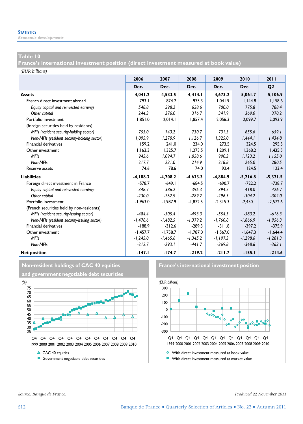*Economic developments* 

#### **Table 10**

**France's international investment position (direct investment measured at book value)** 

*(EUR billions)*

|                                             | 2006        | 2007       | 2008       | 2009       | 2010       | 2011           |
|---------------------------------------------|-------------|------------|------------|------------|------------|----------------|
|                                             | Dec.        | Dec.       | Dec.       | Dec.       | Dec.       | Q <sub>2</sub> |
| <b>Assets</b>                               | 4,041.2     | 4,533.5    | 4,414.1    | 4,673.2    | 5,061.7    | 5,106.9        |
| French direct investment abroad             | 793.1       | 874.2      | 975.3      | 1.041.9    | 1.144.8    | 1.158.6        |
| Equity capital and reinvested earnings      | 548.8       | 598.2      | 658.6      | 700.0      | 775.8      | 788.4          |
| Other capital                               | 244.3       | 276.0      | 316.7      | 341.9      | 369.0      | 370.2          |
| Portfolio investment                        | 1,851.0     | 2,014.1    | 1,857.4    | 2,056.3    | 2.099.7    | 2,093.9        |
| (foreign securities held by residents)      |             |            |            |            |            |                |
| MFIs (resident security-holding sector)     | 755.0       | 743.2      | 730.7      | 731.3      | 655.6      | 659.1          |
| Non-MFIs (resident security-holding sector) | 1,095.9     | 1,270.9    | 1,126.7    | 1,325.0    | 1,444.1    | 1,434.8        |
| <b>Financial derivatives</b>                | 159.2       | 241.0      | 234.0      | 273.5      | 324.5      | 295.5          |
| Other investment                            | 1.163.3     | 1.325.7    | 1.273.5    | 1,209.1    | 1.368.2    | 1.435.5        |
| <b>MFIs</b>                                 | 945.6       | 1.094.7    | 1,058.6    | 990.3      | 1,123.2    | 1,155.0        |
| Non-MFIs                                    | 217.7       | 231.0      | 214.9      | 218.8      | 245.0      | 280.5          |
| Reserve assets                              | 74.6        | 78.6       | 74.0       | 92.4       | 124.5      | 123.4          |
| <b>Liabilities</b>                          | $-4, 188.3$ | $-4,708.2$ | $-4,633.3$ | $-4,884.9$ | $-5,216.8$ | $-5,321.5$     |
| Foreign direct investment in France         | $-578.7$    | $-649.1$   | $-684.5$   | $-690.7$   | $-722.2$   | $-728.7$       |
| Equity capital and reinvested earnings      | $-348.7$    | $-386.2$   | $-395.3$   | $-394.2$   | $-418.0$   | $-426.7$       |
| Other capital                               | $-230.0$    | $-262.9$   | $-289.2$   | $-296.5$   | $-304.2$   | $-302.0$       |
| Portfolio investment                        | $-1,963.0$  | $-1,987.9$ | $-1,872.5$ | $-2,315.3$ | $-2,450.1$ | $-2,572.6$     |
| (French securities held by non-residents)   |             |            |            |            |            |                |
| MFIs (resident security-issuing sector)     | $-484.4$    | $-505.4$   | $-493.3$   | $-554.5$   | $-583.2$   | $-616.3$       |
| Non-MFIs (resident security-issuing sector) | $-1,478.6$  | $-1,482.5$ | $-1,379.2$ | $-1,760.8$ | $-1,866.9$ | $-1,956.3$     |
| <b>Financial derivatives</b>                | $-188.9$    | $-312.6$   | $-289.3$   | $-311.8$   | $-397.2$   | $-375.9$       |
| Other investment                            | $-1.457.7$  | $-1.758.7$ | $-1,787.0$ | $-1.567.0$ | $-1.647.3$ | $-1.644.4$     |
| <b>MFIs</b>                                 | $-1,245.0$  | $-1,465.6$ | $-1,345.2$ | $-1,197.3$ | $-1,298.6$ | $-1,281.3$     |
| Non-MFIs                                    | $-212.7$    | $-293.1$   | $-441.7$   | $-369.8$   | $-348.6$   | $-363.1$       |
| <b>Net position</b>                         | $-147.1$    | $-174.7$   | $-219.2$   | $-211.7$   | $-155.1$   | $-214.6$       |





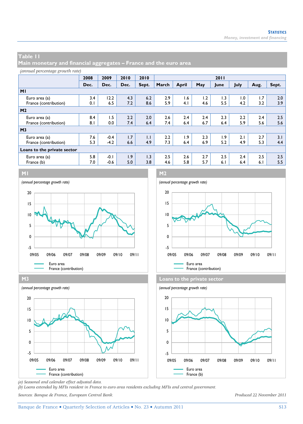**Main monetary and financial aggregates – France and the euro area** 

|  | (annual percentage growth rate) |  |  |
|--|---------------------------------|--|--|
|--|---------------------------------|--|--|

|                             | 2008 | 2009   | 2010 | 2010         | 2011  |              |     |      |      |      |       |
|-----------------------------|------|--------|------|--------------|-------|--------------|-----|------|------|------|-------|
|                             | Dec. | Dec.   | Dec. | Sept.        | March | <b>April</b> | May | June | July | Aug. | Sept. |
| M <sub>1</sub>              |      |        |      |              |       |              |     |      |      |      |       |
| Euro area (a)               | 3.4  | 12.2   | 4.3  | 6.2          | 2.9   | 1.6          | 1.2 | 1.3  | 1.0  | 1.7  | 2.0   |
| France (contribution)       | 0.1  | 6.5    | 7.2  | 8.6          | 5.9   | 4.1          | 4.6 | 5.5  | 4.2  | 3.2  | 3.9   |
| M <sub>2</sub>              |      |        |      |              |       |              |     |      |      |      |       |
| Euro area (a)               | 8.4  | 1.5    | 2.2  | 2.0          | 2.6   | 2.4          | 2.4 | 2.3  | 2.2  | 2.4  | 2.5   |
| France (contribution)       | 8.1  | 0.0    | 7.4  | 6.4          | 7.4   | 6.4          | 6.7 | 6.4  | 5.9  | 5.6  | 5.6   |
| M <sub>3</sub>              |      |        |      |              |       |              |     |      |      |      |       |
| Euro area (a)               | 7.6  | $-0.4$ | 1.7  | $\mathsf{L}$ | 2.2   | 1.9          | 2.3 | 1.9  | 2.1  | 2.7  | 3.1   |
| France (contribution)       | 5.3  | $-4.2$ | 6.6  | 4.9          | 7.3   | 6.4          | 6.9 | 5.2  | 4.9  | 5.3  | 4.4   |
| Loans to the private sector |      |        |      |              |       |              |     |      |      |      |       |
| Euro area (a)               | 5.8  | $-0.1$ | 1.9  | 1.3          | 2.5   | 2.6          | 2.7 | 2.5  | 2.4  | 2.5  | 2.5   |
| France (b)                  | 7.0  | $-0.6$ | 5.0  | 3.8          | 4.6   | 5.8          | 5.7 | 6.1  | 6.4  | 6.1  | 5.5   |









*(a) Seasonal and calendar effect adjusted data.* 

*(b) Loans extended by MFIs resident in France to euro area residents excluding MFIs and central government.* 

*Sources: Banque de France, European Central Bank. Produced 22 November 2011*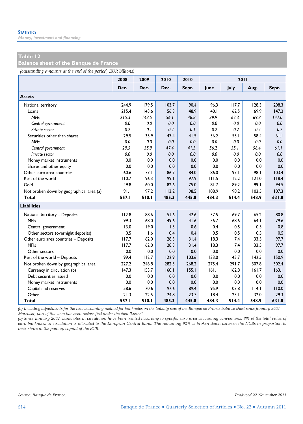*Money, investment and financing* 

#### **Table 12**

**Balance sheet of the Banque de France** 

*(outstanding amounts at the end of the period, EUR billions)*

|                                          | 2008  | 2009  | 2010  | 2010  |       | 2011  |       |       |
|------------------------------------------|-------|-------|-------|-------|-------|-------|-------|-------|
|                                          | Dec.  | Dec.  | Dec.  | Sept. | June  | July  | Aug.  | Sept. |
| <b>Assets</b>                            |       |       |       |       |       |       |       |       |
| National territory                       | 244.9 | 179.5 | 103.7 | 90.4  | 96.3  | 117.7 | 128.3 | 208.3 |
| Loans                                    | 215.4 | 143.6 | 56.3  | 48.9  | 40.1  | 62.5  | 69.9  | 147.2 |
| <b>MFIs</b>                              | 215.3 | 143.5 | 56.1  | 48.8  | 39.9  | 62.3  | 69.8  | 147.0 |
| Central government                       | 0.0   | 0.0   | 0.0   | 0.0   | 0.0   | 0.0   | 0.0   | 0.0   |
| Private sector                           | 0.2   | 0.1   | 0.2   | 0.1   | 0.2   | 0.2   | 0.2   | 0.2   |
| Securities other than shares             | 29.5  | 35.9  | 47.4  | 41.5  | 56.2  | 55.1  | 58.4  | 61.1  |
| <b>MFIs</b>                              | 0.0   | 0.0   | 0.0   | 0.0   | 0.0   | 0.0   | 0.0   | 0.0   |
| Central government                       | 29.5  | 35.9  | 47.4  | 41.5  | 56.2  | 55.1  | 58.4  | 61.1  |
| Private sector                           | 0.0   | 0.0   | 0.0   | 0.0   | 0.0   | 0.0   | 0.0   | 0.0   |
| Money market instruments                 | 0.0   | 0.0   | 0.0   | 0.0   | 0.0   | 0.0   | 0.0   | 0.0   |
| Shares and other equity                  | 0.0   | 0.0   | 0.0   | 0.0   | 0.0   | 0.0   | 0.0   | 0.0   |
| Other euro area countries                | 60.6  | 77.1  | 86.7  | 84.0  | 86.0  | 97.I  | 98.I  | 103.4 |
| Rest of the world                        | 110.7 | 96.3  | 99.I  | 97.9  | 111.5 | 112.2 | 121.0 | 118.4 |
| Gold                                     | 49.8  | 60.0  | 82.6  | 75.0  | 81.7  | 89.2  | 99.I  | 94.5  |
| Not broken down by geographical area (a) | 91.1  | 97.2  | 113.2 | 98.5  | 108.9 | 98.2  | 102.5 | 107.3 |
| <b>Total</b>                             | 557.1 | 510.1 | 485.3 | 445.8 | 484.3 | 514.4 | 548.9 | 631.8 |
| <b>Liabilities</b>                       |       |       |       |       |       |       |       |       |
| National territory - Deposits            | 112.8 | 88.6  | 51.6  | 42.6  | 57.5  | 69.7  | 65.2  | 80.8  |
| <b>MFIs</b>                              | 99.3  | 68.0  | 49.6  | 41.6  | 56.7  | 68.6  | 64.1  | 79.6  |
| Central government                       | 13.0  | 19.0  | 1.5   | 0.6   | 0.4   | 0.5   | 0.5   | 0.8   |
| Other sectors (overnight deposits)       | 0.5   | 1.6   | 0.4   | 0.4   | 0.5   | 0.5   | 0.5   | 0.5   |
| Other euro area countries - Deposits     | 117.7 | 62.0  | 28.3  | 31.4  | 18.3  | 7.4   | 33.5  | 97.7  |
| <b>MFIs</b>                              | 117.7 | 62.0  | 28.3  | 31.4  | 18.3  | 7.4   | 33.5  | 97.7  |
| Other sectors                            | 0.0   | 0.0   | 0.0   | 0.0   | 0.0   | 0.0   | 0.0   | 0.0   |
| Rest of the world - Deposits             | 99.4  | 112.7 | 122.9 | 103.6 | 133.0 | 145.7 | 142.5 | 150.9 |
| Not broken down by geographical area     | 227.2 | 246.8 | 282.5 | 268.2 | 275.4 | 291.7 | 307.8 | 302.4 |
| Currency in circulation (b)              | 147.3 | 153.7 | 160.1 | 155.1 | 161.1 | 162.8 | 161.7 | 163.1 |
| Debt securities issued                   | 0.0   | 0.0   | 0.0   | 0.0   | 0.0   | 0.0   | 0.0   | 0.0   |
| Money market instruments                 | 0.0   | 0.0   | 0.0   | 0.0   | 0.0   | 0.0   | 0.0   | 0.0   |
| Capital and reserves                     | 58.6  | 70.6  | 97.6  | 89.4  | 95.9  | 103.8 | 114.1 | 110.0 |
| Other                                    | 21.3  | 22.5  | 24.8  | 23.7  | 18.4  | 25.1  | 32.0  | 29.3  |
| Total                                    | 557.1 | 510.1 | 485.3 | 445.8 | 484.3 | 514.4 | 548.9 | 631.8 |

*(a) Including adjustments for the new accounting method for banknotes on the liability side of the Banque de France balance sheet since January 2002. Moreover, part of this item has been reclassified under the item "Loans".* 

*(b) Since January 2002, banknotes in circulation have been treated according to specific euro area accounting conventions. 8% of the total value of euro banknotes in circulation is allocated to the European Central Bank. The remaining 92% is broken down between the NCBs in proportion to their share in the paid-up capital of the ECB.*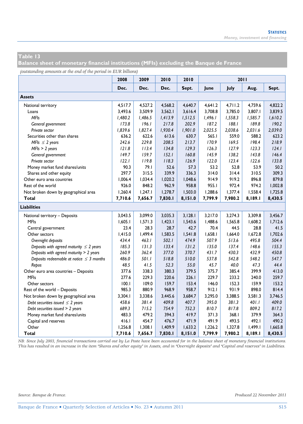**Balance sheet of monetary financial institutions (MFIs) excluding the Banque de France** 

*(outstanding amounts at the end of the period in EUR billions)*

|                                               | 2008    | 2009    | 2010    | 2010    |         | 2011    |         |         |
|-----------------------------------------------|---------|---------|---------|---------|---------|---------|---------|---------|
|                                               | Dec.    | Dec.    | Dec.    | Sept.   | June    | July    | Aug.    | Sept.   |
| <b>Assets</b>                                 |         |         |         |         |         |         |         |         |
| National territory                            | 4,517.7 | 4,527.2 | 4,568.2 | 4.640.7 | 4,641.2 | 4,711.2 | 4,759.6 | 4,822.2 |
| Loans                                         | 3,493.6 | 3,509.9 | 3,562.1 | 3,616.4 | 3.708.8 | 3.785.0 | 3,807.1 | 3,839.5 |
| <b>MFIs</b>                                   | 1,480.2 | 1,486.5 | 1,413.9 | 1,512.5 | 1,496.1 | 1,558.3 | 1,585.7 | 1,610.2 |
| General government                            | 173.8   | 196.1   | 217.8   | 202.9   | 187.2   | 188.1   | 189.8   | 190.2   |
| Private sector                                | 1,839.6 | 1,827.4 | 1,930.4 | 1,901.0 | 2,025.5 | 2,038.6 | 2,031.6 | 2,039.0 |
| Securities other than shares                  | 636.2   | 622.6   | 613.6   | 630.7   | 565.1   | 559.0   | 588.2   | 623.2   |
| MFIs $\leq$ 2 years                           | 242.6   | 229.8   | 208.5   | 213.7   | 170.9   | 169.5   | 198.4   | 218.9   |
| $MFIs > 2$ years                              | 121.8   | 113.4   | 134.8   | 129.3   | 126.3   | 127.9   | 123.3   | 124.1   |
| General government                            | 149.7   | 159.7   | 152.1   | 160.8   | 145.9   | 138.2   | 143.8   | 146.4   |
| Private sector                                | 122.1   | 119.8   | 118.3   | 126.9   | 122.0   | 123.4   | 122.6   | 133.8   |
| Money market fund shares/units                | 90.3    | 79.I    | 52.6    | 57.3    | 53.2    | 52.8    | 53.9    | 50.2    |
| Shares and other equity                       | 297.7   | 315.5   | 339.9   | 336.3   | 314.0   | 314.4   | 310.5   | 309.3   |
| Other euro area countries                     | 1,006.4 | 1,034.4 | 1,020.2 | 1,048.6 | 914.9   | 919.2   | 896.8   | 879.8   |
| Rest of the world                             | 926.0   | 848.2   | 962.9   | 958.8   | 955.I   | 972.4   | 974.2   | 1,002.8 |
| Not broken down by geographical area          | 1,260.4 | 1,247.1 | 1,278.7 | 1,503.0 | 1,288.6 | 1,377.4 | 1,558.4 | 1,725.8 |
| Total                                         | 7,710.6 | 7,656.7 | 7,830.1 | 8,151.0 | 7,799.9 | 7,980.2 | 8,189.1 | 8,430.5 |
| <b>Liabilities</b>                            |         |         |         |         |         |         |         |         |
| National territory - Deposits                 | 3,043.5 | 3,099.0 | 3,035.3 | 3,128.1 | 3,217.0 | 3,274.3 | 3,309.8 | 3,456.7 |
| <b>MFIs</b>                                   | 1,605.1 | 1,571.3 | 1,423.1 | 1,543.6 | 1,488.6 | 1,565.8 | 1,608.2 | 1,712.6 |
| Central government                            | 23.4    | 28.3    | 28.7    | 42.7    | 70.4    | 44.5    | 28.8    | 41.5    |
| Other sectors                                 | 1,415.0 | 1,499.4 | 1,583.5 | 1,541.8 | 1,658.1 | 1,664.0 | 1,672.8 | 1.702.6 |
| Overnight deposits                            | 434.4   | 463.1   | 502.1   | 474.9   | 507.9   | 513.6   | 495.8   | 504.4   |
| Deposits with agreed maturity $\leq 2$ years  | 185.3   | 131.3   | 133.4   | 131.2   | 135.0   | 137.4   | 148.6   | 155.3   |
| Deposits with agreed maturity > 2 years       | 260.9   | 362.4   | 377.0   | 370.7   | 431.7   | 430.3   | 432.9   | 450.8   |
| Deposits redeemable at notice $\leq$ 3 months | 486.0   | 501.1   | 518.8   | 510.0   | 537.8   | 542.8   | 548.2   | 547.7   |
| Repos                                         | 48.5    | 41.5    | 52.3    | 55.0    | 45.7    | 40.0    | 47.3    | 44.4    |
| Other euro area countries - Deposits          | 377.6   | 338.3   | 380.3   | 379.5   | 375.7   | 385.4   | 399.9   | 413.0   |
| <b>MFIs</b>                                   | 277.6   | 229.3   | 220.6   | 226.1   | 229.7   | 233.2   | 240.0   | 259.7   |
| Other sectors                                 | 100.1   | 109.0   | 159.7   | 153.4   | 146.0   | 152.3   | 159.9   | 153.2   |
| Rest of the world - Deposits                  | 985.3   | 880.9   | 968.9   | 958.7   | 912.1   | 931.9   | 898.0   | 814.4   |
| Not broken down by geographical area          | 3,304.1 | 3,338.6 | 3,445.6 | 3,684.7 | 3,295.0 | 3,388.5 | 3,581.3 | 3,746.5 |
| Debt securities issued $\leq 2$ years         | 458.6   | 381.4   | 409.8   | 407.7   | 395.0   | 381.3   | 401.1   | 409.0   |
| Debt securities issued > 2 years              | 689.3   | 715.2   | 754.9   | 752.3   | 810.7   | 817.8   | 809.2   | 817.2   |
| Money market fund shares/units                | 483.3   | 479.2   | 394.3   | 419.7   | 371.3   | 368.1   | 379.9   | 364.3   |
| Capital and reserves                          | 416.1   | 454.7   | 476.7   | 471.9   | 491.9   | 493.5   | 492.I   | 490.2   |
| Other                                         | 1,256.8 | 1,308.1 | 1,409.9 | 1,633.2 | 1,226.2 | 1,327.8 | 1,499.1 | 1,665.8 |
| <b>Total</b>                                  | 7,710.6 | 7,656.7 | 7,830.1 | 8,151.0 | 7,799.9 | 7,980.2 | 8,189.1 | 8,430.5 |

*NB: Since July 2003, financial transactions carried out by La Poste have been accounted for in the balance sheet of monetary financial institutions. This has resulted in an increase in the item "Shares and other equity" in Assets, and in "Overnight deposits" and "Capital and reserves" in Liabilities.*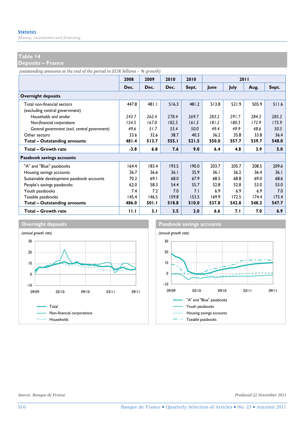*Money, investment and financing* 

#### **Table 14**

**Deposits – France** 

*(outstanding amounts at the end of the period in EUR billions – % growth)*

|                                               | 2008   | 2009  | 2010  | 2010  |       |             | 2011  |       |
|-----------------------------------------------|--------|-------|-------|-------|-------|-------------|-------|-------|
|                                               | Dec.   | Dec.  | Dec.  | Sept. | lune  | <b>July</b> | Aug.  | Sept. |
| <b>Overnight deposits</b>                     |        |       |       |       |       |             |       |       |
| Total non-financial sectors                   | 447.8  | 481.1 | 516.3 | 481.2 | 513.8 | 521.9       | 505.9 | 511.6 |
| (excluding central government)                |        |       |       |       |       |             |       |       |
| Households and similar                        | 243.7  | 262.4 | 278.4 | 269.7 | 283.2 | 291.7       | 284.3 | 285.2 |
| Non-financial corporations                    | 154.5  | 167.0 | 182.5 | 161.5 | 181.2 | 180.3       | 172.9 | 175.9 |
| General government (excl. central government) | 49.6   | 51.7  | 55.4  | 50.0  | 49.4  | 49.9        | 48.6  | 50.5  |
| Other sectors                                 | 33.6   | 32.6  | 38.7  | 40.3  | 36.2  | 35.8        | 33.8  | 36.4  |
| <b>Total - Outstanding amounts</b>            | 481.4  | 513.7 | 555.1 | 521.5 | 550.0 | 557.7       | 539.7 | 548.0 |
| <b>Total - Growth rate</b>                    | $-3.8$ | 6.8   | 7.6   | 9.0   | 6.4   | 4.8         | 3.9   | 5.0   |
| Passbook savings accounts                     |        |       |       |       |       |             |       |       |
| "A" and "Blue" passbooks                      | 164.4  | 183.4 | 193.5 | 190.0 | 203.7 | 205.7       | 208.5 | 209.6 |
| Housing savings accounts                      | 36.7   | 36.6  | 36.1  | 35.9  | 36.1  | 36.2        | 36.4  | 36.1  |
| Sustainable development passbook accounts     | 70.2   | 69.1  | 68.0  | 67.9  | 68.5  | 68.8        | 69.0  | 68.6  |
| People's savings passbooks                    | 62.0   | 58.3  | 54.4  | 55.7  | 52.8  | 52.8        | 53.0  | 53.0  |
| Youth passbooks                               | 7.4    | 7.2   | 7.0   | 7.1   | 6.9   | 6.9         | 6.9   | 7.0   |
| Taxable passbooks                             | 145.4  | 146.5 | 159.8 | 153.5 | 169.9 | 172.5       | 174.4 | 173.4 |
| <b>Total - Outstanding amounts</b>            | 486.0  | 501.I | 518.8 | 510.0 | 537.8 | 542.8       | 548.2 | 547.7 |
| Total - Growth rate                           | 11.1   | 3.1   | 3.5   | 2.0   | 6.6   | 7. I        | 7.0   | 6.9   |





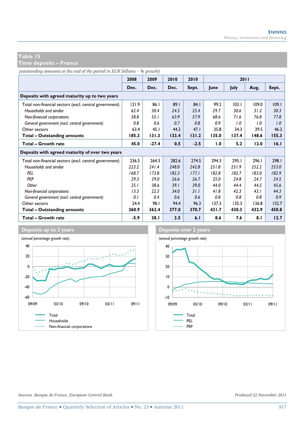**Time deposits – France** 

*(outstanding amounts at the end of the period in EUR billions – % growth)*

|                                                        | 2008   | 2009    | 2010  | 2010   |       | 2011        |       |       |  |
|--------------------------------------------------------|--------|---------|-------|--------|-------|-------------|-------|-------|--|
|                                                        | Dec.   | Dec.    | Dec.  | Sept.  | June  | <b>July</b> | Aug.  | Sept. |  |
| Deposits with agreed maturity up to two years          |        |         |       |        |       |             |       |       |  |
| Total non-financial sectors (excl. central government) | 121.9  | 86.1    | 89.1  | 84.1   | 99.2  | 103.1       | 109.0 | 109.1 |  |
| Households and similar                                 | 62.4   | 30.4    | 24.5  | 25.4   | 29.7  | 30.6        | 31.2  | 30.3  |  |
| Non-financial corporations                             | 58.8   | 55.1    | 63.9  | 57.9   | 68.6  | 71.6        | 76.8  | 77.8  |  |
| General government (excl. central government)          | 0.8    | 0.6     | 0.7   | 0.8    | 0.9   | 1.0         | 1.0   | 1.0   |  |
| Other sectors                                          | 63.4   | 45.1    | 44.2  | 47.1   | 35.8  | 34.3        | 39.5  | 46.2  |  |
| <b>Total - Outstanding amounts</b>                     | 185.3  | 131.3   | 133.4 | 131.2  | 135.0 | 137.4       | 148.6 | 155.3 |  |
| Total - Growth rate                                    | 45.0   | $-27.4$ | 0.5   | $-2.5$ | 1.0   | 5.2         | 12.0  | 16.1  |  |
| Deposits with agreed maturity of over two years        |        |         |       |        |       |             |       |       |  |
| Total non-financial sectors (excl. central government) | 236.5  | 264.3   | 282.6 | 274.5  | 294.3 | 295.I       | 296.1 | 298.1 |  |
| Households and similar                                 | 223.2  | 241.4   | 248.0 | 242.8  | 251.8 | 251.9       | 252.2 | 253.0 |  |
| PFI                                                    | 168.7  | 173.8   | 182.3 | 177.1  | 182.8 | 182.7       | 183.0 | 182.9 |  |
| PEP                                                    | 29.3   | 29.0    | 26.6  | 26.7   | 25.0  | 24.8        | 24.7  | 24.5  |  |
| Other                                                  | 25.1   | 38.6    | 39.1  | 39.0   | 44.0  | 44.4        | 44.5  | 45.6  |  |
| Non-financial corporations                             | 13.3   | 22.5    | 34.0  | 31.1   | 41.8  | 42.3        | 43.1  | 44.3  |  |
| General government (excl. central government)          | 0.1    | 0.4     | 0.6   | 0.6    | 0.8   | 0.8         | 0.8   | 0.9   |  |
| Other sectors                                          | 24.4   | 98.I    | 94.4  | 96.3   | 137.3 | 135.3       | 136.8 | 152.7 |  |
| Total - Outstanding amounts                            | 260.9  | 362.4   | 377.0 | 370.7  | 431.7 | 430.3       | 432.9 | 450.8 |  |
| <b>Total - Growth rate</b>                             | $-5.9$ | 38.1    | 3.5   | 6.1    | 8.6   | 7.6         | 8.1   | 12.7  |  |



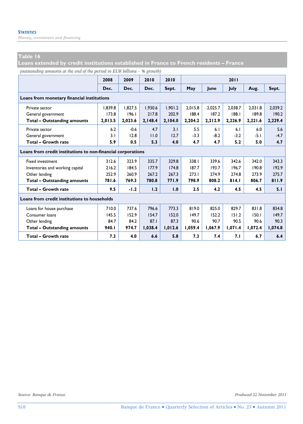*Money, investment and financing* 

### **Table 16**

**Loans extended by credit institutions established in France to French residents – France** 

*(outstanding amounts at the end of the period in EUR billions – % growth)*

|                                                              | 2008    | 2009    | 2010    | 2010    |         |         | 2011    |         |         |  |
|--------------------------------------------------------------|---------|---------|---------|---------|---------|---------|---------|---------|---------|--|
|                                                              | Dec.    | Dec.    | Dec.    | Sept.   | May     | lune    | July    | Aug.    | Sept.   |  |
| Loans from monetary financial institutions                   |         |         |         |         |         |         |         |         |         |  |
| Private sector                                               | 1.839.8 | 1.827.5 | 1.930.6 | 1.901.2 | 2.015.8 | 2.025.7 | 2.038.7 | 2.031.8 | 2.039.2 |  |
| General government                                           | 173.8   | 196.1   | 217.8   | 202.9   | 188.4   | 187.2   | 188.1   | 189.8   | 190.2   |  |
| <b>Total - Outstanding amounts</b>                           | 2,013.5 | 2,023.6 | 2,148.4 | 2,104.0 | 2,204.2 | 2,212.9 | 2,226.9 | 2,221.6 | 2,229.4 |  |
| Private sector                                               | 6.2     | $-0.6$  | 4.7     | 3.1     | 5.5     | 6.1     | 6.1     | 6.0     | 5.6     |  |
| General government                                           | 3.1     | 12.8    | 11.0    | 12.7    | $-3.3$  | $-8.2$  | $-3.2$  | $-5.1$  | $-4.7$  |  |
| <b>Total - Growth rate</b>                                   | 5.9     | 0.5     | 5.3     | 4.0     | 4.7     | 4.7     | 5.2     | 5.0     | 4.7     |  |
| Loans from credit institutions to non-financial corporations |         |         |         |         |         |         |         |         |         |  |
| <b>Fixed investment</b>                                      | 312.6   | 323.9   | 335.7   | 329.8   | 338.I   | 339.6   | 342.6   | 342.0   | 343.3   |  |
| Inventories and working capital                              | 216.2   | 184.5   | 177.9   | 174.8   | 187.7   | 193.7   | 196.7   | 190.8   | 192.9   |  |
| Other lending                                                | 252.9   | 260.9   | 267.2   | 267.3   | 273.1   | 274.9   | 274.8   | 273.9   | 275.7   |  |
| <b>Total - Outstanding amounts</b>                           | 781.6   | 769.3   | 780.8   | 771.9   | 798.9   | 808.2   | 814.1   | 806.7   | 811.9   |  |
| Total - Growth rate                                          | 9.5     | $-1.2$  | 1.2     | 1.0     | 2.5     | 4.2     | 4.5     | 4.5     | 5.1     |  |
| Loans from credit institutions to households                 |         |         |         |         |         |         |         |         |         |  |
| Loans for house purchase                                     | 710.0   | 737.6   | 796.6   | 773.3   | 819.0   | 825.0   | 829.7   | 831.8   | 834.8   |  |
| Consumer loans                                               | 145.5   | 152.9   | 154.7   | 152.0   | 149.7   | 152.2   | 151.2   | 150.1   | 149.7   |  |
| Other lending                                                | 84.7    | 84.2    | 87.1    | 87.3    | 90.6    | 90.7    | 90.5    | 90.6    | 90.3    |  |
| <b>Total - Outstanding amounts</b>                           | 940.I   | 974.7   | 1,038.4 | 1,012.6 | 1,059.4 | 1,067.9 | 1,071.4 | 1,072.4 | 1,074.8 |  |
| Total - Growth rate                                          | 7.3     | 4.0     | 6.6     | 5.8     | 7.3     | 7.4     | 7.I     | 6.7     | 6.4     |  |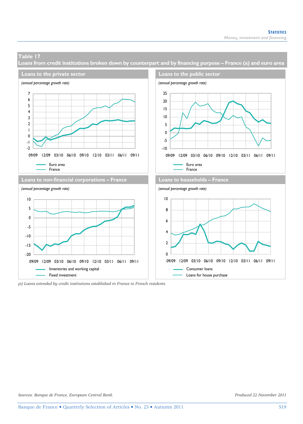**Loans from credit institutions broken down by counterpart and by financing purpose – France (a) and euro area** 



*<sup>(</sup>a) Loans extended by credit institutions established in France to French residents.*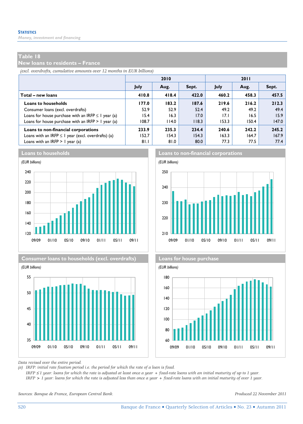*Money, investment and financing* 

### **Table 18**

**New loans to residents – France** 

*(excl. overdrafts, cumulative amounts over 12 months in EUR billions)*

|                                                         |       | 2010  |       | 2011  |       |       |  |  |
|---------------------------------------------------------|-------|-------|-------|-------|-------|-------|--|--|
|                                                         | July  | Aug.  | Sept. | July  | Aug.  | Sept. |  |  |
| Total – new loans                                       | 410.8 | 418.4 | 422.0 | 460.2 | 458.3 | 457.5 |  |  |
| <b>Loans to households</b>                              | 177.0 | 183.2 | 187.6 | 219.6 | 216.2 | 212.3 |  |  |
| Consumer loans (excl. overdrafts)                       | 52.9  | 52.9  | 52.4  | 49.2  | 49.2  | 49.4  |  |  |
| Loans for house purchase with an IRFP $\leq$ 1 year (a) | 15.4  | 16.3  | 17.0  | 17.I  | 16.5  | 15.9  |  |  |
| Loans for house purchase with an IRFP $> 1$ year (a)    | 108.7 | 114.0 | 118.3 | 153.3 | 150.4 | 147.0 |  |  |
| Loans to non-financial corporations                     | 233.9 | 235.3 | 234.4 | 240.6 | 242.2 | 245.2 |  |  |
| Loans with an IRFP $\leq$ I year (excl. overdrafts) (a) | 152.7 | 154.3 | 154.3 | 163.3 | 164.7 | 167.9 |  |  |
| Loans with an IRFP $> 1$ year (a)                       | 81.I  | 81.0  | 80.0  | 77.3  | 77.5  | 77.4  |  |  |





**Consumer loans to households (excl. overdrafts) Loans for house purchase**



**Loans to households Loans to non-financial corporations**





*Data revised over the entire period.* 

*(a) IRFP: initial rate fixation period i.e. the period for which the rate of a loan is fixed.* 

 *IRFP* ≤ *1 year: loans for which the rate is adjusted at least once a year + fixed-rate loans with an initial maturity of up to 1 year. IRFP > 1 year: loans for which the rate is adjusted less than once a year + fixed-rate loans with an initial maturity of over 1 year.* 

*Sources: Banque de France, European Central Bank. Produced 22 November 2011*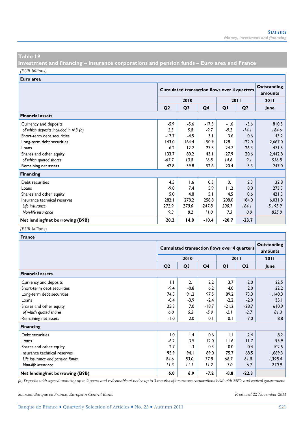**Investment and financing – Insurance corporations and pension funds – Euro area and France**  *(EUR billions)*

**Euro area**

|                                      |                | <b>Cumulated transaction flows over 4 quarters</b> | Outstanding<br>amounts |         |                |         |
|--------------------------------------|----------------|----------------------------------------------------|------------------------|---------|----------------|---------|
|                                      | 2010<br>2011   |                                                    |                        |         |                | 2011    |
|                                      | Q <sub>2</sub> | Q <sub>3</sub>                                     | Q <sub>4</sub>         | QI      | Q <sub>2</sub> | lune    |
| <b>Financial assets</b>              |                |                                                    |                        |         |                |         |
| Currency and deposits                | $-5.9$         | $-5.6$                                             | $-17.5$                | $-1.6$  | $-3.6$         | 810.5   |
| of which deposits included in M3 (a) | 2.3            | 5.8                                                | $-9.7$                 | $-9.2$  | $-14.1$        | 184.6   |
| Short-term debt securities           | $-17.7$        | $-4.5$                                             | 3.1                    | 3.6     | 0.6            | 43.2    |
| Long-term debt securities            | 143.0          | 164.4                                              | 150.9                  | 128.1   | 122.0          | 2,667.0 |
| Loans                                | 6.2            | 12.2                                               | 27.5                   | 24.7    | 26.3           | 471.5   |
| Shares and other equity              | 133.7          | 80.2                                               | 43.1                   | 27.9    | 20.6           | 2,442.8 |
| of which quoted shares               | $-67.7$        | 13.8                                               | 16.8                   | 14.6    | 9.1            | 556.8   |
| Remaining net assets                 | 42.8           | 59.8                                               | 52.6                   | 20.4    | 5.3            | 247.0   |
| <b>Financing</b>                     |                |                                                    |                        |         |                |         |
| Debt securities                      | 4.5            | 1.6                                                | 0.3                    | 0.1     | 2.3            | 32.8    |
| Loans                                | $-9.8$         | 7.4                                                | 5.9                    | 11.2    | 8.0            | 273.3   |
| Shares and other equity              | 5.0            | 4.8                                                | 5.1                    | 4.5     | 0.6            | 421.3   |
| Insurance technical reserves         | 282.I          | 278.2                                              | 258.8                  | 208.0   | 184.0          | 6,031.8 |
| Life insurance                       | 272.9          | 270.0                                              | 247.8                  | 200.7   | 184.1          | 5,195.9 |
| Non-life insurance                   | 9.3            | 8.2                                                | 11.0                   | 7.3     | 0.0            | 835.8   |
| Net lending/net borrowing (B9B)      | 20.2           | 14.8                                               | $-10.4$                | $-20.7$ | $-23.7$        |         |

#### *(EUR billions)*

| France                           |                |                                                    |                        |              |                |         |  |  |  |  |
|----------------------------------|----------------|----------------------------------------------------|------------------------|--------------|----------------|---------|--|--|--|--|
|                                  |                | <b>Cumulated transaction flows over 4 quarters</b> | Outstanding<br>amounts |              |                |         |  |  |  |  |
|                                  |                | 2010                                               |                        |              | 2011           | 2011    |  |  |  |  |
|                                  | Q <sub>2</sub> | Q <sub>3</sub>                                     | Q4                     | QI           | Q <sub>2</sub> | lune    |  |  |  |  |
| <b>Financial assets</b>          |                |                                                    |                        |              |                |         |  |  |  |  |
| Currency and deposits            | $\mathbf{L}$   | 2.1                                                | 2.2                    | 3.7          | 2.0            | 22.5    |  |  |  |  |
| Short-term debt securities       | $-9.4$         | $-0.8$                                             | 6.2                    | 4.0          | 2.0            | 22.2    |  |  |  |  |
| Long-term debt securities        | 74.5           | 91.2                                               | 97.5                   | 89.2         | 73.3           | 1,140.3 |  |  |  |  |
| Loans                            | $-0.4$         | $-3.9$                                             | $-2.4$                 | $-2.2$       | $-2.0$         | 35.1    |  |  |  |  |
| Shares and other equity          | 25.3           | 7.0                                                | $-18.7$                | $-21.2$      | $-28.7$        | 610.9   |  |  |  |  |
| of which quoted shares           | 6.0            | 5.2                                                | $-5.9$                 | $-2.1$       | $-2.7$         | 81.3    |  |  |  |  |
| Remaining net assets             | $-1.0$         | 2.0                                                | 0.1                    | 0.1          | 7.0            | 8.8     |  |  |  |  |
| <b>Financing</b>                 |                |                                                    |                        |              |                |         |  |  |  |  |
| Debt securities                  | 1.0            | 1.4                                                | 0.6                    | $\mathbf{L}$ | 2.4            | 8.2     |  |  |  |  |
| Loans                            | $-6.2$         | 3.5                                                | 12.0                   | 11.6         | 11.7           | 93.9    |  |  |  |  |
| Shares and other equity          | 2.7            | 1.3                                                | 0.3                    | 0.0          | 0.4            | 102.5   |  |  |  |  |
| Insurance technical reserves     | 95.9           | 94.I                                               | 89.0                   | 75.7         | 68.5           | 1,669.3 |  |  |  |  |
| Life insurance and pension funds | 84.6           | 83.0                                               | 77.8                   | 68.7         | 61.8           | 1,398.4 |  |  |  |  |
| Non-life insurance               | 11.3           | 11.1                                               | 11.2                   | 7.0          | 6.7            | 270.9   |  |  |  |  |
| Net lending/net borrowing (B9B)  | 6.0            | 6.9                                                | $-7.2$                 | $-8.8$       | $-22.3$        |         |  |  |  |  |

*(a) Deposits with agreed maturity up to 2 years and redeemable at notice up to 3 months of insurance corporations held with MFIs and central government.* 

*Sources: Banque de France, European Central Bank. Produced 22 November 2011*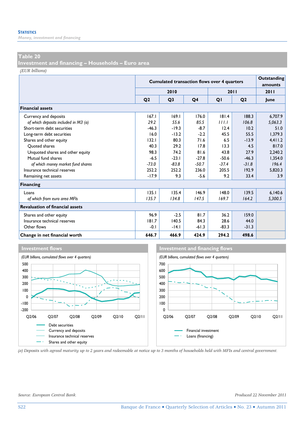*Money, investment and financing* 

### **Table 20**

**Investment and financing – Households – Euro area** 

*(EUR billions)*

|                                        |                | <b>Cumulated transaction flows over 4 quarters</b> | Outstanding<br>amounts |         |                |         |
|----------------------------------------|----------------|----------------------------------------------------|------------------------|---------|----------------|---------|
|                                        |                | 2010                                               |                        | 2011    |                | 2011    |
|                                        | O <sub>2</sub> | Q <sub>3</sub>                                     | Q4                     | QI      | Q <sub>2</sub> | June    |
| <b>Financial assets</b>                |                |                                                    |                        |         |                |         |
| Currency and deposits                  | 167.1          | 169.1                                              | 176.0                  | 181.4   | 188.3          | 6.707.9 |
| of which deposits included in M3 (a)   | 29.2           | 55.6                                               | 85.5                   | 111.1   | 106.8          | 5,063.3 |
| Short-term debt securities             | $-46.3$        | $-19.3$                                            | $-8.7$                 | 12.4    | 10.2           | 51.0    |
| Long-term debt securities              | 16.0           | $-13.2$                                            | $-2.2$                 | 45.5    | 55.5           | 1.379.3 |
| Shares and other equity                | 132.1          | 80.3                                               | 71.6                   | 6.5     | $-13.9$        | 4,411.2 |
| Ouoted shares                          | 40.3           | 29.2                                               | 17.8                   | 13.3    | 4.5            | 817.0   |
| Unquoted shares and other equity       | 98.3           | 74.2                                               | 81.6                   | 43.8    | 27.9           | 2.240.2 |
| Mutual fund shares                     | $-6.5$         | $-23.1$                                            | $-27.8$                | $-50.6$ | $-46.3$        | 1,354.0 |
| of which money market fund shares      | $-73.0$        | $-83.8$                                            | $-50.7$                | $-37.4$ | $-31.8$        | 196.4   |
| Insurance technical reserves           | 252.2          | 252.2                                              | 236.0                  | 205.5   | 192.9          | 5,820.3 |
| Remaining net assets                   | $-17.9$        | 9.3                                                | $-5.6$                 | 9.2     | 33.4           | 3.9     |
| <b>Financing</b>                       |                |                                                    |                        |         |                |         |
| Loans                                  | 135.1          | 135.4                                              | 146.9                  | 148.0   | 139.5          | 6,140.6 |
| of which from euro area MFIs           | 135.7          | 134.8                                              | 147.5                  | 169.7   | 164.2          | 5,300.5 |
| <b>Revaluation of financial assets</b> |                |                                                    |                        |         |                |         |
| Shares and other equity                | 96.9           | $-2.5$                                             | 81.7                   | 36.2    | 159.0          |         |
| Insurance technical reserves           | 181.7          | 140.5                                              | 84.3                   | 28.6    | 44.0           |         |
| Other flows                            | $-0.1$         | $-14.1$                                            | $-61.3$                | $-83.3$ | $-31.3$        |         |
| Change in net financial worth          | 646.7          | 466.9                                              | 424.9                  | 294.2   | 498.6          |         |







*(a) Deposits with agreed maturity up to 2 years and redeemable at notice up to 3 months of households held with MFIs and central government.* 

*Source: European Central Bank. Produced 22 November 2011*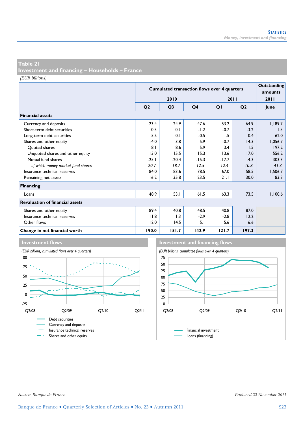**Investment and financing – Households – France** 

*(EUR billions)*

|                                        |                | <b>Cumulated transaction flows over 4 quarters</b> | Outstanding<br>amounts |         |                |             |
|----------------------------------------|----------------|----------------------------------------------------|------------------------|---------|----------------|-------------|
|                                        |                | 2010                                               |                        |         | 2011           | 2011        |
|                                        | Q <sub>2</sub> | Q <sub>3</sub>                                     | Q4                     | QI      | Q <sub>2</sub> | <b>June</b> |
| <b>Financial assets</b>                |                |                                                    |                        |         |                |             |
| Currency and deposits                  | 23.4           | 24.9                                               | 47.6                   | 53.2    | 64.9           | 1,189.7     |
| Short-term debt securities             | 0.5            | 0.1                                                | $-1.2$                 | $-0.7$  | $-3.2$         | 1.5         |
| Long-term debt securities              | 5.5            | 0.1                                                | $-0.5$                 | 1.5     | 0.4            | 62.0        |
| Shares and other equity                | $-4.0$         | 3.8                                                | 5.9                    | $-0.7$  | 14.3           | 1,056.7     |
| Quoted shares                          | 8.1            | 8.6                                                | 5.9                    | 3.4     | 1.5            | 197.2       |
| Unquoted shares and other equity       | 13.0           | 15.5                                               | 15.3                   | 13.6    | 17.0           | 556.2       |
| Mutual fund shares                     | $-25.1$        | $-20.4$                                            | $-15.3$                | $-17.7$ | $-4.3$         | 303.3       |
| of which money market fund shares      | $-20.7$        | $-18.7$                                            | $-12.5$                | $-12.4$ | $-10.8$        | 41.3        |
| Insurance technical reserves           | 84.0           | 83.6                                               | 78.5                   | 67.0    | 58.5           | 1,506.7     |
| Remaining net assets                   | 16.2           | 35.8                                               | 23.5                   | 21.1    | 30.0           | 83.3        |
| <b>Financing</b>                       |                |                                                    |                        |         |                |             |
| Loans                                  | 48.9           | 53.1                                               | 61.5                   | 63.3    | 73.5           | 1,100.6     |
| <b>Revaluation of financial assets</b> |                |                                                    |                        |         |                |             |
| Shares and other equity                | 89.4           | 40.8                                               | 48.5                   | 40.8    | 87.0           |             |
| Insurance technical reserves           | 11.8           | 1.3                                                | $-2.9$                 | $-2.8$  | 12.2           |             |
| Other flows                            | 12.0           | 14.5                                               | 5.1                    | 5.6     | 6.6            |             |
| Change in net financial worth          | 190.0          | 151.7                                              | 142.9                  | 121.7   | 197.3          |             |





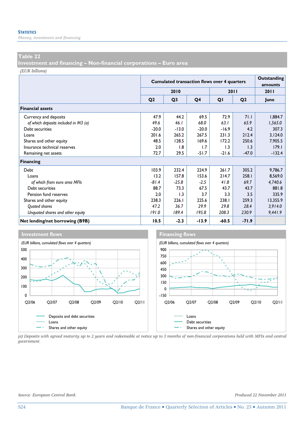*Money, investment and financing* 

#### **Table 22**

**Investment and financing – Non-financial corporations – Euro area** 

*(EUR billions)*

|                                      |                | <b>Cumulated transaction flows over 4 quarters</b> | Outstanding<br>amounts |         |                |             |
|--------------------------------------|----------------|----------------------------------------------------|------------------------|---------|----------------|-------------|
|                                      |                | 2010                                               |                        |         | 2011           | <b>2011</b> |
|                                      | Q <sub>2</sub> | Q <sub>3</sub>                                     | Q4                     | QI      | Q <sub>2</sub> | June        |
| <b>Financial assets</b>              |                |                                                    |                        |         |                |             |
| Currency and deposits                | 47.9           | 44.2                                               | 69.5                   | 72.9    | 71.1           | 1,884.7     |
| of which deposits included in M3 (a) | 49.6           | 46.1                                               | 68.0                   | 63.1    | 65.9           | 1,565.0     |
| Debt securities                      | $-20.0$        | $-13.0$                                            | $-20.0$                | $-16.9$ | 4.2            | 307.3       |
| Loans                                | 201.6          | 265.2                                              | 267.5                  | 231.3   | 212.4          | 3,124.0     |
| Shares and other equity              | 48.5           | 128.5                                              | 169.6                  | 172.2   | 250.6          | 7,905.5     |
| Insurance technical reserves         | 2.0            | 1.8                                                | 1.7                    | 1.3     | 1.3            | 179.1       |
| Remaining net assets                 | 72.7           | 29.5                                               | $-51.7$                | $-21.6$ | $-47.0$        | $-132.4$    |
| Financing                            |                |                                                    |                        |         |                |             |
| Debt                                 | 103.9          | 232.4                                              | 224.9                  | 261.7   | 305.2          | 9,786.7     |
| Loans                                | 13.2           | 157.8                                              | 153.6                  | 214.7   | 258.I          | 8,569.0     |
| of which from euro area MFIs         | $-81.4$        | $-25.8$                                            | $-2.5$                 | 41.8    | 69.7           | 4,740.6     |
| Debt securities                      | 88.7           | 73.3                                               | 67.5                   | 43.7    | 43.7           | 881.8       |
| Pension fund reserves                | 2.0            | 1.3                                                | 3.7                    | 3.3     | 3.5            | 335.9       |
| Shares and other equity              | 238.3          | 226.1                                              | 225.6                  | 238.1   | 259.3          | 13,355.9    |
| Quoted shares                        | 47.2           | 36.7                                               | 29.9                   | 29.8    | 28.4           | 3,914.0     |
| Unquoted shares and other equity     | 191.0          | 189.4                                              | 195.8                  | 208.3   | 230.9          | 9,441.9     |
| Net lending/net borrowing (B9B)      | 10.5           | $-2.3$                                             | $-13.9$                | $-60.5$ | $-71.9$        |             |



*(a) Deposits with agreed maturity up to 2 years and redeemable at notice up to 3 months of non-financial corporations held with MFIs and central government.*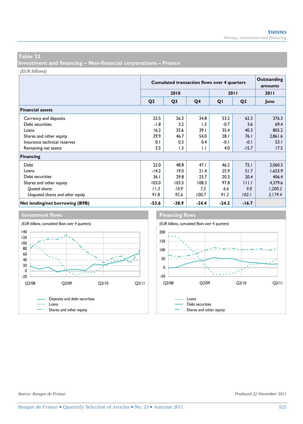**Investment and financing – Non-financial corporations – France** 

*(EUR billions)*

|                                  |                | <b>Cumulated transaction flows over 4 quarters</b> |                |         |                |         |  |  |  |  |
|----------------------------------|----------------|----------------------------------------------------|----------------|---------|----------------|---------|--|--|--|--|
|                                  |                | 2010                                               |                | 2011    | 2011           |         |  |  |  |  |
|                                  | Q <sub>2</sub> | Q <sub>3</sub>                                     | Q <sub>4</sub> | QI      | Q <sub>2</sub> | June    |  |  |  |  |
| <b>Financial assets</b>          |                |                                                    |                |         |                |         |  |  |  |  |
| Currency and deposits            | 23.5           | 26.3                                               | 34.8           | 53.2    | 62.3           | 376.3   |  |  |  |  |
| Debt securities                  | $-1.8$         | 3.2                                                | 1.5            | $-0.7$  | 3.6            | 69.4    |  |  |  |  |
| Loans                            | 16.2           | 35.6                                               | 39.1           | 35.4    | 40.3           | 805.2   |  |  |  |  |
| Shares and other equity          | 29.9           | 46.7                                               | 54.0           | 28.1    | 76.1           | 2,861.6 |  |  |  |  |
| Insurance technical reserves     | 0.1            | 0.3                                                | 0.4            | $-0.1$  | $-0.1$         | 53.1    |  |  |  |  |
| Remaining net assets             | 3.5            | 1.3                                                | 1.1            | 4.0     | $-15.7$        | 17.5    |  |  |  |  |
| <b>Financing</b>                 |                |                                                    |                |         |                |         |  |  |  |  |
| Debt                             | 22.0           | 48.8                                               | 47.1           | 46.2    | 72.1           | 2,060.3 |  |  |  |  |
| Loans                            | $-14.2$        | 19.0                                               | 21.4           | 25.9    | 51.7           | 1,653.9 |  |  |  |  |
| Debt securities                  | 36.1           | 29.8                                               | 25.7           | 20.3    | 20.4           | 406.4   |  |  |  |  |
| Shares and other equity          | 103.0          | 103.5                                              | 108.3          | 97.8    | 111.1          | 4,379.6 |  |  |  |  |
| Quoted shares                    | 11.3           | 10.9                                               | 7.5            | 6.6     | 9.0            | 1,200.2 |  |  |  |  |
| Unquoted shares and other equity | 91.8           | 92.6                                               | 100.7          | 91.2    | 102.1          | 3,179.4 |  |  |  |  |
| Net lending/net borrowing (B9B)  | $-53.6$        | $-38.9$                                            | $-24.4$        | $-24.2$ | $-16.7$        |         |  |  |  |  |





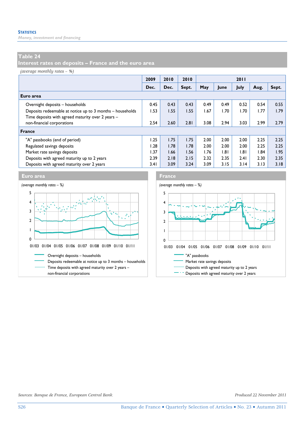*Money, investment and financing* 

# **Table 24**

**Interest rates on deposits – France and the euro area** 

*(average monthly rates – %)*

|                                                           | 2009 | 2010 | 2010  | 2011 |      |      |      |       |
|-----------------------------------------------------------|------|------|-------|------|------|------|------|-------|
|                                                           | Dec. | Dec. | Sept. | May  | June | July | Aug. | Sept. |
| Euro area                                                 |      |      |       |      |      |      |      |       |
| Overnight deposits - households                           | 0.45 | 0.43 | 0.43  | 0.49 | 0.49 | 0.52 | 0.54 | 0.55  |
| Deposits redeemable at notice up to 3 months - households | 1.53 | 1.55 | 1.55  | 1.67 | 1.70 | 1.70 | 1.77 | 1.79  |
| Time deposits with agreed maturity over 2 years -         |      |      |       |      |      |      |      |       |
| non-financial corporations                                | 2.54 | 2.60 | 2.81  | 3.08 | 2.94 | 3.03 | 2.99 | 2.79  |
| <b>France</b>                                             |      |      |       |      |      |      |      |       |
| "A" passbooks (end of period)                             | 1.25 | 1.75 | 1.75  | 2.00 | 2.00 | 2.00 | 2.25 | 2.25  |
| Regulated savings deposits                                | l.28 | 1.78 | 1.78  | 2.00 | 2.00 | 2.00 | 2.25 | 2.25  |
| Market rate savings deposits                              | 1.37 | 1.66 | 1.56  | 1.76 | .8   | 1.81 | 1.84 | 1.95  |
| Deposits with agreed maturity up to 2 years               | 2.39 | 2.18 | 2.15  | 2.32 | 2.35 | 2.41 | 2.30 | 2.35  |
| Deposits with agreed maturity over 2 years                | 3.41 | 3.09 | 3.24  | 3.09 | 3.15 | 3.14 | 3.13 | 3.18  |



# THIME DEPOSITS with agreed maturity up to 2 years 0 1 2 3 4 5 01/03 01/04 01/05 01/06 01/07 01/08 01/09 01/10 01/11

*Sources: Banque de France, European Central Bank. Produced 22 November 2011*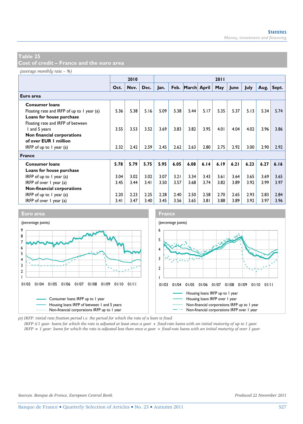**Cost of credit – France and the euro area** 

*(average monthly rate – %)*

|                                            |      | 2010 |      |      |      |                  |      | 2011 |      |      |      |       |
|--------------------------------------------|------|------|------|------|------|------------------|------|------|------|------|------|-------|
|                                            | Oct. | Nov. | Dec. | Jan. |      | Feb. March April |      | May  | June | July | Aug. | Sept. |
| Euro area                                  |      |      |      |      |      |                  |      |      |      |      |      |       |
| <b>Consumer loans</b>                      |      |      |      |      |      |                  |      |      |      |      |      |       |
| Floating rate and IRFP of up to 1 year (a) | 5.36 | 5.38 | 5.16 | 5.09 | 5.38 | 5.44             | 5.17 | 5.35 | 5.37 | 5.13 | 5.34 | 5.74  |
| Loans for house purchase                   |      |      |      |      |      |                  |      |      |      |      |      |       |
| Floating rate and IRFP of between          |      |      |      |      |      |                  |      |      |      |      |      |       |
| I and 5 years                              | 3.55 | 3.53 | 3.52 | 3.69 | 3.83 | 3.82             | 3.95 | 4.01 | 4.04 | 4.02 | 3.96 | 3.86  |
| Non financial corporations                 |      |      |      |      |      |                  |      |      |      |      |      |       |
| of over EUR 1 million                      |      |      |      |      |      |                  |      |      |      |      |      |       |
| IRFP of up to 1 year (a)                   | 2.32 | 2.42 | 2.59 | 2.45 | 2.62 | 2.63             | 2.80 | 2.75 | 2.92 | 3.00 | 2.90 | 2.92  |
| <b>France</b>                              |      |      |      |      |      |                  |      |      |      |      |      |       |
| <b>Consumer loans</b>                      | 5.78 | 5.79 | 5.75 | 5.95 | 6.05 | 6.08             | 6.14 | 6.19 | 6.21 | 6.23 | 6.27 | 6.16  |
| Loans for house purchase                   |      |      |      |      |      |                  |      |      |      |      |      |       |
| IRFP of up to $I$ year (a)                 | 3.04 | 3.02 | 3.02 | 3.07 | 3.21 | 3.34             | 3.43 | 3.61 | 3.64 | 3.65 | 3.69 | 3.65  |
| IRFP of over $\vert$ year (a)              | 3.45 | 3.44 | 3.41 | 3.50 | 3.57 | 3.68             | 3.74 | 3.82 | 3.89 | 3.92 | 3.99 | 3.97  |
| Non-financial corporations                 |      |      |      |      |      |                  |      |      |      |      |      |       |
| IRFP of up to $\overline{I}$ year (a)      | 2.20 | 2.23 | 2.25 | 2.28 | 2.40 | 2.50             | 2.58 | 2.70 | 2.65 | 2.93 | 2.83 | 2.84  |
| IRFP of over $\vert$ year (a)              | 3.41 | 3.47 | 3.40 | 3.45 | 3.56 | 3.65             | 3.81 | 3.88 | 3.89 | 3.92 | 3.97 | 3.96  |



*(a) IRFP: initial rate fixation period i.e. the period for which the rate of a loan is fixed.* 

*IRFP* ≤ *1 year: loans for which the rate is adjusted at least once a year + fixed-rate loans with an initial maturity of up to 1 year.*

*IRFP > 1 year: loans for which the rate is adjusted less than once a year + fixed-rate loans with an initial maturity of over 1 year.*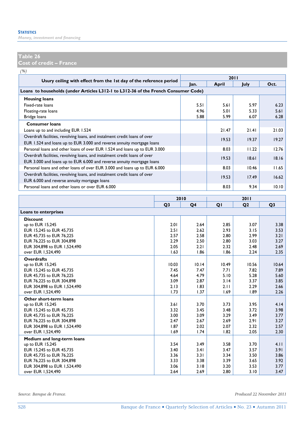*Money, investment and financing* 

## **Table 26**

**Cost of credit – France** 

*(%)*

|                                                                                                                                                      | 2011 |       |             |       |  |  |
|------------------------------------------------------------------------------------------------------------------------------------------------------|------|-------|-------------|-------|--|--|
| Usury ceiling with effect from the 1st day of the reference period                                                                                   | lan. | April | <b>July</b> | Oct.  |  |  |
| Loans to households (under Articles L312-1 to L312-36 of the French Consumer Code)                                                                   |      |       |             |       |  |  |
| <b>Housing loans</b>                                                                                                                                 |      |       |             |       |  |  |
| Fixed-rate loans                                                                                                                                     | 5.51 | 5.61  | 5.97        | 6.23  |  |  |
| Floating-rate loans                                                                                                                                  | 4.96 | 5.01  | 5.33        | 5.61  |  |  |
| Bridge loans                                                                                                                                         | 5.88 | 5.99  | 6.07        | 6.28  |  |  |
| <b>Consumer loans</b>                                                                                                                                |      |       |             |       |  |  |
| Loans up to and including EUR 1.524                                                                                                                  |      | 21.47 | 21.41       | 21.03 |  |  |
| Overdraft facilities, revolving loans, and instalment credit loans of over                                                                           |      | 19.53 | 19.37       | 19.27 |  |  |
| EUR 1.524 and loans up to EUR 3.000 and reverse annuity mortgage loans                                                                               |      |       |             |       |  |  |
| Personal loans and other loans of over EUR 1.524 and loans up to EUR 3.000                                                                           |      | 8.03  | 11.22       | 12.76 |  |  |
| Overdraft facilities, revolving loans, and instalment credit loans of over<br>EUR 3.000 and loans up to EUR 6.000 and reverse annuity mortgage loans |      | 19.53 | 18.61       | 18.16 |  |  |
| Personal loans and other loans of over EUR 3.000 and loans up to EUR 6.000                                                                           |      | 8.03  | 10.46       | 11.65 |  |  |
| Overdraft facilities, revolving loans, and instalment credit loans of over<br>EUR 6.000 and reverse annuity mortgage loans                           |      | 19.53 | 17.49       | 16.62 |  |  |
| Personal loans and other loans or over EUR 6.000                                                                                                     |      | 8.03  | 9.34        | 10.10 |  |  |

|                              |                | 2010  |                |                |                |
|------------------------------|----------------|-------|----------------|----------------|----------------|
|                              | Q <sub>3</sub> | Q4    | Q <sub>1</sub> | Q <sub>2</sub> | Q <sub>3</sub> |
| <b>Loans to enterprises</b>  |                |       |                |                |                |
| <b>Discount</b>              |                |       |                |                |                |
| up to EUR 15,245             | 2.01           | 2.64  | 2.85           | 3.07           | 3.38           |
| EUR 15.245 to EUR 45.735     | 2.51           | 2.62  | 2.93           | 3.15           | 3.53           |
| EUR 45,735 to EUR 76,225     | 2.57           | 2.58  | 2.80           | 2.99           | 3.21           |
| EUR 76.225 to EUR 304.898    | 2.29           | 2.50  | 2.80           | 3.03           | 3.27           |
| EUR 304,898 to EUR 1,524,490 | 2.05           | 2.21  | 2.32           | 2.48           | 2.69           |
| over EUR 1.524.490           | 1.63           | 1.86  | 1.86           | 2.24           | 2.35           |
| <b>Overdrafts</b>            |                |       |                |                |                |
| up to EUR 15,245             | 10.03          | 10.14 | 10.49          | 10.56          | 10.64          |
| EUR 15.245 to EUR 45.735     | 7.45           | 7.47  | 7.71           | 7.82           | 7.89           |
| EUR 45,735 to EUR 76,225     | 4.64           | 4.79  | 5.10           | 5.28           | 5.60           |
| EUR 76.225 to EUR 304.898    | 3.09           | 2.87  | 3.14           | 3.37           | 3.85           |
| EUR 304,898 to EUR 1,524,490 | 2.13           | 1.83  | 2.11           | 2.29           | 2.66           |
| over EUR 1.524.490           | 1.73           | 1.37  | 1.69           | 1.89           | 2.26           |
| Other short-term loans       |                |       |                |                |                |
| up to EUR 15,245             | 3.61           | 3.70  | 3.73           | 3.95           | 4.14           |
| EUR 15.245 to EUR 45.735     | 3.32           | 3.45  | 3.48           | 3.72           | 3.98           |
| EUR 45.735 to EUR 76.225     | 3.00           | 3.09  | 3.29           | 3.49           | 3.77           |
| EUR 76.225 to EUR 304.898    | 2.47           | 2.67  | 2.69           | 2.91           | 3.27           |
| EUR 304,898 to EUR 1,524,490 | 1.87           | 2.02  | 2.07           | 2.32           | 2.57           |
| over EUR 1.524.490           | 1.69           | 1.74  | 1.82           | 2.05           | 2.30           |
| Medium and long-term loans   |                |       |                |                |                |
| up to EUR 15,245             | 3.54           | 3.49  | 3.58           | 3.70           | 4.11           |
| EUR 15,245 to EUR 45,735     | 3.40           | 3.41  | 3.47           | 3.57           | 3.91           |
| EUR 45.735 to EUR 76.225     | 3.36           | 3.31  | 3.34           | 3.50           | 3.86           |
| EUR 76.225 to EUR 304.898    | 3.33           | 3.38  | 3.39           | 3.65           | 3.92           |
| EUR 304,898 to EUR 1,524,490 | 3.06           | 3.18  | 3.20           | 3.53           | 3.77           |
| over EUR 1,524,490           | 2.64           | 2.69  | 2.80           | 3.10           | 3.47           |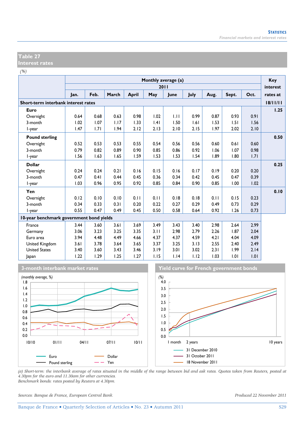#### **Table 27 Interest rates**

*(%)*

|                                          |      |      |       |       |      | Monthly average (a) |      |      |       |      | Key      |
|------------------------------------------|------|------|-------|-------|------|---------------------|------|------|-------|------|----------|
|                                          |      |      |       |       |      | 2011                |      |      |       |      | interest |
|                                          | Jan. | Feb. | March | April | May  | June                | July | Aug. | Sept. | Oct. | rates at |
| Short-term interbank interest rates      |      |      |       |       |      |                     |      |      |       |      | 18/11/11 |
| Euro                                     |      |      |       |       |      |                     |      |      |       |      | 1.25     |
| Overnight                                | 0.64 | 0.68 | 0.63  | 0.98  | 1.02 | 1.11                | 0.99 | 0.87 | 0.93  | 0.91 |          |
| 3-month                                  | 1.02 | 1.07 | 1.17  | 1.33  | .4   | 1.50                | 1.61 | 1.53 | 1.51  | 1.56 |          |
| l-year                                   | 1.47 | 1.71 | 1.94  | 2.12  | 2.13 | 2.10                | 2.15 | 1.97 | 2.02  | 2.10 |          |
| <b>Pound sterling</b>                    |      |      |       |       |      |                     |      |      |       |      | 0.50     |
| Overnight                                | 0.52 | 0.53 | 0.53  | 0.55  | 0.54 | 0.56                | 0.56 | 0.60 | 0.61  | 0.60 |          |
| 3-month                                  | 0.79 | 0.82 | 0.89  | 0.90  | 0.85 | 0.86                | 0.92 | 1.06 | 1.07  | 0.98 |          |
| l-year                                   | 1.56 | 1.63 | 1.65  | 1.59  | 1.53 | 1.53                | 1.54 | 1.89 | 1.80  | 1.71 |          |
| <b>Dollar</b>                            |      |      |       |       |      |                     |      |      |       |      | 0.25     |
| Overnight                                | 0.24 | 0.24 | 0.21  | 0.16  | 0.15 | 0.16                | 0.17 | 0.19 | 0.20  | 0.20 |          |
| 3-month                                  | 0.47 | 0.41 | 0.44  | 0.45  | 0.36 | 0.34                | 0.42 | 0.45 | 0.47  | 0.39 |          |
| l-year                                   | 1.03 | 0.96 | 0.95  | 0.92  | 0.85 | 0.84                | 0.90 | 0.85 | 1.00  | 1.02 |          |
| Yen                                      |      |      |       |       |      |                     |      |      |       |      | 0.10     |
| Overnight                                | 0.12 | 0.10 | 0.10  | 0.11  | 0.11 | 0.18                | 0.18 | 0.11 | 0.15  | 0.23 |          |
| 3-month                                  | 0.34 | 0.33 | 0.31  | 0.20  | 0.22 | 0.27                | 0.29 | 0.49 | 0.73  | 0.29 |          |
| l-year                                   | 0.55 | 0.47 | 0.49  | 0.45  | 0.50 | 0.58                | 0.64 | 0.92 | 1.26  | 0.73 |          |
| 10-year benchmark government bond yields |      |      |       |       |      |                     |      |      |       |      |          |
| France                                   | 3.44 | 3.60 | 3.61  | 3.69  | 3.49 | 3.43                | 3.40 | 2.98 | 2.64  | 2.99 |          |
| Germany                                  | 3.06 | 3.23 | 3.25  | 3.35  | 3.11 | 2.98                | 2.79 | 2.26 | 1.87  | 2.04 |          |
| Euro area                                | 3.94 | 4.48 | 4.49  | 4.66  | 4.37 | 4.37                | 4.59 | 4.21 | 4.04  | 4.09 |          |
| United Kingdom                           | 3.61 | 3.78 | 3.64  | 3.65  | 3.37 | 3.25                | 3.13 | 2.55 | 2.40  | 2.49 |          |
| <b>United States</b>                     | 3.40 | 3.60 | 3.43  | 3.46  | 3.19 | 3.01                | 3.02 | 2.31 | 1.99  | 2.14 |          |
| Japan                                    | 1.22 | 1.29 | 1.25  | 1.27  | 1.15 | 1.14                | 1.12 | 1.03 | 1.01  | 1.01 |          |









*(a) Short-term: the interbank average of rates situated in the middle of the range between bid and ask rates. Quotes taken from Reuters, posted at 4.30pm for the euro and 11.30am for other currencies. Benchmark bonds: rates posted by Reuters at 4.30pm.* 

*Sources: Banque de France, European Central Bank. Produced 22 November 2011*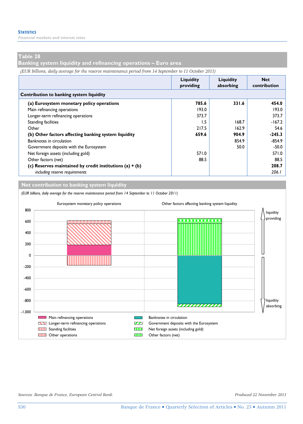*Financial markets and interest rates* 

## **Table 28**

**Banking system liquidity and refinancing operations – Euro area** 

*(EUR billions, daily average for the reserve maintenance period from 14 September to 11 October 2011)*

|                                                            | Liquidity<br>providing | Liquidity<br>absorbing | <b>Net</b><br>contribution |
|------------------------------------------------------------|------------------------|------------------------|----------------------------|
| Contribution to banking system liquidity                   |                        |                        |                            |
| (a) Eurosystem monetary policy operations                  | 785.6                  | 331.6                  | 454.0                      |
| Main refinancing operations                                | 193.0                  |                        | 193.0                      |
| Longer-term refinancing operations                         | 373.7                  |                        | 373.7                      |
| <b>Standing facilities</b>                                 | 1.5                    | 168.7                  | $-167.2$                   |
| Other                                                      | 217.5                  | 162.9                  | 54.6                       |
| (b) Other factors affecting banking system liquidity       | 659.6                  | 904.9                  | $-245.3$                   |
| Banknotes in circulation                                   |                        | 854.9                  | $-854.9$                   |
| Government deposits with the Eurosystem                    |                        | 50.0                   | $-50.0$                    |
| Net foreign assets (including gold)                        | 571.0                  |                        | 571.0                      |
| Other factors (net)                                        | 88.5                   |                        | 88.5                       |
| (c) Reserves maintained by credit institutions $(a) + (b)$ |                        |                        | 208.7                      |
| including reserve requirements                             |                        |                        | 206.1                      |

**Net contribution to banking system liquidity**

*(EUR billions, daily average for the reserve maintenance period from 14 September to 11 October 2011)* Eurosystem monetary policy operations Other factors affecting banking system liquidity 800 liquidity providing 600 400 200 0 -200 -400 -600 -800 liquidity ,,,,,,,,,,,,,,, absorbing -1,000 Main refinancing operations **Banknotes** in circulation Longer-term refinancing operations **COL** Government deposits with the Eurosystem **THE Standing facilities** Standing facilities Net foreign assets (including gold) **EXECUTE:** Other operations **CONSTRUCTER CONSTRUCTER** Other factors (net)

*Sources: Banque de France, European Central Bank. Produced 22 November 2011*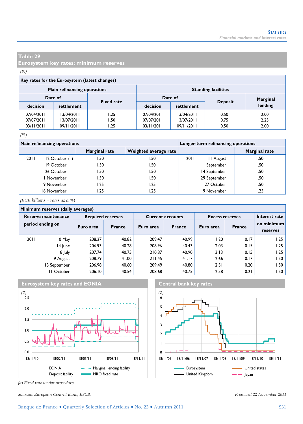**Eurosystem key rates; minimum reserves** 

#### *(%)*

# **Key rates for the Eurosystem (latest changes)**

|            | Main refinancing operations |                   | <b>Standing facilities</b> |            |                |          |  |  |  |
|------------|-----------------------------|-------------------|----------------------------|------------|----------------|----------|--|--|--|
| Date of    |                             | <b>Fixed rate</b> | Date of                    |            | <b>Deposit</b> | Marginal |  |  |  |
| decision   | settlement                  |                   | decision                   | settlement |                | lending  |  |  |  |
| 07/04/2011 | 13/04/2011                  | l.25              | 07/04/2011                 | 13/04/2011 | 0.50           | 2.00     |  |  |  |
| 07/07/2011 | 13/07/2011                  | l.50              | 07/07/2011                 | 13/07/2011 | 0.75           | 2.25     |  |  |  |
| 03/11/2011 | 09/11/2011                  | l.25              | 03/11/2011                 | 09/11/2011 | 0.50           | 2.00     |  |  |  |

#### *(%)*

|      | <b>Main refinancing operations</b> |               | Longer-term refinancing operations |                   |               |  |
|------|------------------------------------|---------------|------------------------------------|-------------------|---------------|--|
|      |                                    | Marginal rate | Weighted average rate              |                   | Marginal rate |  |
| 2011 | 12 October (a)                     | 1.50          | . 50. ،                            | 2011<br>11 August | .50           |  |
|      | 19 October                         | 50. ا         | .50                                | September         | .50           |  |
|      | 26 October                         | .50           | .50                                | 14 September      | .50           |  |
|      | l November                         | I .50         | .50                                | 29 September      | .50           |  |
|      | 9 November                         | 1.25          | 1.25                               | 27 October        | . 50          |  |
|      | 16 November                        | l.25          | .25                                | 9 November        | .25           |  |

*(EUR billions – rates as a %)*

#### **Minimum reserves (daily averages)**

| $\ldots$                                |              |                          |               |           |                         |                        |               |                        |  |  |  |  |
|-----------------------------------------|--------------|--------------------------|---------------|-----------|-------------------------|------------------------|---------------|------------------------|--|--|--|--|
| Reserve maintenance<br>period ending on |              | <b>Required reserves</b> |               |           | <b>Current accounts</b> | <b>Excess reserves</b> | Interest rate |                        |  |  |  |  |
|                                         |              | Euro area                | <b>France</b> | Euro area | <b>France</b>           | Euro area              | <b>France</b> | on minimum<br>reserves |  |  |  |  |
| 2011                                    | 10 May       | 208.27                   | 40.82         | 209.47    | 40.99                   | 1.20                   | 0.17          | 1.25                   |  |  |  |  |
|                                         | 14 June      | 206.93                   | 40.28         | 208.96    | 40.43                   | 2.03                   | 0.15          | 1.25                   |  |  |  |  |
|                                         | 8 July       | 207.74                   | 40.75         | 210.87    | 40.90                   | 3.13                   | 0.15          | 1.25                   |  |  |  |  |
|                                         | 9 August     | 208.79                   | 41.00         | 211.45    | 41.17                   | 2.66                   | 0.17          | l.50                   |  |  |  |  |
|                                         | 13 September | 206.98                   | 40.60         | 209.49    | 40.80                   | 2.51                   | 0.20          | 1.50                   |  |  |  |  |
|                                         | II October   | 206.10                   | 40.54         | 208.68    | 40.75                   | 2.58                   | 0.21          | I.50                   |  |  |  |  |



*(a) Fixed rate tender procedure.* 

*Sources: European Central Bank, ESCB. Produced 22 November 2011*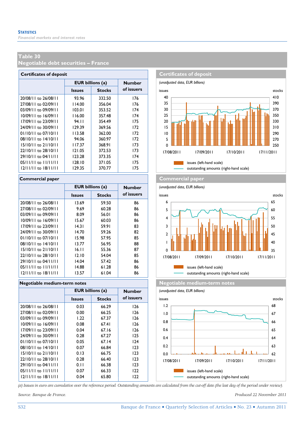**Negotiable debt securities – France** 

| <b>Certificates of deposit</b> |                         |               |               |  |  |  |  |  |  |  |
|--------------------------------|-------------------------|---------------|---------------|--|--|--|--|--|--|--|
|                                | <b>EUR</b> billions (a) |               | <b>Number</b> |  |  |  |  |  |  |  |
|                                | <b>Issues</b>           | <b>Stocks</b> | of issuers    |  |  |  |  |  |  |  |
| 20/08/11 to 26/08/11           | 93.96                   | 332.50        | 176           |  |  |  |  |  |  |  |
| 27/08/11 to 02/09/11           | 114.00                  | 356.04        | 176           |  |  |  |  |  |  |  |
| 03/09/11 to 09/09/11           | 103.01                  | 353.52        | 174           |  |  |  |  |  |  |  |
| 10/09/11 to 16/09/11           | 116.00                  | 357.48        | 174           |  |  |  |  |  |  |  |
| 17/09/11 to 23/09/11           | 94.II                   | 354.49        | 175           |  |  |  |  |  |  |  |
| 24/09/11 to 30/09/11           | 129.39                  | 369.56        | 172           |  |  |  |  |  |  |  |
| $01/10/11$ to $07/10/11$       | 113.58                  | 362.00        | 172           |  |  |  |  |  |  |  |
| 08/10/11 to 14/10/11           | 94.06                   | 360.97        | 172           |  |  |  |  |  |  |  |
| $15/10/11$ to $21/10/11$       | 117.37                  | 368.91        | 173           |  |  |  |  |  |  |  |
| 22/10/11 to 28/10/11           | 121.05                  | 372.53        | 173           |  |  |  |  |  |  |  |
| 29/10/11 to 04/11/11           | 123.28                  | 373.35        | 174           |  |  |  |  |  |  |  |
| $05/11/11$ to $11/11/11$       | 128.10                  | 371.05        | 175           |  |  |  |  |  |  |  |
| $12/11/11$ to $18/11/11$       | 129.35                  | 370.77        | 175           |  |  |  |  |  |  |  |

|                          | <b>EUR billions (a)</b> |               | <b>Number</b> |
|--------------------------|-------------------------|---------------|---------------|
|                          | <b>Issues</b>           | <b>Stocks</b> | of issuers    |
| 20/08/11 to 26/08/11     | 13.69                   | 59.50         | 86            |
| 27/08/11 to 02/09/11     | 9.69                    | 60.28         | 86            |
| $03/09/11$ to $09/09/11$ | 8.09                    | 56.01         | 86            |
| 10/09/11 to 16/09/11     | 15.67                   | 60.03         | 86            |
| $17/09/11$ to $23/09/11$ | 14.31                   | 59.91         | 83            |
| 24/09/11 to 30/09/11     | 14.70                   | 59.26         | 82            |
| $01/10/11$ to $07/10/11$ | 15.98                   | 57.95         | 85            |
| $08/10/11$ to $14/10/11$ | 13.77                   | 56.95         | 88            |
| $15/10/11$ to $21/10/11$ | 16.11                   | 55.36         | 87            |
| 22/10/11 to 28/10/11     | 12.10                   | 54.04         | 85            |
| 29/10/11 to 04/11/11     | 14.04                   | 57.42         | 86            |
| $05/11/11$ to $11/11/11$ | 14.88                   | 61.28         | 86            |
| $12/11/11$ to $18/11/11$ | 13.57                   | 61.04         | 86            |

|                          | <b>EUR billions (a)</b> |               | <b>Number</b> |
|--------------------------|-------------------------|---------------|---------------|
|                          | <b>Issues</b>           | <b>Stocks</b> | of issuers    |
| 20/08/11 to 26/08/11     | 0.03                    | 66.29         | 126           |
| 27/08/11 to 02/09/11     | 0.00                    | 66.25         | 126           |
| 03/09/11 to 09/09/11     | 1.22                    | 67.37         | 126           |
| 10/09/11 to 16/09/11     | 0.08                    | 67.41         | 126           |
| 17/09/11 to 23/09/11     | 0.04                    | 67.16         | 126           |
| 24/09/11 to 30/09/11     | 0.28                    | 67.27         | 125           |
| $01/10/11$ to $07/10/11$ | 0.05                    | 67.14         | 124           |
| 08/10/11 to 14/10/11     | 0.07                    | 66.84         | 123           |
| $15/10/11$ to $21/10/11$ | 0.13                    | 66.75         | 123           |
| 22/10/11 to 28/10/11     | 0.28                    | 66.40         | 123           |
| 29/10/11 to 04/11/11     | 0.11                    | 66.38         | 123           |
| $05/11/11$ to $11/11/11$ | 0.07                    | 66.33         | 122           |
| $12/11/11$ to $18/11/11$ | 0.04                    | 65.80         | 122           |
|                          |                         |               |               |



#### **Commercial paper Commercial paper**

*(unadjusted data, EUR billions)* **Issues Stocks of ISSUETS** issues and **intervalse in the Stocks** stocks issues (left-hand scale) outstanding amounts (right-hand scale)  $\mathbf 0$ 1 2 3 4 5 6 17/08/2011 17/09/2011 17/10/2011 17/11/2011 35 40 45 50 55 60 65

**Negotiable medium-term notes Negotiable medium-term notes** 



*(a) Issues in euro are cumulative over the reference period. Outstanding amounts are calculated from the cut-off date (the last day of the period under review).*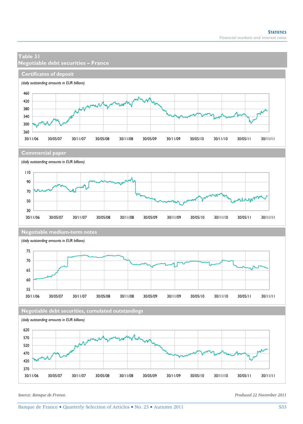

30/11/06 30/05/07 30/11/07 30/05/08 30/11/08 30/05/09 30/11/09 30/05/10 30/11/10 30/05/11 30/11/11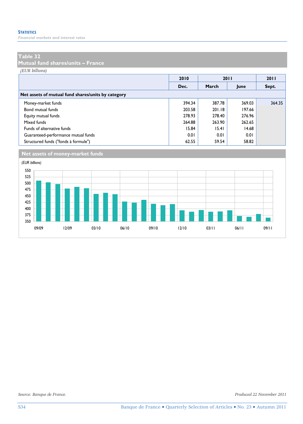*Financial markets and interest rates* 

## **Table 32**

**Mutual fund shares/units – France** 

*(EUR billions)*

|                                                    | 2010   |        | 2011   | 2011   |
|----------------------------------------------------|--------|--------|--------|--------|
|                                                    | Dec.   | March  | June   | Sept.  |
| Net assets of mutual fund shares/units by category |        |        |        |        |
| Money-market funds                                 | 394.34 | 387.78 | 369.03 | 364.35 |
| Bond mutual funds                                  | 203.58 | 201.18 | 197.66 |        |
| Equity mutual funds                                | 278.93 | 278.40 | 276.96 |        |
| Mixed funds                                        | 264.88 | 263.90 | 262.65 |        |
| Funds of alternative funds                         | 15.84  | 15.41  | 14.68  |        |
| Guaranteed-performance mutual funds                | 0.01   | 0.01   | 0.01   |        |
| Structured funds ("fonds à formule")               | 62.55  | 59.54  | 58.82  |        |



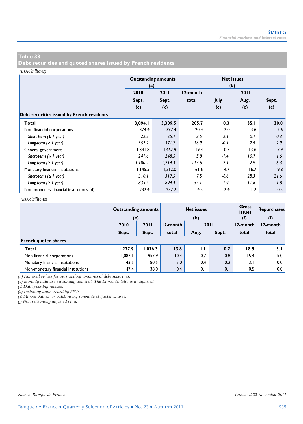**Debt securities and quoted shares issued by French residents** 

#### *(EUR billions)*

|                                            | (a)     | <b>Outstanding amounts</b> | <b>Net issues</b><br>(b) |        |         |        |  |  |  |  |
|--------------------------------------------|---------|----------------------------|--------------------------|--------|---------|--------|--|--|--|--|
|                                            | 2010    | 2011                       | 12-month                 |        | 2011    |        |  |  |  |  |
|                                            | Sept.   | Sept.                      | total                    | July   | Aug.    | Sept.  |  |  |  |  |
|                                            | (c)     | (c)                        |                          | (c)    | (c)     | (c)    |  |  |  |  |
| Debt securities issued by French residents |         |                            |                          |        |         |        |  |  |  |  |
| Total                                      | 3,094.I | 3,309.5                    | 205.7                    | 0.3    | 35.1    | 30.0   |  |  |  |  |
| Non-financial corporations                 | 374.4   | 397.4                      | 20.4                     | 2.0    | 3.6     | 2.6    |  |  |  |  |
| Short-term $( \leq l$ year)                | 22.2    | 25.7                       | 3.5                      | 2.1    | 0.7     | $-0.3$ |  |  |  |  |
| Long-term $(> 1$ year)                     | 352.2   | 371.7                      | 16.9                     | $-0.1$ | 2.9     | 2.9    |  |  |  |  |
| General government                         | 1,341.8 | 1,462.9                    | 119.4                    | 0.7    | 13.6    | 7.9    |  |  |  |  |
| Short-term $( \leq l$ year)                | 241.6   | 248.5                      | 5.8                      | $-1.4$ | 10.7    | 1.6    |  |  |  |  |
| Long-term $(> 1$ year)                     | 1,100.2 | 1,214.4                    | 113.6                    | 2.1    | 2.9     | 6.3    |  |  |  |  |
| Monetary financial institutions            | 1,145.5 | 1,212.0                    | 61.6                     | $-4.7$ | 16.7    | 19.8   |  |  |  |  |
| Short-term $( \leq l$ year)                | 310.1   | 317.5                      | 7.5                      | $-6.6$ | 28.3    | 21.6   |  |  |  |  |
| Long-term $(> 1$ year)                     | 835.4   | 894.4                      | 54.1                     | 1.9    | $-11.6$ | $-1.8$ |  |  |  |  |
| Non-monetary financial institutions (d)    | 232.4   | 237.2                      | 4.3                      | 2.4    | 1.2     | $-0.3$ |  |  |  |  |

#### *(EUR billions)*

|                                     | <b>Outstanding amounts</b><br>(e) |         | <b>Net issues</b><br>(b) |      |        |          | <b>Gross</b><br>issues<br>(f) | Repurchases<br>(f) |
|-------------------------------------|-----------------------------------|---------|--------------------------|------|--------|----------|-------------------------------|--------------------|
|                                     | 2010                              | 2011    | 12-month                 | 2011 |        | 12-month | 12-month                      |                    |
|                                     | Sept.                             | Sept.   | total                    | Aug. | Sept.  | total    | total                         |                    |
| <b>French quoted shares</b>         |                                   |         |                          |      |        |          |                               |                    |
| Total                               | 1,277.9                           | 1,076.3 | 13.8                     | 1.1  | 0.7    | 18.9     | 5.1                           |                    |
| Non-financial corporations          | 1.087.1                           | 957.9   | 10.4                     | 0.7  | 0.8    | 15.4     | 5.0                           |                    |
| Monetary financial institutions     | 143.5                             | 80.5    | 3.0                      | 0.4  | $-0.2$ | 3.1      | 0.0                           |                    |
| Non-monetary financial institutions | 47.4                              | 38.0    | 0.4                      | 0.1  | 0.1    | 0.5      | 0.0                           |                    |

*(a) Nominal values for outstanding amounts of debt securities.* 

*(b) Monthly data are seasonally adjusted. The 12-month total is unadjusted.* 

*(c) Data possibly revised.* 

*(d) Including units issued by SPVs.* 

*(e) Market values for outstanding amounts of quoted shares.* 

*(f) Non-seasonally adjusted data.*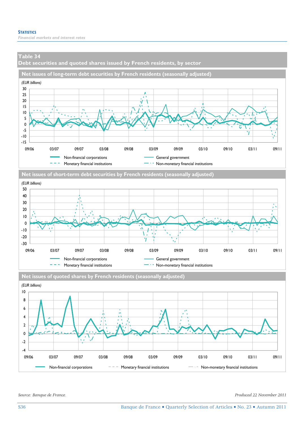**Debt securities and quoted shares issued by French residents, by sector** 









**Net issues of quoted shares by French residents (seasonally adjusted)**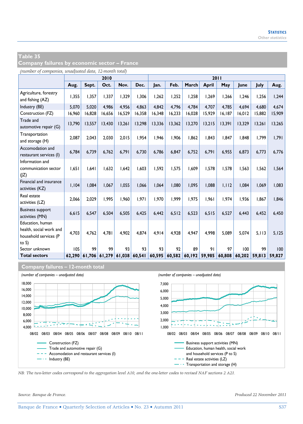**Company failures by economic sector – France** 

*(number of companies, unadjusted data, 12-month total)*

|                                                                                  |        | 2010   |        |        |        |        |        |        | 2011         |        |        |        |        |
|----------------------------------------------------------------------------------|--------|--------|--------|--------|--------|--------|--------|--------|--------------|--------|--------|--------|--------|
|                                                                                  | Aug.   | Sept.  | Oct.   | Nov.   | Dec.   | Jan.   | Feb.   | March  | <b>April</b> | May    | June   | July   | Aug.   |
| Agriculture, forestry<br>and fishing (AZ)                                        | 1,355  | 1.357  | 1,337  | 1.329  | 1,306  | 1,262  | 1.252  | 1,258  | 1,269        | 1,266  | 1,246  | 1,256  | 1,244  |
| Industry (BE)                                                                    | 5.070  | 5.020  | 4.986  | 4.956  | 4.863  | 4.842  | 4.796  | 4.784  | 4.707        | 4.785  | 4.694  | 4.680  | 4.674  |
| Construction (FZ)                                                                | 16,960 | 16,828 | 16,656 | 16,529 | 16,358 | 16,348 | 16,233 | 16,028 | 15,929       | 16,187 | 16,012 | 15,882 | 15,909 |
| Trade and<br>automotive repair (G)                                               | 13,790 | 13,557 | 13,430 | 13,261 | 13,298 | 13,336 | 13,362 | 13,270 | 13,215       | 13,391 | 13,329 | 13,261 | 13,265 |
| Transportation<br>and storage (H)                                                | 2,087  | 2,043  | 2,030  | 2,015  | 1,954  | 1,946  | 1.906  | 1,862  | 1.843        | 1,847  | 1,848  | 1,799  | 1,791  |
| Accomodation and<br>restaurant services (I)                                      | 6,784  | 6.739  | 6,762  | 6,791  | 6,730  | 6,786  | 6.847  | 6,752  | 6,791        | 6,955  | 6,873  | 6,773  | 6,776  |
| Information and<br>communication sector<br>(IZ)                                  | 1.651  | 1.641  | 1.632  | 1.642  | 1,603  | 1.592  | 1.575  | 1.609  | 1.578        | 1.578  | 1,563  | 1,562  | 1,564  |
| Financial and insurance<br>activities (KZ)                                       | 1,104  | 1,084  | 1,067  | 1,055  | 1,066  | 1,064  | 1,080  | 1,095  | 1,088        | 1,112  | 1,084  | 1,069  | 1,083  |
| Real estate<br>activities (LZ)                                                   | 2,066  | 2.029  | 1.995  | 1.960  | 1.971  | 1.970  | 1.999  | 1.975  | 1.961        | 1.974  | 1.936  | 1.867  | 1,846  |
| <b>Business support</b><br>activities (MN)                                       | 6,615  | 6,547  | 6,504  | 6,505  | 6,425  | 6,442  | 6,512  | 6,523  | 6, 515       | 6,527  | 6,443  | 6,452  | 6,450  |
| Education, human<br>health, social work and<br>household services (P<br>to $S$ ) | 4.703  | 4.762  | 4.781  | 4.902  | 4.874  | 4.914  | 4.928  | 4.947  | 4.998        | 5.089  | 5.074  | 5.113  | 5.125  |
| Sector unknown                                                                   | 105    | 99     | 99     | 93     | 93     | 93     | 92     | 89     | 91           | 97     | 100    | 99     | 100    |
| <b>Total sectors</b>                                                             | 62.290 | 61.706 | 61.279 | 61,038 | 60,541 | 60,595 | 60,582 | 60,192 | 59.985       | 60,808 | 60.202 | 59.813 | 59.827 |

#### **Company failures – 12-month total**



*NB: The two-letter codes correspond to the aggregation level A10, and the one-letter codes to revised NAF sections 2 A21.*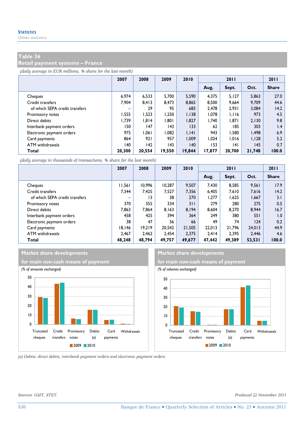**Retail payment systems – France** 

*(daily average in EUR millions, % share for the last month)*

|                                | 2007                     | 2008   | 2009   | 2010   | 2011   |        |        | 2011            |
|--------------------------------|--------------------------|--------|--------|--------|--------|--------|--------|-----------------|
|                                |                          |        |        |        | Aug.   | Sept.  | Oct.   | <b>Share</b>    |
| Cheques                        | 6.974                    | 6.533  | 5.700  | 5,590  | 4.375  | 5,127  | 5,863  | 27.0            |
| Credit transfers               | 7.904                    | 8.413  | 8.473  | 8.865  | 8.500  | 9.664  | 9.709  | 44.6            |
| of which SEPA credit transfers | $\overline{\phantom{0}}$ | 29     | 95     | 683    | 2.478  | 2.931  | 3,084  | 14.2            |
| Promissory notes               | 1,555                    | 1,523  | 1.250  | 1,138  | 1,078  | 1,116  | 973    | 4.5             |
| Direct debits                  | 1.739                    | 1.814  | 1.801  | 1,827  | 1.740  | 1.871  | 2,130  | 9.8             |
| Interbank payment orders       | 150                      | 147    | 143    | 133    | 62     | 185    | 303    | $\mathsf{I}$ .4 |
| Electronic payment orders      | 975                      | 1.061  | 1.082  | 1,141  | 943    | 1.580  | 1.498  | 6.9             |
| Card payments                  | 864                      | 921    | 957    | 1.009  | 1.024  | 1.016  | 1.128  | 5.2             |
| ATM withdrawals                | 140                      | 142    | 43     | 140    | 153    | 4      | 145    | 0.7             |
| Total                          | 20.300                   | 20.554 | 19,550 | 19,844 | 17,877 | 20,700 | 21,748 | 100.0           |

*(daily average in thousands of transactions, % share for the last month)*

|                                | 2007                     | 2008            | 2009   | 2010   | 2011   |        |        | 2011         |
|--------------------------------|--------------------------|-----------------|--------|--------|--------|--------|--------|--------------|
|                                |                          |                 |        |        | Aug.   | Sept.  | Oct.   | <b>Share</b> |
| Cheques                        | 11,561                   | 10.996          | 10.287 | 9.507  | 7.430  | 8.585  | 9,561  | 17.9         |
| Credit transfers               | 7.344                    | 7.425           | 7.527  | 7,356  | 6,405  | 7,610  | 7,616  | 14.2         |
| of which SEPA credit transfers | $\overline{\phantom{0}}$ | $\overline{13}$ | 38     | 270    | 1,277  | 1,625  | 1,667  | 3.1          |
| Promissory notes               | 370                      | 355             | 334    | 311    | 279    | 280    | 275    | 0.5          |
| Direct debits                  | 7.863                    | 7.864           | 8.163  | 8.194  | 8.604  | 8.270  | 8.944  | 16.7         |
| Interbank payment orders       | 458                      | 425             | 394    | 364    | 249    | 380    | 551    | 1.0          |
| Electronic payment orders      | 38                       | 47              | 56     | 66     | 49     | 74     | 124    | 0.2          |
| Card payments                  | 18.146                   | 19.219          | 20.542 | 21.505 | 22.013 | 21.796 | 24.013 | 44.9         |
| ATM withdrawals                | 2.467                    | 2.462           | 2.454  | 2.375  | 2.414  | 2.395  | 2.446  | 4.6          |
| Total                          | 48.248                   | 48.794          | 49,757 | 49,677 | 47,442 | 49,389 | 53,531 | 100.0        |





*(a) Debits: direct debits, interbank payment orders and electronic payment orders.* 

*Sources: GSIT, STET. Produced 22 November 2011*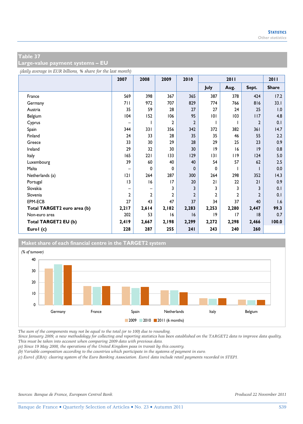**Large-value payment systems – EU** 

*(daily average in EUR billions, % share for the last month)*

|                             | 2007           | 2008           | 2009         | 2010           |              | 2011         |                | 2011         |
|-----------------------------|----------------|----------------|--------------|----------------|--------------|--------------|----------------|--------------|
|                             |                |                |              |                | July         | Aug.         | Sept.          | <b>Share</b> |
| France                      | 569            | 398            | 367          | 365            | 387          | 378          | 424            | 17.2         |
| Germany                     | 71 I           | 972            | 707          | 829            | 774          | 766          | 816            | 33.1         |
| Austria                     | 35             | 59             | 28           | 27             | 27           | 24           | 25             | 1.0          |
| Belgium                     | 104            | 152            | 106          | 95             | 101          | 103          | 117            | 4.8          |
| Cyprus                      | -              |                | 2            | $\overline{2}$ |              |              | $\overline{2}$ | 0.1          |
| Spain                       | 344            | 331            | 356          | 342            | 372          | 382          | 361            | 14.7         |
| Finland                     | 24             | 33             | 28           | 35             | 35           | 46           | 55             | 2.2          |
| Greece                      | 33             | 30             | 29           | 28             | 29           | 25           | 23             | 0.9          |
| Ireland                     | 29             | 32             | 30           | 30             | 9            | 16           | 9              | 0.8          |
| Italy                       | 165            | 221            | 133          | 129            | 3            | 119          | 124            | 5.0          |
| Luxembourg                  | 39             | 60             | 40           | 40             | 54           | 57           | 62             | 2.5          |
| Malta                       |                | 0              | 0            | 0              | $\Omega$     |              |                | 0.0          |
| Netherlands (a)             | 2              | 264            | 287          | 300            | 264          | 298          | 352            | 14.3         |
| Portugal                    | 3              | 16             | 17           | 20             | 21           | 22           | 21             | 0.9          |
| Slovakia                    |                |                | 3            | 3              | 3            | 3            | 3              | 0.1          |
| Slovenia                    | $\overline{2}$ | $\overline{2}$ | $\mathbf{c}$ | $\overline{2}$ | $\mathbf{2}$ | $\mathbf{2}$ | $\mathbf{2}$   | 0.1          |
| EPM-ECB                     | 27             | 43             | 47           | 37             | 34           | 37           | 40             | 1.6          |
| Total TARGET2 euro area (b) | 2,217          | 2,614          | 2,182        | 2,283          | 2,253        | 2,280        | 2,447          | 99.3         |
| Non-euro area               | 202            | 53             | 16           | 16             | 9            | 17           | 8              | 0.7          |
| Total TARGET2 EU (b)        | 2,419          | 2,667          | 2,198        | 2,299          | 2,272        | 2,298        | 2,466          | 100.0        |
| Eurol (c)                   | 228            | 287            | 255          | 241            | 243          | 240          | 260            |              |

### **Maket share of each financial centre in the TARGET2 system**



*The sum of the components may not be equal to the total (or to 100) due to rounding.* 

*Since January 2009, a new methodology for collecting and reporting statistics has been established on the TARGET2 data to improve data quality. This must be taken into account when comparing 2009 data with previous data.* 

*(a) Since 19 May 2008, the operations of the United Kingdom pass in transit by this country.* 

*(b) Variable composition according to the countries which participate in the systems of payment in euro.* 

*(c) Euro1 (EBA): clearing system of the Euro Banking Association. Euro1 data include retail payments recorded in STEP1.*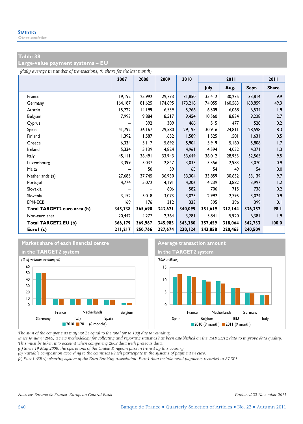**Large-value payment systems – EU** 

*(daily average in number of transactions, % share for the last month)*

|                             | 2007    | 2008    | 2009    | 2010    |         | 2011    |         | 2011         |
|-----------------------------|---------|---------|---------|---------|---------|---------|---------|--------------|
|                             |         |         |         |         | July    | Aug.    | Sept.   | <b>Share</b> |
| France                      | 19,192  | 25,992  | 29,773  | 31,850  | 35,412  | 30,275  | 33,814  | 9.9          |
| Germany                     | 164,187 | 181,625 | 174,695 | 173,218 | 174,055 | 160,563 | 168,859 | 49.3         |
| Austria                     | 15,222  | 14,199  | 6,539   | 5,266   | 6,509   | 6,068   | 6,534   | 1.9          |
| Belgium                     | 7,993   | 9,884   | 8,517   | 9,454   | 10,560  | 8,834   | 9,228   | 2.7          |
| Cyprus                      |         | 392     | 389     | 466     | 515     | 477     | 528     | 0.2          |
| Spain                       | 41,792  | 36,167  | 29,580  | 29,195  | 30,916  | 24,811  | 28,598  | 8.3          |
| Finland                     | 1,392   | 1,587   | 1,652   | 1,589   | 1,525   | 1,501   | 1,631   | 0.5          |
| Greece                      | 6,334   | 5,117   | 5,692   | 5,904   | 5,919   | 5,160   | 5,808   | 1.7          |
| Ireland                     | 5,334   | 5,139   | 4,824   | 4,961   | 4,594   | 4,052   | 4,371   | 1.3          |
| Italy                       | 45, 111 | 36,491  | 33,943  | 33,649  | 36,012  | 28,953  | 32,565  | 9.5          |
| Luxembourg                  | 3,399   | 3,037   | 2,847   | 3,033   | 3,356   | 2,983   | 3,070   | 0.9          |
| Malta                       |         | 50      | 59      | 65      | 54      | 49      | 54      | 0.0          |
| Netherlands (a)             | 27,685  | 37,745  | 36,930  | 33,304  | 33,859  | 30,632  | 33,139  | 9.7          |
| Portugal                    | 4,774   | 5,072   | 4,191   | 4,206   | 4,239   | 3,882   | 3,997   | 1.2          |
| Slovakia                    |         |         | 606     | 582     | 706     | 715     | 736     | 0.2          |
| Slovenia                    | 3,152   | 3,018   | 3,073   | 3,023   | 2,992   | 2,795   | 3,024   | 0.9          |
| EPM-ECB                     | 169     | 176     | 312     | 333     | 395     | 396     | 399     | 0.1          |
| Total TARGET2 euro area (b) | 345,738 | 365,690 | 343,621 | 340,099 | 351,619 | 312,144 | 336,352 | 98.I         |
| Non-euro area               | 20,442  | 4,277   | 2,364   | 3,281   | 5,841   | 5,920   | 6,381   | 1.9          |
| Total TARGET2 EU (b)        | 366,179 | 369,967 | 345,985 | 343,380 | 357,459 | 318,064 | 342,733 | 100.0        |
| Eurol (c)                   | 211,217 | 250,766 | 227,674 | 230,124 | 243,858 | 220,465 | 240,509 |              |

#### **Market share of each financial centre Average transaction amount**





*The sum of the components may not be equal to the total (or to 100) due to rounding.* 

*Since January 2009, a new methodology for collecting and reporting statistics has been established on the TARGET2 data to improve data quality. This must be taken into account when comparing 2009 data with previous data.* 

*(a) Since 19 May 2008, the operations of the United Kingdom pass in transit by this country.* 

*(b) Variable composition according to the countries which participate in the systems of payment in euro.* 

*(c) Euro1 (EBA): clearing system of the Euro Banking Association. Euro1 data include retail payments recorded in STEP1.*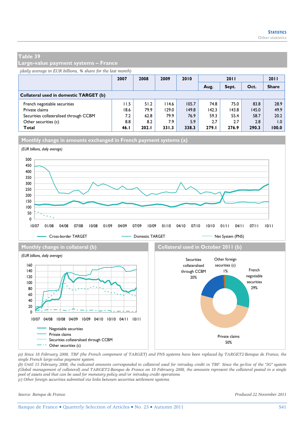**Large-value payment systems – France** 

*(daily average in EUR billions, % share for the last month)*

|                                        | 2007 | 2008  | 2009  | 2010  | <b>2011</b> |       |       | 2011         |
|----------------------------------------|------|-------|-------|-------|-------------|-------|-------|--------------|
|                                        |      |       |       |       | Aug.        | Sept. | Oct.  | <b>Share</b> |
| Collateral used in domestic TARGET (b) |      |       |       |       |             |       |       |              |
| French negotiable securities           | 11.5 | 51.2  | 114.6 | 105.7 | 74.8        | 75.0  | 83.8  | 28.9         |
| Private claims                         | 18.6 | 79.9  | 129.0 | 149.8 | 142.3       | 143.8 | 145.0 | 49.9         |
| Securities collateralised through CCBM | 7.2  | 62.8  | 79.9  | 76.9  | 59.3        | 55.4  | 58.7  | 20.2         |
| Other securities (c)                   | 8.8  | 8.2   | 7.9   | 5.9   | 2.7         | 2.7   | 2.8   | 0.1          |
| Total                                  | 46.1 | 202.1 | 331.3 | 338.3 | 279.I       | 276.9 | 290.3 | 100.0        |

**Monthly change in amounts exchanged in French payment systems (a)**



*(a) Since 18 February 2008, TBF (the French component of TARGET) and PNS systems have been replaced by TARGET2-Banque de France, the single French large-value payment system.* 

*(b) Until 15 February 2008, the indicated amounts corresponded to collateral used for intraday credit in TBF. Since the go-live of the "3G" system (Global management of collateral) and TARGET2-Banque de France on 18 February 2008, the amounts represent the collateral posted in a single pool of assets and that can be used for monetary policy and/or intraday credit operations.* 

*(c) Other foreign securities submitted via links between securities settlement systems.*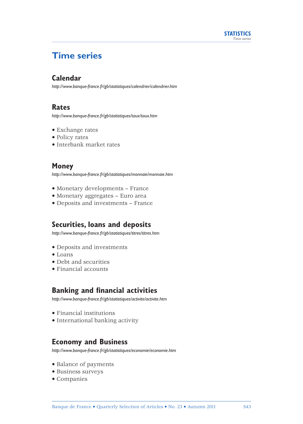

# **Time series**

# **Calendar**

*http://www.banque-france.fr/gb/statistiques/calendrier/calendrier.htm*

# **Rates**

*http://www.banque-france.fr/gb/statistiques/taux/taux.htm*

- Exchange rates
- Policy rates
- Interbank market rates

# **Money**

*http://www.banque-france.fr/gb/statistiques/monnaie/monnaie.htm*

- Monetary developments France
- Monetary aggregates Euro area
- Deposits and investments France

# **Securities, loans and deposits**

*http://www.banque-france.fr/gb/statistiques/titres/titres.htm*

- Deposits and investments
- Loans
- Debt and securities
- Financial accounts

# **Banking and financial activities**

*http://www.banque-france.fr/gb/statistiques/activite/activite.htm*

- Financial institutions
- International banking activity

# **Economy and Business**

*http://www.banque-france.fr/gb/statistiques/economie/economie.htm*

- Balance of payments
- Business surveys
- Companies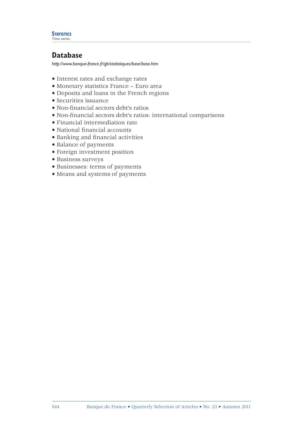#### **STATISTICS** *Time series*

# **Database**

*http://www.banque-france.fr/gb/statistiques/base/base.htm*

- Interest rates and exchange rates
- Monetary statistics France Euro area
- Deposits and loans in the French regions
- Securities issuance
- Non-financial sectors debt's ratios
- Non-financial sectors debt's ratios: international comparisons
- Financial intermediation rate
- National financial accounts
- Banking and financial activities
- Balance of payments
- Foreign investment position
- Business surveys
- Businesses: terms of payments
- Means and systems of payments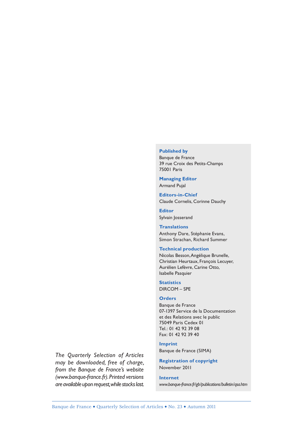#### **Published by**

Banque de France 39 rue Croix des Petits-Champs 75001 Paris

**Managing Editor** Armand Pujal

**Editors-in-Chief** Claude Cornelis, Corinne Dauchy

**Editor** Sylvain Josserand

**Translations** Anthony Dare, Stéphanie Evans, Simon Strachan, Richard Summer

#### **Technical production**

Nicolas Besson, Angélique Brunelle, Christian Heurtaux, François Lecuyer, Aurélien Lefèvre, Carine Otto, Isabelle Pasquier

**Statistics** DIRCOM – SPE

#### **Orders**

Banque de France 07-1397 Service de la Documentation et des Relations avec le public 75049 Paris Cedex 01 Tel.: 01 42 92 39 08 Fax: 01 42 92 39 40

#### **Imprint**

Banque de France (SIMA)

**Registration of copyright** November 2011

**Internet** *www.banque-france.fr/gb/publications/bulletin/qsa.htm*

*The Quarterly Selection of Articles may be downloaded, free of charge, from the Banque de France's website (www.banque-france.fr). Printed versions are available upon request, while stocks last.*